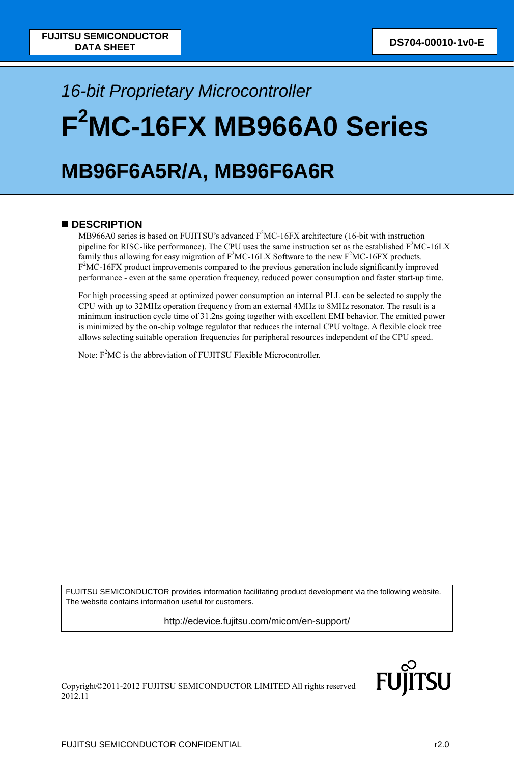# *16-bit Proprietary Microcontroller* **F2 MC-16FX MB966A0 Series**

## **MB96F6A5R/A, MB96F6A6R**

### **DESCRIPTION**

MB966A0 series is based on FUJITSU's advanced  $F^2MC-16FX$  architecture (16-bit with instruction pipeline for RISC-like performance). The CPU uses the same instruction set as the established  $F<sup>2</sup>MC-16LX$ family thus allowing for easy migration of  $F^2MC-16LX$  Software to the new  $F^2MC-16FX$  products. F<sup>2</sup>MC-16FX product improvements compared to the previous generation include significantly improved performance - even at the same operation frequency, reduced power consumption and faster start-up time.

For high processing speed at optimized power consumption an internal PLL can be selected to supply the CPU with up to 32MHz operation frequency from an external 4MHz to 8MHz resonator. The result is a minimum instruction cycle time of 31.2ns going together with excellent EMI behavior. The emitted power is minimized by the on-chip voltage regulator that reduces the internal CPU voltage. A flexible clock tree allows selecting suitable operation frequencies for peripheral resources independent of the CPU speed.

Note:  $F<sup>2</sup>MC$  is the abbreviation of FUJITSU Flexible Microcontroller.

FUJITSU SEMICONDUCTOR provides information facilitating product development via the following website. The website contains information useful for customers.

http://edevice.fujitsu.com/micom/en-support/

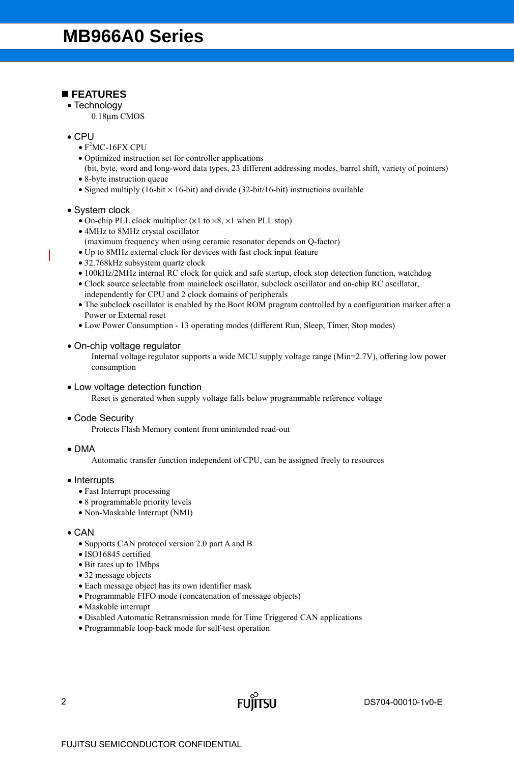### **FEATURES**

- Technology
	- 0.18µm CMOS
- CPU
	- $F^2MC-16FX$  CPU
	- Optimized instruction set for controller applications
	- (bit, byte, word and long-word data types, 23 different addressing modes, barrel shift, variety of pointers) • 8-byte instruction queue
	- Signed multiply (16-bit  $\times$  16-bit) and divide (32-bit/16-bit) instructions available

### • System clock

- On-chip PLL clock multiplier (×1 to ×8, ×1 when PLL stop)
- 4MHz to 8MHz crystal oscillator
- (maximum frequency when using ceramic resonator depends on Q-factor)
- Up to 8MHz external clock for devices with fast clock input feature
- 32.768kHz subsystem quartz clock
- 100kHz/2MHz internal RC clock for quick and safe startup, clock stop detection function, watchdog
- Clock source selectable from mainclock oscillator, subclock oscillator and on-chip RC oscillator, independently for CPU and 2 clock domains of peripherals
- The subclock oscillator is enabled by the Boot ROM program controlled by a configuration marker after a Power or External reset
- Low Power Consumption 13 operating modes (different Run, Sleep, Timer, Stop modes)

### • On-chip voltage regulator

Internal voltage regulator supports a wide MCU supply voltage range (Min=2.7V), offering low power consumption

• Low voltage detection function

Reset is generated when supply voltage falls below programmable reference voltage

### • Code Security

Protects Flash Memory content from unintended read-out

• DMA

Automatic transfer function independent of CPU, can be assigned freely to resources

### • Interrupts

- Fast Interrupt processing
- 8 programmable priority levels
- Non-Maskable Interrupt (NMI)

### • CAN

- Supports CAN protocol version 2.0 part A and B
- ISO16845 certified
- Bit rates up to 1Mbps
- 32 message objects
- Each message object has its own identifier mask
- Programmable FIFO mode (concatenation of message objects)
- Maskable interrupt
- Disabled Automatic Retransmission mode for Time Triggered CAN applications

**FUILTSU** 

• Programmable loop-back mode for self-test operation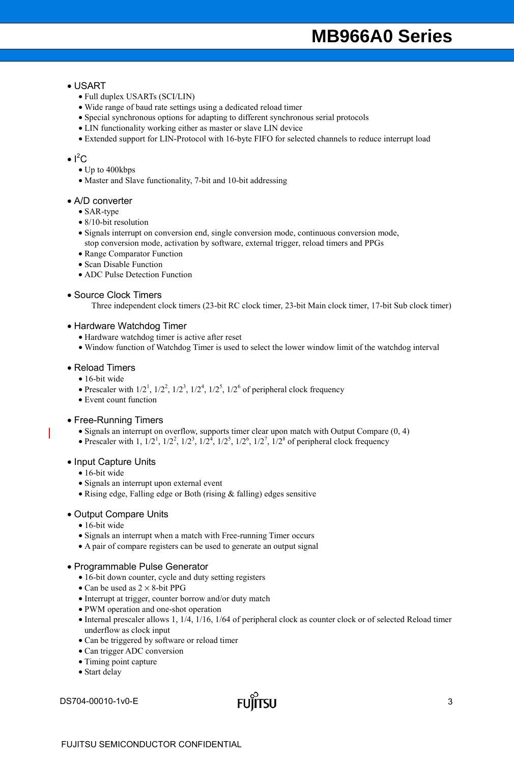### • USART

- Full duplex USARTs (SCI/LIN)
- Wide range of baud rate settings using a dedicated reload timer
- Special synchronous options for adapting to different synchronous serial protocols
- LIN functionality working either as master or slave LIN device
- Extended support for LIN-Protocol with 16-byte FIFO for selected channels to reduce interrupt load

### $\bullet$   $I^2C$

- Up to 400kbps
- Master and Slave functionality, 7-bit and 10-bit addressing

### • A/D converter

- SAR-type
- 8/10-bit resolution
- Signals interrupt on conversion end, single conversion mode, continuous conversion mode, stop conversion mode, activation by software, external trigger, reload timers and PPGs
- Range Comparator Function
- Scan Disable Function
- ADC Pulse Detection Function

### • Source Clock Timers

Three independent clock timers (23-bit RC clock timer, 23-bit Main clock timer, 17-bit Sub clock timer)

### • Hardware Watchdog Timer

- Hardware watchdog timer is active after reset
- Window function of Watchdog Timer is used to select the lower window limit of the watchdog interval
- Reload Timers
	- 16-bit wide
	- Prescaler with  $1/2^1$ ,  $1/2^2$ ,  $1/2^3$ ,  $1/2^4$ ,  $1/2^5$ ,  $1/2^6$  of peripheral clock frequency
	- Event count function

### • Free-Running Timers

- Signals an interrupt on overflow, supports timer clear upon match with Output Compare (0, 4)
- Prescaler with 1,  $1/2^1$ ,  $1/2^2$ ,  $1/2^3$ ,  $1/2^4$ ,  $1/2^5$ ,  $1/2^6$ ,  $1/2^7$ ,  $1/2^8$  of peripheral clock frequency

### • Input Capture Units

- 16-bit wide
- Signals an interrupt upon external event
- Rising edge, Falling edge or Both (rising & falling) edges sensitive

### • Output Compare Units

- 16-bit wide
- Signals an interrupt when a match with Free-running Timer occurs
- A pair of compare registers can be used to generate an output signal

### • Programmable Pulse Generator

- 16-bit down counter, cycle and duty setting registers
- Can be used as  $2 \times 8$ -bit PPG
- Interrupt at trigger, counter borrow and/or duty match
- PWM operation and one-shot operation
- Internal prescaler allows 1, 1/4, 1/16, 1/64 of peripheral clock as counter clock or of selected Reload timer underflow as clock input
- Can be triggered by software or reload timer
- Can trigger ADC conversion
- Timing point capture
- Start delay

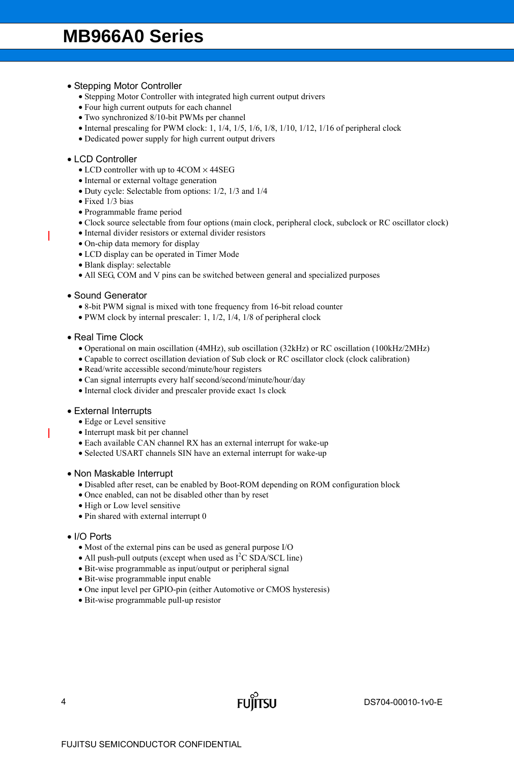### • Stepping Motor Controller

- Stepping Motor Controller with integrated high current output drivers
- Four high current outputs for each channel
- Two synchronized 8/10-bit PWMs per channel
- Internal prescaling for PWM clock: 1,  $1/4$ ,  $1/5$ ,  $1/6$ ,  $1/8$ ,  $1/10$ ,  $1/12$ ,  $1/16$  of peripheral clock
- Dedicated power supply for high current output drivers

### • LCD Controller

- LCD controller with up to  $4COM \times 44SEG$
- Internal or external voltage generation
- Duty cycle: Selectable from options: 1/2, 1/3 and 1/4
- Fixed 1/3 bias
- Programmable frame period
- Clock source selectable from four options (main clock, peripheral clock, subclock or RC oscillator clock)
- Internal divider resistors or external divider resistors
- On-chip data memory for display
- LCD display can be operated in Timer Mode
- Blank display: selectable
- All SEG, COM and V pins can be switched between general and specialized purposes

• Sound Generator

- 8-bit PWM signal is mixed with tone frequency from 16-bit reload counter
- PWM clock by internal prescaler: 1, 1/2, 1/4, 1/8 of peripheral clock

### • Real Time Clock

- Operational on main oscillation (4MHz), sub oscillation (32kHz) or RC oscillation (100kHz/2MHz)
- Capable to correct oscillation deviation of Sub clock or RC oscillator clock (clock calibration)
- Read/write accessible second/minute/hour registers
- Can signal interrupts every half second/second/minute/hour/day
- Internal clock divider and prescaler provide exact 1s clock

### • External Interrupts

- Edge or Level sensitive
- Interrupt mask bit per channel
- Each available CAN channel RX has an external interrupt for wake-up
- Selected USART channels SIN have an external interrupt for wake-up
- Non Maskable Interrupt
	- Disabled after reset, can be enabled by Boot-ROM depending on ROM configuration block
	- Once enabled, can not be disabled other than by reset
	- High or Low level sensitive
	- Pin shared with external interrupt 0

### • I/O Ports

- Most of the external pins can be used as general purpose I/O
- All push-pull outputs (except when used as  $I<sup>2</sup>C$  SDA/SCL line)
- Bit-wise programmable as input/output or peripheral signal
- Bit-wise programmable input enable
- One input level per GPIO-pin (either Automotive or CMOS hysteresis)
- Bit-wise programmable pull-up resistor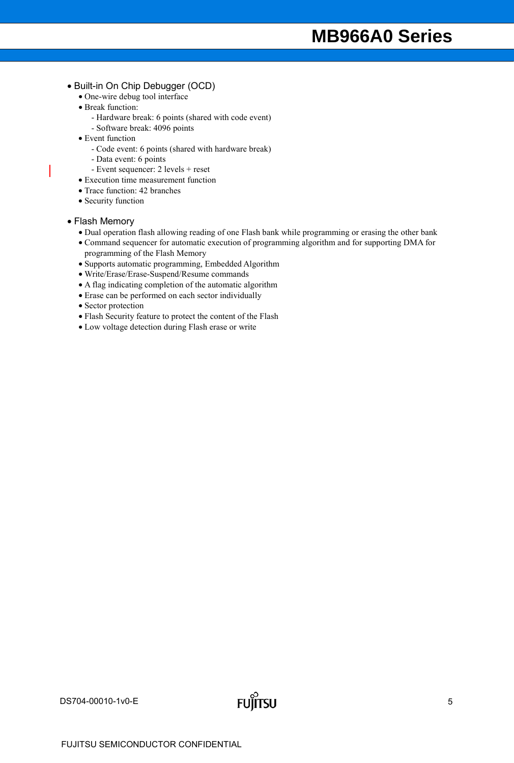### • Built-in On Chip Debugger (OCD)

- One-wire debug tool interface
- Break function:
	- Hardware break: 6 points (shared with code event)
	- Software break: 4096 points
- Event function
	- Code event: 6 points (shared with hardware break)
	- Data event: 6 points
	- Event sequencer: 2 levels + reset
- Execution time measurement function
- Trace function: 42 branches
- Security function

### • Flash Memory

- Dual operation flash allowing reading of one Flash bank while programming or erasing the other bank
- Command sequencer for automatic execution of programming algorithm and for supporting DMA for programming of the Flash Memory
- Supports automatic programming, Embedded Algorithm
- Write/Erase/Erase-Suspend/Resume commands
- A flag indicating completion of the automatic algorithm
- Erase can be performed on each sector individually
- Sector protection
- Flash Security feature to protect the content of the Flash
- Low voltage detection during Flash erase or write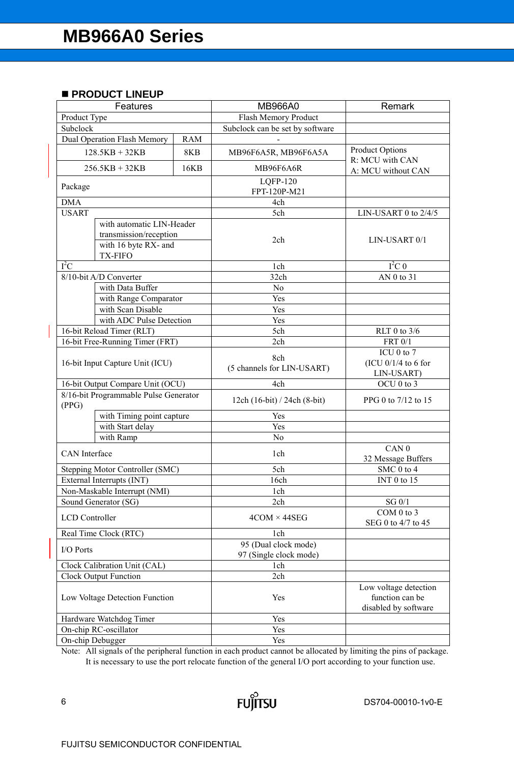### **PRODUCT LINEUP**

| Features                                                     |                                       | <b>MB966A0</b>                    | Remark                                                           |                                           |
|--------------------------------------------------------------|---------------------------------------|-----------------------------------|------------------------------------------------------------------|-------------------------------------------|
| Product Type                                                 |                                       | Flash Memory Product              |                                                                  |                                           |
| Subclock                                                     |                                       | Subclock can be set by software   |                                                                  |                                           |
|                                                              | Dual Operation Flash Memory           | <b>RAM</b>                        |                                                                  |                                           |
|                                                              | $128.5KB + 32KB$                      | 8KB                               | MB96F6A5R, MB96F6A5A                                             | <b>Product Options</b><br>R: MCU with CAN |
|                                                              | $256.5KB + 32KB$                      | 16KB                              | MB96F6A6R                                                        | A: MCU without CAN                        |
| Package                                                      |                                       |                                   | <b>LQFP-120</b>                                                  |                                           |
|                                                              |                                       |                                   | FPT-120P-M21                                                     |                                           |
| <b>DMA</b>                                                   |                                       |                                   | 4ch                                                              |                                           |
| <b>USART</b>                                                 |                                       |                                   | 5ch                                                              | LIN-USART 0 to 2/4/5                      |
|                                                              | with automatic LIN-Header             |                                   |                                                                  |                                           |
|                                                              | transmission/reception                |                                   | 2ch                                                              | LIN-USART 0/1                             |
|                                                              | with 16 byte RX- and                  |                                   |                                                                  |                                           |
|                                                              | <b>TX-FIFO</b>                        |                                   |                                                                  |                                           |
| $I^2C$                                                       |                                       |                                   | 1ch                                                              | $I^2C_0$                                  |
|                                                              | 8/10-bit A/D Converter                |                                   | 32ch                                                             | AN 0 to 31                                |
|                                                              | with Data Buffer                      |                                   | N <sub>o</sub>                                                   |                                           |
|                                                              | with Range Comparator                 |                                   | Yes                                                              |                                           |
|                                                              | with Scan Disable                     |                                   | Yes                                                              |                                           |
|                                                              | with ADC Pulse Detection              |                                   | Yes                                                              |                                           |
|                                                              | 16-bit Reload Timer (RLT)             |                                   | 5ch                                                              | RLT 0 to $3/6$                            |
|                                                              | 16-bit Free-Running Timer (FRT)       |                                   | 2ch                                                              | <b>FRT 0/1</b>                            |
| 16-bit Input Capture Unit (ICU)                              |                                       | 8ch<br>(5 channels for LIN-USART) | ICU 0 to 7<br>$(ICU 0/1/4$ to 6 for<br>LIN-USART)                |                                           |
|                                                              | 16-bit Output Compare Unit (OCU)      |                                   | 4ch                                                              | OCU 0 to 3                                |
| (PPG)                                                        | 8/16-bit Programmable Pulse Generator |                                   | $12ch(16-bit)/24ch(8-bit)$                                       | PPG 0 to 7/12 to 15                       |
|                                                              | with Timing point capture             |                                   | Yes                                                              |                                           |
|                                                              | with Start delay                      |                                   | Yes                                                              |                                           |
|                                                              | with Ramp                             |                                   | N <sub>o</sub>                                                   |                                           |
| <b>CAN</b> Interface                                         |                                       |                                   | 1ch                                                              | CAN 0<br>32 Message Buffers               |
|                                                              | Stepping Motor Controller (SMC)       |                                   | 5ch                                                              | SMC 0 to 4                                |
|                                                              | External Interrupts (INT)             |                                   | 16ch                                                             | INT 0 to 15                               |
|                                                              | Non-Maskable Interrupt (NMI)          |                                   | 1ch                                                              |                                           |
|                                                              | Sound Generator (SG)                  |                                   | 2ch                                                              | SG 0/1                                    |
| <b>LCD</b> Controller                                        |                                       |                                   | $4$ COM $\times$ 44SEG                                           | COM 0 to 3<br>SEG 0 to 4/7 to 45          |
| Real Time Clock (RTC)                                        |                                       | 1ch                               |                                                                  |                                           |
| I/O Ports                                                    |                                       | 95 (Dual clock mode)              |                                                                  |                                           |
|                                                              |                                       | 97 (Single clock mode)            |                                                                  |                                           |
| Clock Calibration Unit (CAL)<br><b>Clock Output Function</b> |                                       | 1ch                               |                                                                  |                                           |
|                                                              |                                       |                                   | 2ch                                                              |                                           |
| Low Voltage Detection Function                               |                                       | Yes                               | Low voltage detection<br>function can be<br>disabled by software |                                           |
|                                                              | Hardware Watchdog Timer               |                                   | Yes                                                              |                                           |
|                                                              | On-chip RC-oscillator                 |                                   | Yes                                                              |                                           |
| On-chip Debugger                                             |                                       | Yes                               |                                                                  |                                           |

Note: All signals of the peripheral function in each product cannot be allocated by limiting the pins of package. It is necessary to use the port relocate function of the general I/O port according to your function use.

 $\overline{\phantom{a}}$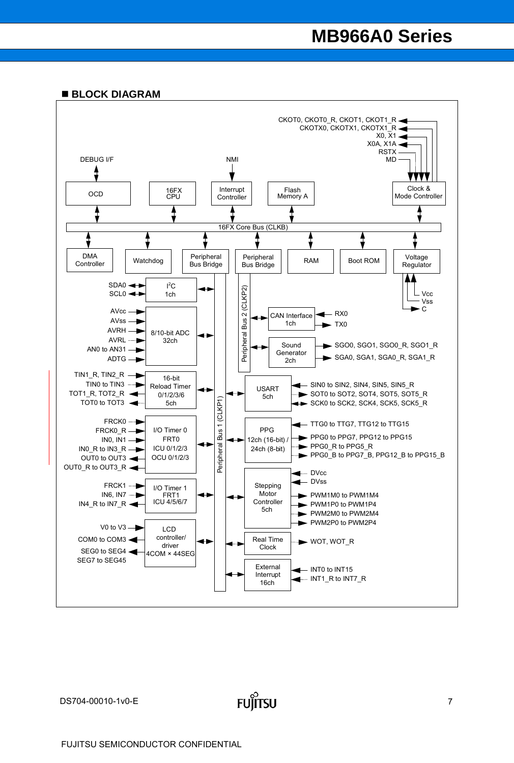

**FUILTSU**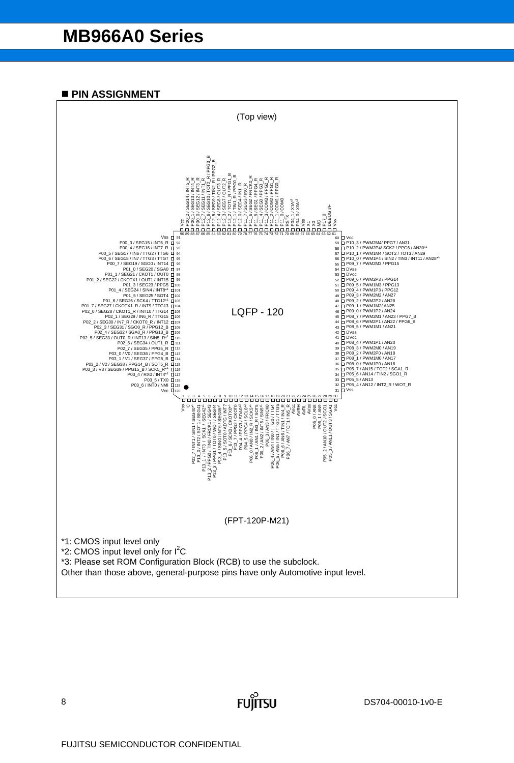### **PIN ASSIGNMENT**



**FUITSU**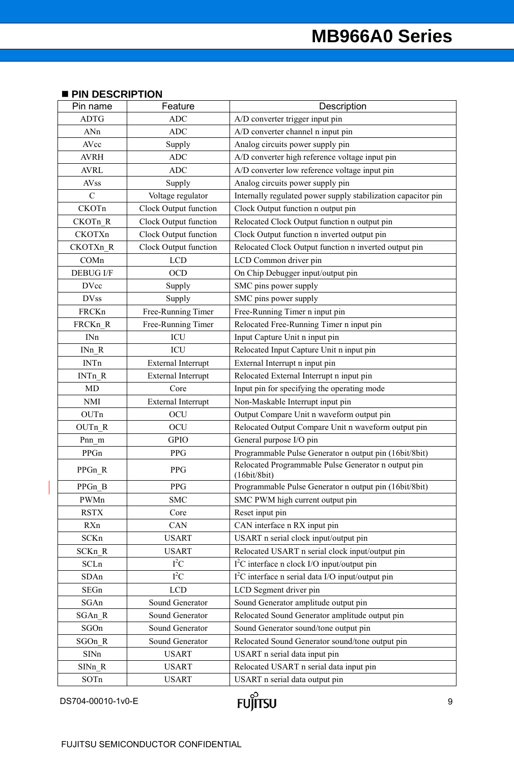### **PIN DESCRIPTION**

| Pin name           | Feature                   | Description                                                         |
|--------------------|---------------------------|---------------------------------------------------------------------|
| <b>ADTG</b>        | <b>ADC</b>                | A/D converter trigger input pin                                     |
| ANn                | <b>ADC</b>                | A/D converter channel n input pin                                   |
| AVcc               | Supply                    | Analog circuits power supply pin                                    |
| <b>AVRH</b>        | <b>ADC</b>                | A/D converter high reference voltage input pin                      |
| <b>AVRL</b>        | <b>ADC</b>                | A/D converter low reference voltage input pin                       |
| AVss               | Supply                    | Analog circuits power supply pin                                    |
| $\mathcal{C}$      | Voltage regulator         | Internally regulated power supply stabilization capacitor pin       |
| CKOTn              | Clock Output function     | Clock Output function n output pin                                  |
| CKOTn R            | Clock Output function     | Relocated Clock Output function n output pin                        |
| <b>CKOTXn</b>      | Clock Output function     | Clock Output function n inverted output pin                         |
| CKOTXn R           | Clock Output function     | Relocated Clock Output function n inverted output pin               |
| COMn               | <b>LCD</b>                | LCD Common driver pin                                               |
| <b>DEBUG I/F</b>   | <b>OCD</b>                | On Chip Debugger input/output pin                                   |
| DVcc               | Supply                    | SMC pins power supply                                               |
| <b>DVss</b>        | Supply                    | SMC pins power supply                                               |
| FRCKn              | Free-Running Timer        | Free-Running Timer n input pin                                      |
| FRCKn R            | Free-Running Timer        | Relocated Free-Running Timer n input pin                            |
| INn                | ICU                       | Input Capture Unit n input pin                                      |
| INn R              | ICU                       | Relocated Input Capture Unit n input pin                            |
| <b>INTn</b>        | <b>External Interrupt</b> | External Interrupt n input pin                                      |
| $INTn_R$           | External Interrupt        | Relocated External Interrupt n input pin                            |
| MD                 | Core                      | Input pin for specifying the operating mode                         |
| <b>NMI</b>         | External Interrupt        | Non-Maskable Interrupt input pin                                    |
| OUTn               | OCU                       | Output Compare Unit n waveform output pin                           |
| OUTn R             | OCU                       | Relocated Output Compare Unit n waveform output pin                 |
| $Pnn$ <sub>m</sub> | <b>GPIO</b>               | General purpose I/O pin                                             |
| PPGn               | PPG                       | Programmable Pulse Generator n output pin (16bit/8bit)              |
| PPGn_R             | <b>PPG</b>                | Relocated Programmable Pulse Generator n output pin<br>(16bit/8bit) |
| $PPGn_B$           | PPG                       | Programmable Pulse Generator n output pin (16bit/8bit)              |
| PWMn               | <b>SMC</b>                | SMC PWM high current output pin                                     |
| <b>RSTX</b>        | Core                      | Reset input pin                                                     |
| RXn                | CAN                       | CAN interface n RX input pin                                        |
| SCKn               | <b>USART</b>              | USART n serial clock input/output pin                               |
| $SCKn_R$           | <b>USART</b>              | Relocated USART n serial clock input/output pin                     |
| SCLn               | $I^2C$                    | I <sup>2</sup> C interface n clock I/O input/output pin             |
| SDAn               | $I^2C$                    | $I2C$ interface n serial data I/O input/output pin                  |
| SEGn               | <b>LCD</b>                | LCD Segment driver pin                                              |
| SGAn               | Sound Generator           | Sound Generator amplitude output pin                                |
| SGAn R             | Sound Generator           | Relocated Sound Generator amplitude output pin                      |
| SGOn               | Sound Generator           | Sound Generator sound/tone output pin                               |
| SGOn R             | Sound Generator           | Relocated Sound Generator sound/tone output pin                     |
| SINn               | <b>USART</b>              | USART n serial data input pin                                       |
| SINn R             | <b>USART</b>              | Relocated USART n serial data input pin                             |
| SOTn               | <b>USART</b>              | USART n serial data output pin                                      |

 $\begin{array}{c} \hline \end{array}$ 

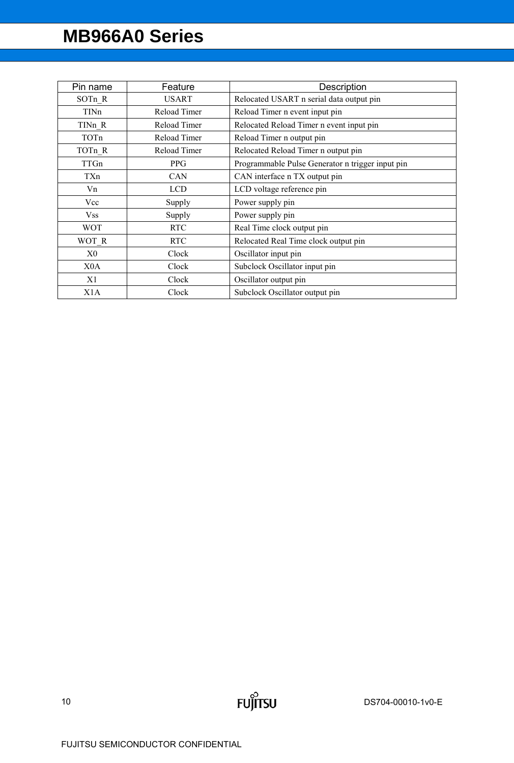| Pin name   | Feature      | Description                                      |
|------------|--------------|--------------------------------------------------|
| SOTn R     | USART        | Relocated USART n serial data output pin         |
| TINn       | Reload Timer | Reload Timer n event input pin                   |
| $TINn_R$   | Reload Timer | Relocated Reload Timer n event input pin         |
| TOTn       | Reload Timer | Reload Timer n output pin                        |
| TOTn R     | Reload Timer | Relocated Reload Timer n output pin              |
| TTGn       | <b>PPG</b>   | Programmable Pulse Generator n trigger input pin |
| TXn        | <b>CAN</b>   | CAN interface n TX output pin                    |
| Vn         | <b>LCD</b>   | LCD voltage reference pin                        |
| Vcc        | Supply       | Power supply pin                                 |
| <b>Vss</b> | Supply       | Power supply pin                                 |
| <b>WOT</b> | <b>RTC</b>   | Real Time clock output pin                       |
| WOT R      | <b>RTC</b>   | Relocated Real Time clock output pin             |
| X0         | Clock        | Oscillator input pin                             |
| X0A        | Clock        | Subclock Oscillator input pin                    |
| X1         | Clock        | Oscillator output pin                            |
| X1A        | Clock        | Subclock Oscillator output pin                   |

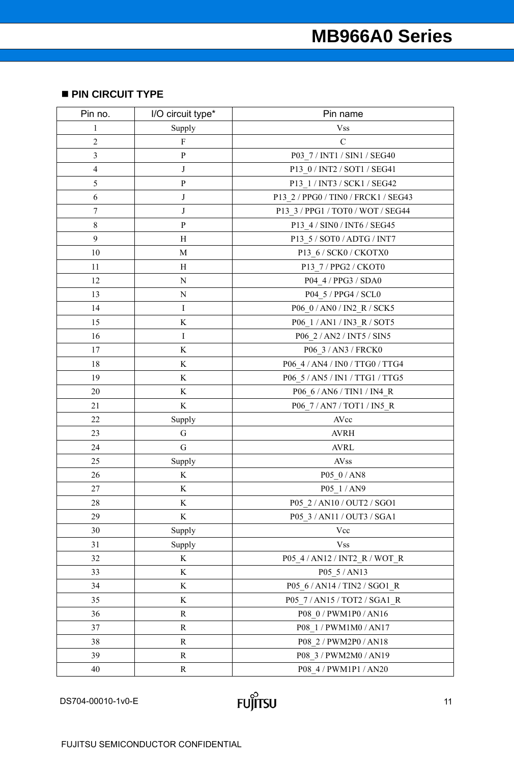### **PIN CIRCUIT TYPE**

| Pin no.        | I/O circuit type* | Pin name                            |
|----------------|-------------------|-------------------------------------|
| 1              | Supply            | <b>Vss</b>                          |
| $\overline{c}$ | ${\bf F}$         | $\mathcal{C}$                       |
| 3              | ${\bf P}$         | P03 7 / INT1 / SIN1 / SEG40         |
| $\overline{4}$ | $\bf J$           | P13 0 / INT2 / SOT1 / SEG41         |
| 5              | ${\bf P}$         | P13 1 / INT3 / SCK1 / SEG42         |
| 6              | $\bf J$           | P13 2 / PPG0 / TIN0 / FRCK1 / SEG43 |
| 7              | J                 | P13_3 / PPG1 / TOT0 / WOT / SEG44   |
| 8              | ${\bf P}$         | P13_4 / SIN0 / INT6 / SEG45         |
| 9              | H                 | P13_5 / SOT0 / ADTG / INT7          |
| 10             | M                 | P13 6 / SCK0 / CKOTX0               |
| 11             | H                 | P13 7/PPG2/CKOT0                    |
| 12             | ${\bf N}$         | P04 4 / PPG3 / SDA0                 |
| 13             | ${\bf N}$         | P04 5 / PPG4 / SCL0                 |
| 14             | $\mathbf I$       | P06 0 / AN0 / IN2_R / SCK5          |
| 15             | $\rm K$           | P06_1 / AN1 / IN3_R / SOT5          |
| 16             | $\bf I$           | P06_2 / AN2 / INT5 / SIN5           |
| 17             | K                 | P06 3 / AN3 / FRCK0                 |
| 18             | K                 | P06_4 / AN4 / IN0 / TTG0 / TTG4     |
| 19             | K                 | P06_5 / AN5 / IN1 / TTG1 / TTG5     |
| 20             | K                 | P06_6 / AN6 / TIN1 / IN4_R          |
| 21             | K                 | P06_7 / AN7 / TOT1 / IN5_R          |
| 22             | Supply            | AVcc                                |
| 23             | G                 | <b>AVRH</b>                         |
| 24             | $\mathbf G$       | <b>AVRL</b>                         |
| 25             | Supply            | AVss                                |
| 26             | K                 | P05_0 / AN8                         |
| 27             | K                 | P05 1/AN9                           |
| 28             | K                 | P05 2 / AN10 / OUT2 / SGO1          |
| 29             | K                 | P05_3 / AN11 / OUT3 / SGA1          |
| 30             | Supply            | Vcc                                 |
| 31             | Supply            | <b>Vss</b>                          |
| 32             | K                 | P05 4/AN12/INT2 R/WOT R             |
| 33             | K                 | P05 5/AN13                          |
| 34             | K                 | P05 6 / AN14 / TIN2 / SGO1 R        |
| 35             | K                 | P05 7 / AN15 / TOT2 / SGA1 R        |
| 36             | $\mathbf R$       | P08 0 / PWM1P0 / AN16               |
| 37             | $\mathbf R$       | P08 1 / PWM1M0 / AN17               |
| 38             | $\mathbf R$       | P08 2 / PWM2P0 / AN18               |
| 39             | $\mathbf R$       | P08 3 / PWM2M0 / AN19               |
| 40             | $\mathbf R$       | P08_4 / PWM1P1 / AN20               |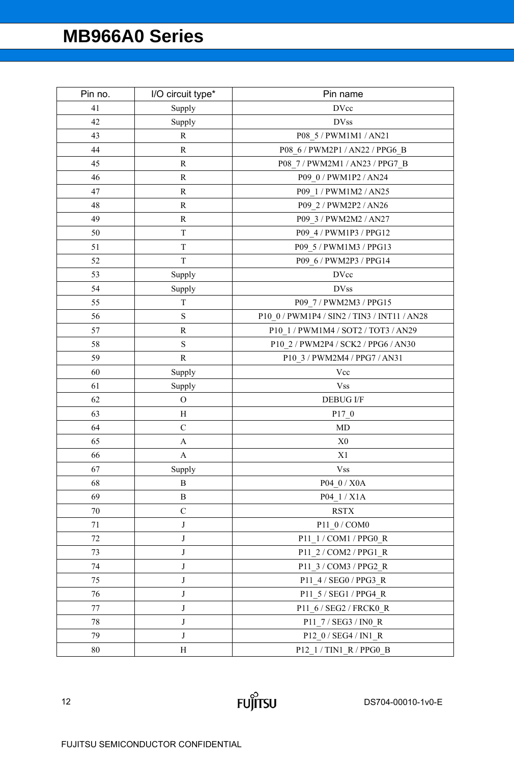| Pin no. | I/O circuit type* | Pin name                                    |
|---------|-------------------|---------------------------------------------|
| 41      | Supply            | <b>DVcc</b>                                 |
| 42      | Supply            | <b>DVss</b>                                 |
| 43      | $\mathbf R$       | P08_5 / PWM1M1 / AN21                       |
| 44      | $\mathbf R$       | P08 6 / PWM2P1 / AN22 / PPG6 B              |
| 45      | ${\bf R}$         | P08_7 / PWM2M1 / AN23 / PPG7_B              |
| 46      | $\mathbf R$       | P09 0 / PWM1P2 / AN24                       |
| 47      | $\mathbf R$       | P09 1 / PWM1M2 / AN25                       |
| 48      | $\mathbf R$       | P09 2 / PWM2P2 / AN26                       |
| 49      | ${\bf R}$         | P09 3 / PWM2M2 / AN27                       |
| 50      | $\mathbf T$       | P09_4 / PWM1P3 / PPG12                      |
| 51      | $\mathbf T$       | P09_5 / PWM1M3 / PPG13                      |
| 52      | $\mathbf T$       | P09_6 / PWM2P3 / PPG14                      |
| 53      | Supply            | <b>DVcc</b>                                 |
| 54      | Supply            | <b>DVss</b>                                 |
| 55      | $\mathbf T$       | P09 7 / PWM2M3 / PPG15                      |
| 56      | ${\bf S}$         | P10 0 / PWM1P4 / SIN2 / TIN3 / INT11 / AN28 |
| 57      | $\mathbf R$       | P10 1 / PWM1M4 / SOT2 / TOT3 / AN29         |
| 58      | ${\bf S}$         | P10 2 / PWM2P4 / SCK2 / PPG6 / AN30         |
| 59      | $\mathbf R$       | P10_3 / PWM2M4 / PPG7 / AN31                |
| 60      | Supply            | Vcc                                         |
| 61      | Supply            | <b>Vss</b>                                  |
| 62      | $\mathcal{O}$     | <b>DEBUG I/F</b>                            |
| 63      | H                 | $P17_0$                                     |
| 64      | $\mathcal{C}$     | MD                                          |
| 65      | $\mathbf{A}$      | X <sub>0</sub>                              |
| 66      | $\mathbf{A}$      | X <sub>1</sub>                              |
| 67      | Supply            | <b>Vss</b>                                  |
| 68      | $\bf{B}$          | P04_0 / X0A                                 |
| 69      | $\bf{B}$          | P04_1 / X1A                                 |
| 70      | $\mathbf C$       | <b>RSTX</b>                                 |
| 71      | $\bf J$           | $P11_0 / COM0$                              |
| 72      | J                 | P11_1 / COM1 / PPG0_R                       |
| 73      | J                 | P11_2 / COM2 / PPG1_R                       |
| 74      | J                 | P11_3 / COM3 / PPG2_R                       |
| 75      | J                 | P11_4 / SEG0 / PPG3_R                       |
| 76      | J                 | P11_5 / SEG1 / PPG4_R                       |
| 77      | $\bf J$           | P11 6 / SEG2 / FRCK0 R                      |
| 78      | J                 | P11_7 / SEG3 / IN0_R                        |
| 79      | $\bf J$           | P12_0 / SEG4 / IN1_R                        |
| $80\,$  | H                 | P12_1 / TIN1_R / PPG0_B                     |

**FUJITSU**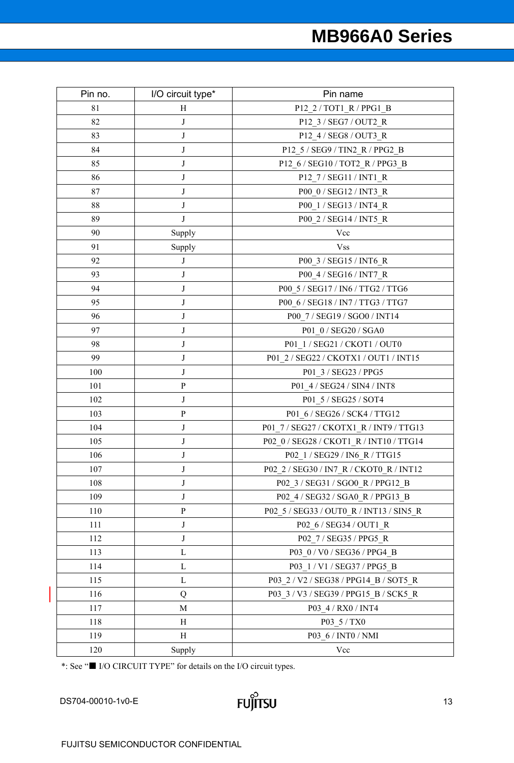| Pin no. | I/O circuit type* | Pin name                                |
|---------|-------------------|-----------------------------------------|
| 81      | H                 | P12 2/TOT1 R/PPG1 B                     |
| 82      | J                 | P12_3 / SEG7 / OUT2_R                   |
| 83      | J                 | P12 4 / SEG8 / OUT3 R                   |
| 84      | J                 | P12_5 / SEG9 / TIN2_R / PPG2_B          |
| 85      | J                 | P12_6 / SEG10 / TOT2_R / PPG3_B         |
| 86      | J                 | P12 7/SEG11/INT1 R                      |
| 87      | J                 | P00 0 / SEG12 / INT3_R                  |
| 88      | J                 | P00_1 / SEG13 / INT4_R                  |
| 89      | J                 | P00 2 / SEG14 / INT5 R                  |
| 90      | Supply            | Vcc                                     |
| 91      | Supply            | <b>Vss</b>                              |
| 92      | J                 | P00_3 / SEG15 / INT6_R                  |
| 93      | J                 | P00_4 / SEG16 / INT7_R                  |
| 94      | J                 | P00 5 / SEG17 / IN6 / TTG2 / TTG6       |
| 95      | J                 | P00 6 / SEG18 / IN7 / TTG3 / TTG7       |
| 96      | J                 | P00 7 / SEG19 / SGO0 / INT14            |
| 97      | J                 | P01 0 / SEG20 / SGA0                    |
| 98      | J                 | P01 1 / SEG21 / CKOT1 / OUT0            |
| 99      | J                 | P01 2 / SEG22 / CKOTX1 / OUT1 / INT15   |
| 100     | J                 | P01 3 / SEG23 / PPG5                    |
| 101     | P                 | P01 4 / SEG24 / SIN4 / INT8             |
| 102     | J                 | P01_5 / SEG25 / SOT4                    |
| 103     | ${\bf P}$         | P01 6 / SEG26 / SCK4 / TTG12            |
| 104     | J                 | P01_7 / SEG27 / CKOTX1_R / INT9 / TTG13 |
| 105     | J                 | P02_0 / SEG28 / CKOT1_R / INT10 / TTG14 |
| 106     | J                 | P02_1 / SEG29 / IN6_R / TTG15           |
| 107     | $\bf J$           | P02_2 / SEG30 / IN7_R / CKOT0_R / INT12 |
| 108     | J                 | P02_3 / SEG31 / SGO0_R / PPG12_B        |
| 109     | J                 | P02 4 / SEG32 / SGA0 R / PPG13 B        |
| 110     | ${\bf P}$         | P02 5 / SEG33 / OUT0 R / INT13 / SIN5 R |
| 111     | J                 | P02_6 / SEG34 / OUT1_R                  |
| 112     | $\bf J$           | P02_7 / SEG35 / PPG5_R                  |
| 113     | L                 | P03 0 / V0 / SEG36 / PPG4 B             |
| 114     | L                 | P03_1 / V1 / SEG37 / PPG5_B             |
| 115     | L                 | P03_2 / V2 / SEG38 / PPG14_B / SOT5_R   |
| 116     | Q                 | P03_3 / V3 / SEG39 / PPG15_B / SCK5_R   |
| 117     | M                 | P03_4 / RX0 / INT4                      |
| 118     | H                 | P03_5 / TX0                             |
| 119     | H                 | P03_6 / INT0 / NMI                      |
| 120     | Supply            | Vcc                                     |

\*: See "■ I/O CIRCUIT TYPE" for details on the I/O circuit types.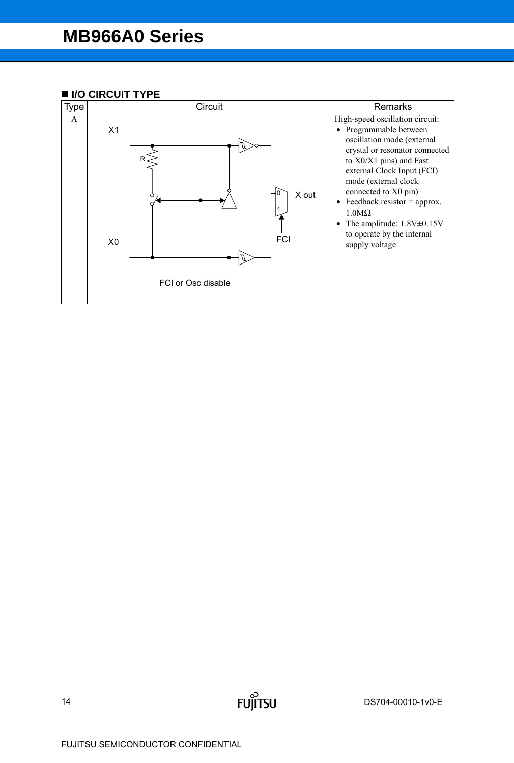

**FUJITSU**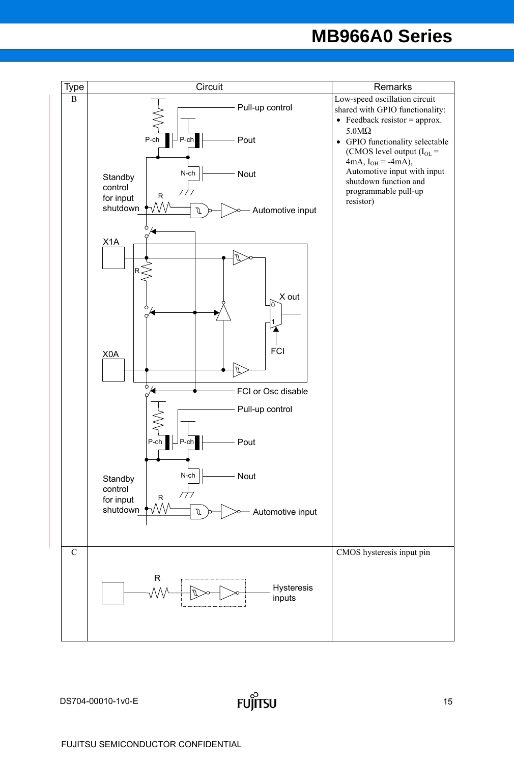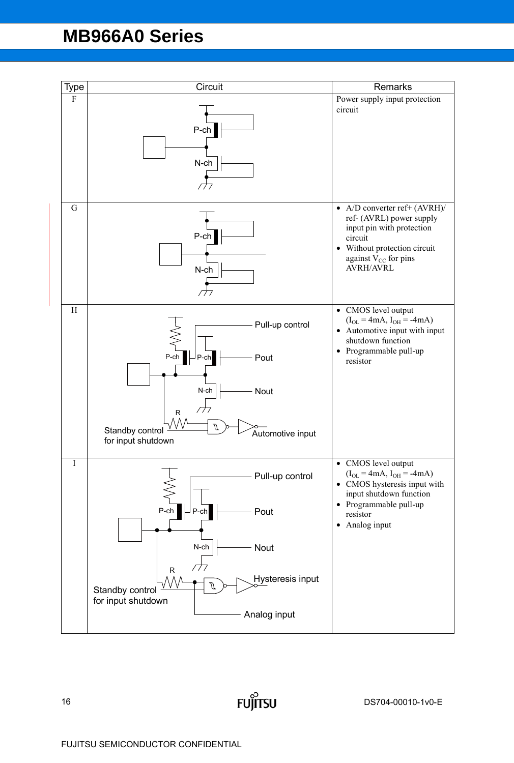

**FUJITSU**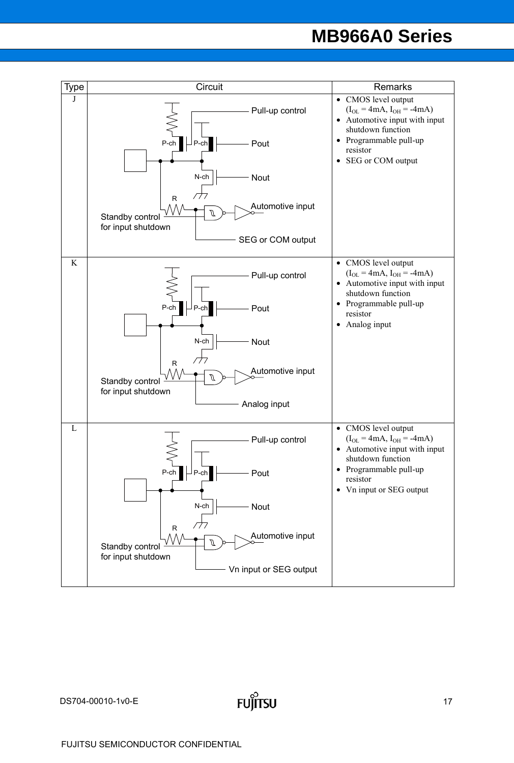| Type         | Circuit                                                        | Remarks                                                                                                      |
|--------------|----------------------------------------------------------------|--------------------------------------------------------------------------------------------------------------|
| J            | Pull-up control                                                | • CMOS level output<br>$(I_{OL} = 4mA, I_{OH} = -4mA)$<br>• Automotive input with input<br>shutdown function |
|              | $P-ch$<br>$P-ch$<br>Pout                                       | Programmable pull-up<br>٠<br>resistor<br>SEG or COM output<br>٠                                              |
|              | N-ch<br><b>Nout</b><br>$\mathsf{R}$                            |                                                                                                              |
|              | Automotive input<br>Standby control<br>for input shutdown      |                                                                                                              |
|              | SEG or COM output                                              |                                                                                                              |
| $\bf K$      | Pull-up control                                                | • CMOS level output<br>$(I_{OL} = 4mA, I_{OH} = -4mA)$<br>• Automotive input with input<br>shutdown function |
|              | $P-ch$<br>$P-ch$<br>Pout                                       | • Programmable pull-up<br>resistor<br>Analog input<br>٠                                                      |
|              | N-ch<br><b>Nout</b><br>R                                       |                                                                                                              |
|              | Automotive input<br>Standby control<br>for input shutdown      |                                                                                                              |
|              | Analog input                                                   |                                                                                                              |
| $\mathbf{L}$ | Pull-up control                                                | • CMOS level output<br>$(I_{OL} = 4mA, I_{OH} = -4mA)$<br>Automotive input with input<br>shutdown function   |
|              | $P-ch$<br>$P-ch$<br>Pout                                       | Programmable pull-up<br>resistor<br>• Vn input or SEG output                                                 |
|              | $N$ -ch<br>Nout<br>ΠΤ<br>R                                     |                                                                                                              |
|              | Automotive input<br>I<br>Standby control<br>for input shutdown |                                                                                                              |
|              | Vn input or SEG output                                         |                                                                                                              |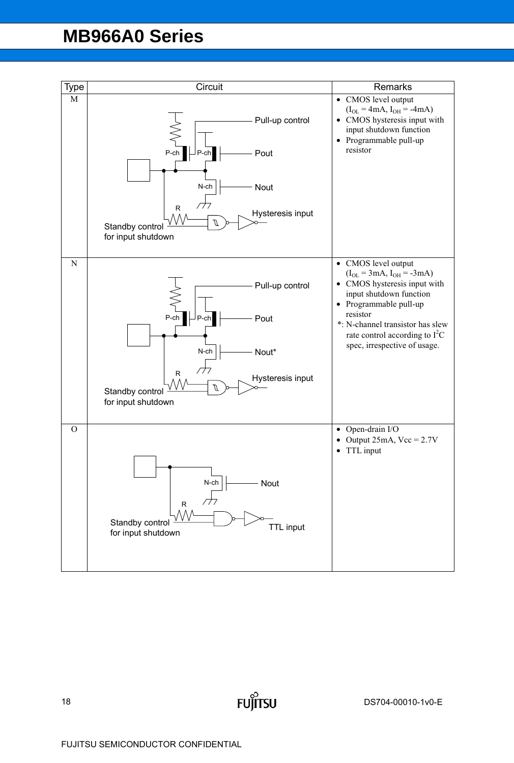| Type           | Circuit                                                                                                                             | Remarks                                                                                                                                                                                                                                                         |
|----------------|-------------------------------------------------------------------------------------------------------------------------------------|-----------------------------------------------------------------------------------------------------------------------------------------------------------------------------------------------------------------------------------------------------------------|
| M              | Pull-up control<br>P-ch<br>$P-ch$<br>Pout<br>N-ch<br><b>Nout</b><br>R<br>Hysteresis input<br>Standby control<br>for input shutdown  | • CMOS level output<br>$(I_{OL} = 4mA, I_{OH} = -4mA)$<br>• CMOS hysteresis input with<br>input shutdown function<br>• Programmable pull-up<br>resistor                                                                                                         |
| N              | Pull-up control<br>P-ch<br>$P-ch$<br>Pout<br>N-ch<br>Nout*<br>/77<br>R<br>Hysteresis input<br>Standby control<br>for input shutdown | • CMOS level output<br>$(I_{OL} = 3mA, I_{OH} = -3mA)$<br>• CMOS hysteresis input with<br>input shutdown function<br>• Programmable pull-up<br>resistor<br>*: N-channel transistor has slew<br>rate control according to $I^2C$<br>spec, irrespective of usage. |
| $\overline{O}$ | N-ch<br>Nout<br>${\sf R}$<br>Standby control<br><b>TTL</b> input<br>for input shutdown                                              | Open-drain I/O<br>$\bullet$<br>Output $25mA$ , $Vcc = 2.7V$<br>٠<br>TTL input                                                                                                                                                                                   |

**FUJITSU**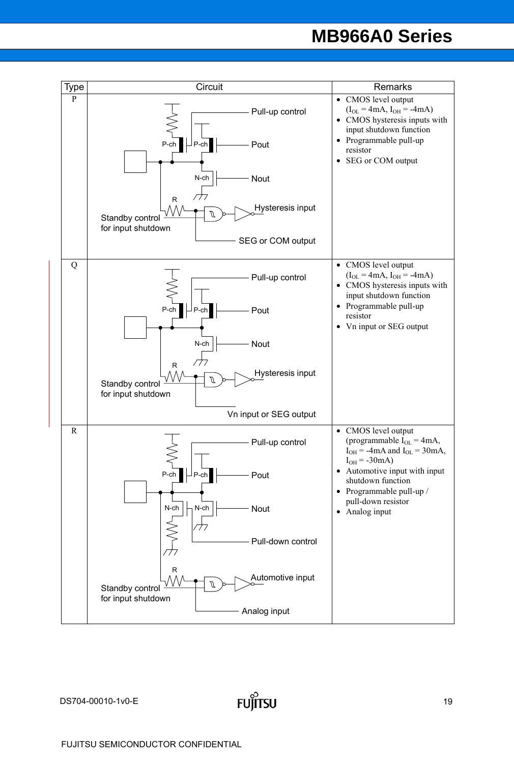

**FUILTSU** 

19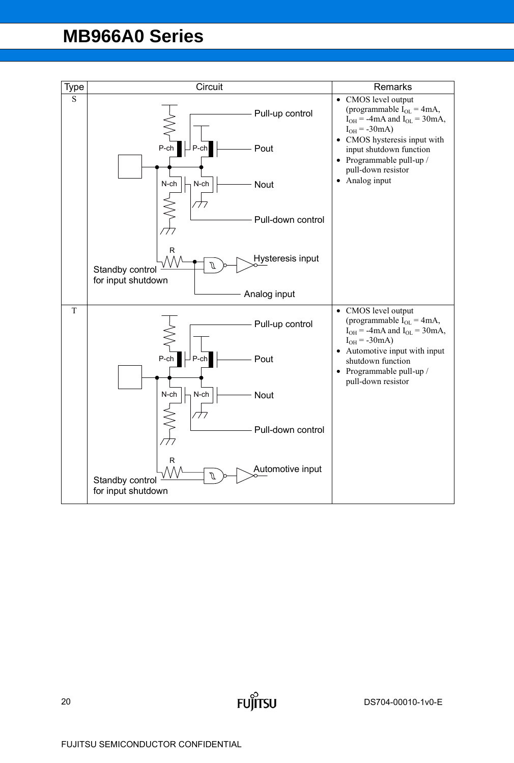

**FUJITSU**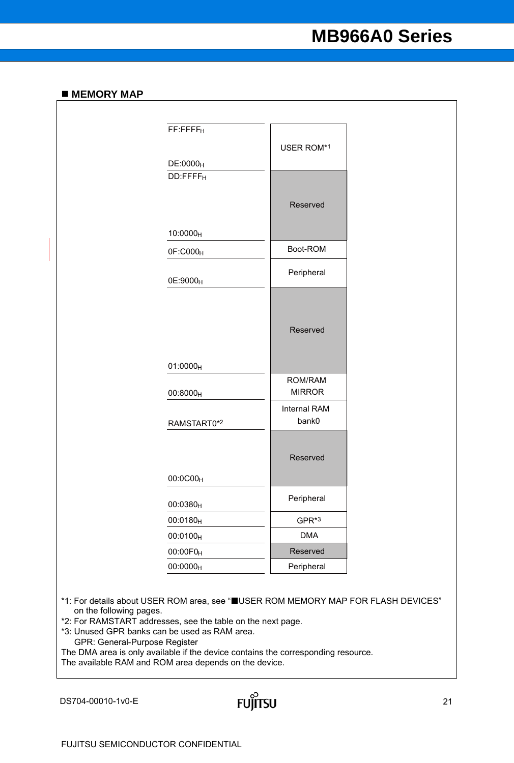### **MEMORY MAP**

| USER ROM*1                   |
|------------------------------|
|                              |
| Reserved                     |
| Boot-ROM                     |
|                              |
| Peripheral                   |
| Reserved                     |
| ROM/RAM                      |
| <b>MIRROR</b>                |
| <b>Internal RAM</b><br>bank0 |
| Reserved                     |
| Peripheral                   |
|                              |
| GPR <sup>*3</sup>            |
| <b>DMA</b>                   |
| Reserved                     |
|                              |

\*1: For details about USER ROM area, see "USER ROM MEMORY MAP FOR FLASH DEVICES" on the following pages.

\*2: For RAMSTART addresses, see the table on the next page.

\*3: Unused GPR banks can be used as RAM area.

GPR: General-Purpose Register

The DMA area is only available if the device contains the corresponding resource. The available RAM and ROM area depends on the device.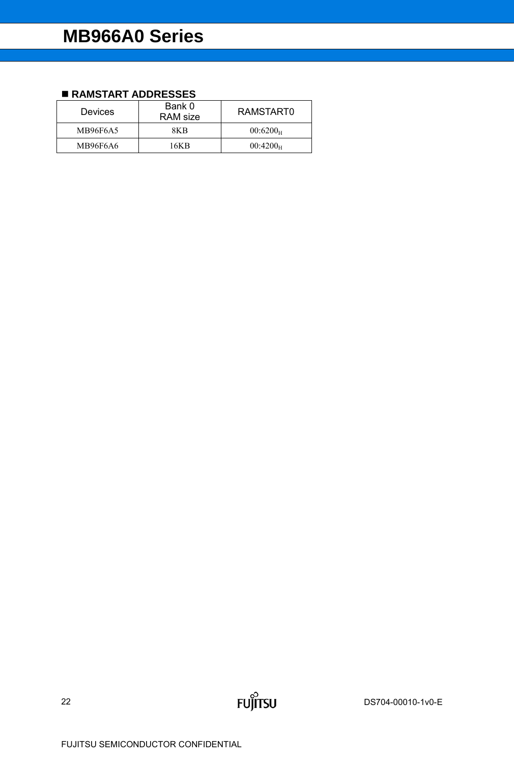### **RAMSTART ADDRESSES**

| <b>Devices</b>  | Bank 0<br>RAM size | RAMSTART0   |
|-----------------|--------------------|-------------|
| <b>MB96F6A5</b> | 8K B               | $00:6200_H$ |
| MB96F6A6        | 16K B              | $00:4200_H$ |

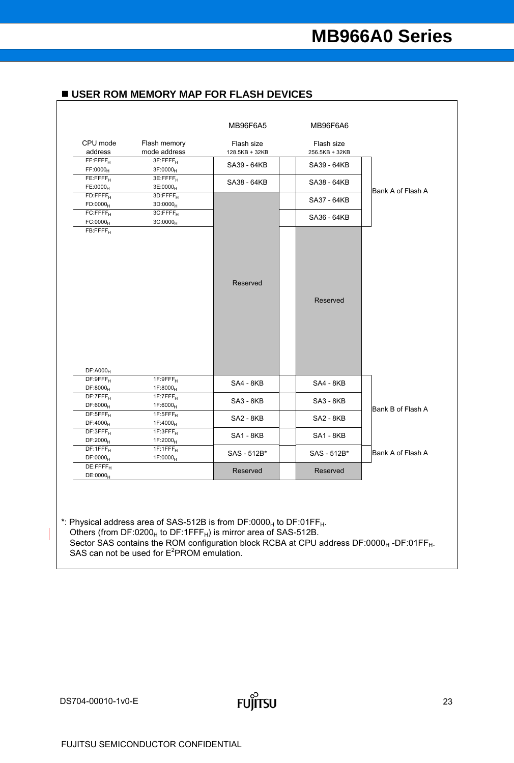|                                              |                                              | MB96F6A5                     | MB96F6A6                     |                   |
|----------------------------------------------|----------------------------------------------|------------------------------|------------------------------|-------------------|
| CPU mode<br>address                          | Flash memory<br>mode address                 | Flash size<br>128.5KB + 32KB | Flash size<br>256.5KB + 32KB |                   |
| FF:FFFF <sub>H</sub><br>FF:0000H             | 3F:FFFF <sub>H</sub><br>3F:0000H             | SA39 - 64KB                  | SA39 - 64KB                  |                   |
| FE:FFFF <sub>H</sub><br>FE:0000 <sub>H</sub> | 3E:FFFF <sub>H</sub><br>3E:0000 <sub>H</sub> | SA38 - 64KB                  | SA38 - 64KB                  | Bank A of Flash A |
| $FD:$ FFFF $F_H$<br>FD:0000 <sub>H</sub>     | 3D:FFFF <sub>H</sub><br>$3D:0000_{H}$        |                              | SA37 - 64KB                  |                   |
| FC:FFFF <sub>H</sub><br>FC:0000 <sub>H</sub> | 3C:FFFF <sub>H</sub><br>3C:0000H             |                              | SA36 - 64KB                  |                   |
| DF: A000 <sub>H</sub><br>$DF:9$ FFF $H$      | 1F:9FFF <sub>H</sub>                         | Reserved                     | Reserved                     |                   |
| DF:8000 <sub>H</sub>                         | 1F:8000 <sub>H</sub>                         | <b>SA4 - 8KB</b>             | <b>SA4 - 8KB</b>             |                   |
| $DF:7FFF_H$<br>DF:6000 <sub>H</sub>          | $1F:7FFF_H$<br>1F:6000 <sub>H</sub>          | <b>SA3 - 8KB</b>             | <b>SA3 - 8KB</b>             | Bank B of Flash A |
| $DF:5FFF_H$<br>DF:4000 <sub>H</sub>          | 1F:5FFF <sub>H</sub><br>1F:4000 <sub>H</sub> | <b>SA2 - 8KB</b>             | <b>SA2 - 8KB</b>             |                   |
|                                              | 1F:3FFF <sub>H</sub>                         | <b>SA1 - 8KB</b>             | <b>SA1 - 8KB</b>             |                   |
| $DF:3FFF_H$<br>DF:2000 <sub>H</sub>          | 1F:2000 <sub>H</sub>                         |                              |                              |                   |
| $DF:1$ FFF $H$<br>DF:0000 <sub>H</sub>       | $1F:1FFF_H$<br>1F:0000 <sub>H</sub>          | SAS - 512B*                  | SAS - 512B*                  | Bank A of Flash A |

### **USER ROM MEMORY MAP FOR FLASH DEVICES**

\*: Physical address area of SAS-512B is from DF:0000 $_{\rm H}$  to DF:01FF $_{\rm H}$ .

Others (from DF:0200<sub>H</sub> to DF:1FFF<sub>H</sub>) is mirror area of SAS-512B.

Sector SAS contains the ROM configuration block RCBA at CPU address DF:0000<sub>H</sub> -DF:01FF<sub>H</sub>. SAS can not be used for  $E^2$ PROM emulation.

 $\mathsf{l}$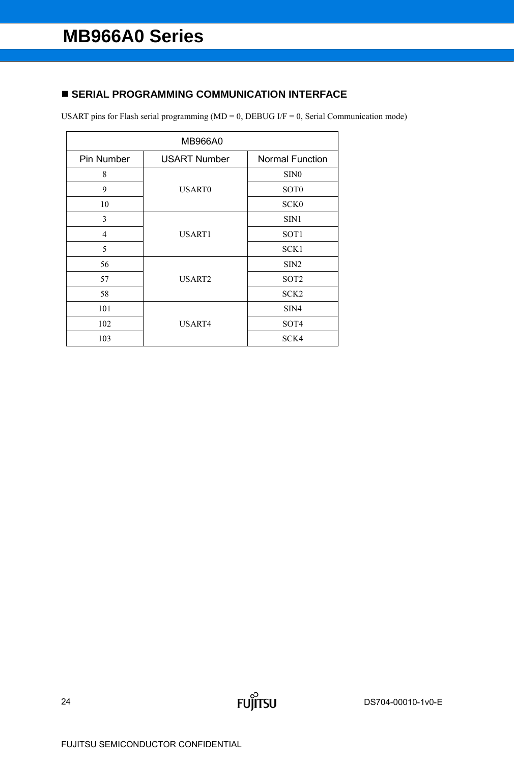### **SERIAL PROGRAMMING COMMUNICATION INTERFACE**

USART pins for Flash serial programming ( $MD = 0$ ,  $DEBUG I/F = 0$ , Serial Communication mode)

**FUJITSU** 

| <b>MB966A0</b> |                     |                        |  |  |
|----------------|---------------------|------------------------|--|--|
| Pin Number     | <b>USART Number</b> | <b>Normal Function</b> |  |  |
| 8              |                     | SIN <sub>0</sub>       |  |  |
| 9              | <b>USART0</b>       | SOT <sub>0</sub>       |  |  |
| 10             |                     | SCK <sub>0</sub>       |  |  |
| 3              | USART1              | SIN1                   |  |  |
| 4              |                     | SOT1                   |  |  |
| 5              |                     | SCK1                   |  |  |
| 56             | USART2              | SIN <sub>2</sub>       |  |  |
| 57             |                     | SOT <sub>2</sub>       |  |  |
| 58             |                     | SCK <sub>2</sub>       |  |  |
| 101            |                     | SIN <sub>4</sub>       |  |  |
| 102            | USART4              | SOT <sub>4</sub>       |  |  |
| 103            |                     | SCK4                   |  |  |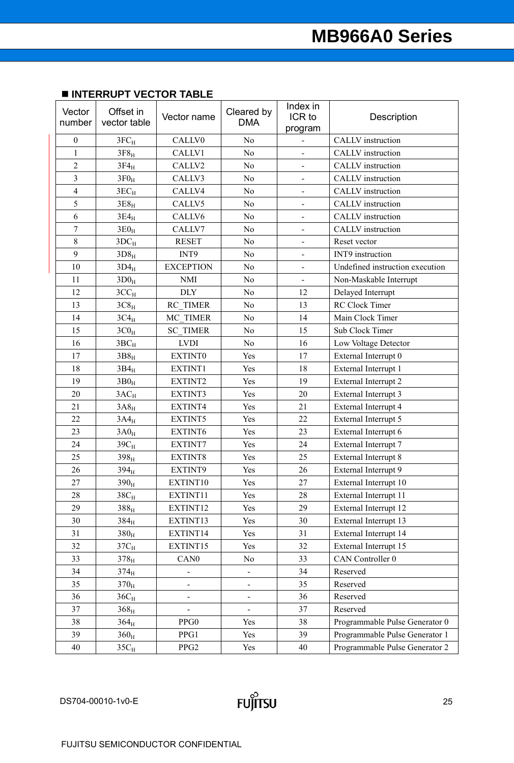### **INTERRUPT VECTOR TABLE**

| Vector<br>number | Offset in<br>vector table | Vector name              | Cleared by<br><b>DMA</b>     | Index in<br>ICR to<br>program | Description                     |  |
|------------------|---------------------------|--------------------------|------------------------------|-------------------------------|---------------------------------|--|
| $\mathbf{0}$     | $3FC_H$                   | <b>CALLV0</b>            | N <sub>o</sub>               | $\blacksquare$                | CALLV instruction               |  |
| $\mathbf{1}$     | $3F8_H$                   | CALLV1                   | N <sub>o</sub>               | $\blacksquare$                | CALLV instruction               |  |
| $\overline{2}$   | $3F4_H$                   | CALLV2                   | N <sub>o</sub>               |                               | <b>CALLV</b> instruction        |  |
| $\overline{3}$   | 3F0 <sub>H</sub>          | CALLV3                   | N <sub>o</sub>               | $\blacksquare$                | <b>CALLV</b> instruction        |  |
| $\overline{4}$   | $3EC_H$                   | CALLV4                   | N <sub>o</sub>               | $\blacksquare$                | CALLV instruction               |  |
| 5                | $3E8_{\rm H}$             | CALLV5                   | N <sub>o</sub>               | $\blacksquare$                | <b>CALLV</b> instruction        |  |
| 6                | $3E4_H$                   | CALLV6                   | N <sub>o</sub>               | $\blacksquare$                | CALLV instruction               |  |
| $\overline{7}$   | 3E0 <sub>H</sub>          | CALLV7                   | N <sub>o</sub>               | $\blacksquare$                | CALLV instruction               |  |
| 8                | $3DC_H$                   | <b>RESET</b>             | N <sub>o</sub>               | $\blacksquare$                | Reset vector                    |  |
| 9                | $3D8_H$                   | INT9                     | N <sub>o</sub>               | $\blacksquare$                | INT9 instruction                |  |
| 10               | $3D4_H$                   | <b>EXCEPTION</b>         | No                           | $\blacksquare$                | Undefined instruction execution |  |
| 11               | 3D0 <sub>H</sub>          | <b>NMI</b>               | No                           |                               | Non-Maskable Interrupt          |  |
| 12               | $3CC_H$                   | <b>DLY</b>               | N <sub>0</sub>               | 12                            | Delayed Interrupt               |  |
| 13               | $3C8_H$                   | RC TIMER                 | N <sub>o</sub>               | 13                            | <b>RC</b> Clock Timer           |  |
| 14               | $3C4_H$                   | MC TIMER                 | N <sub>o</sub>               | 14                            | Main Clock Timer                |  |
| 15               | $3C0_H$                   | <b>SC TIMER</b>          | N <sub>o</sub>               | 15                            | Sub Clock Timer                 |  |
| 16               | $3BC_H$                   | <b>LVDI</b>              | N <sub>o</sub>               | 16                            | Low Voltage Detector            |  |
| 17               | $3B8_H$                   | EXTINT0                  | Yes                          | 17                            | External Interrupt 0            |  |
| 18               | $3B4_H$                   | EXTINT1                  | Yes                          | 18                            | External Interrupt 1            |  |
| 19               | 3B0 <sub>H</sub>          | EXTINT2                  | Yes                          | 19                            | External Interrupt 2            |  |
| 20               | $3AC_H$                   | EXTINT3                  | Yes                          | 20                            | External Interrupt 3            |  |
| 21               | $3A8_H$                   | EXTINT4                  | Yes                          | 21                            | External Interrupt 4            |  |
| 22               | $3A4_H$                   | EXTINT5                  | Yes                          | 22                            | External Interrupt 5            |  |
| 23               | $3A0_H$                   | EXTINT6                  | Yes                          | 23                            | External Interrupt 6            |  |
| 24               | $39C_H$                   | EXTINT7                  | Yes                          | 24                            | External Interrupt 7            |  |
| 25               | $398_H$                   | EXTINT8                  | Yes                          | 25                            | <b>External Interrupt 8</b>     |  |
| 26               | $394_H$                   | EXTINT9                  | Yes                          | 26                            | External Interrupt 9            |  |
| 27               | $390_H$                   | EXTINT10                 | Yes                          | 27                            | External Interrupt 10           |  |
| 28               | $38C_H$                   | EXTINT11                 | Yes                          | 28                            | External Interrupt 11           |  |
| 29               | $388_H$                   | EXTINT12                 | Yes                          | 29                            | External Interrupt 12           |  |
| 30               | $384_H$                   | EXTINT13                 | Yes                          | 30                            | External Interrupt 13           |  |
| 31               | $380_H$                   | EXTINT14                 | Yes                          | 31                            | External Interrupt 14           |  |
| 32               | $37C_H$                   | EXTINT15                 | Yes                          | 32                            | External Interrupt 15           |  |
| 33               | $378_H$                   | CAN <sub>0</sub>         | N <sub>o</sub>               | 33                            | CAN Controller 0                |  |
| 34               | $374_H$                   | ÷                        | $\blacksquare$               | 34                            | Reserved                        |  |
| 35               | $370_H$                   | $\overline{\phantom{0}}$ | $\qquad \qquad \blacksquare$ | 35                            | Reserved                        |  |
| 36               | $36C_H$                   | $\overline{\phantom{0}}$ | $\qquad \qquad \blacksquare$ | 36                            | Reserved                        |  |
| 37               | $368_H$                   | $\overline{\phantom{0}}$ | $\blacksquare$               | 37                            | Reserved                        |  |
| 38               | $364_H$                   | PPG <sub>0</sub>         | Yes                          | 38                            | Programmable Pulse Generator 0  |  |
| 39               | $360_H$                   | PPG1                     | Yes                          | 39                            | Programmable Pulse Generator 1  |  |
| 40               | $35 \rm{C_H}$             | PPG <sub>2</sub>         | Yes                          | 40                            | Programmable Pulse Generator 2  |  |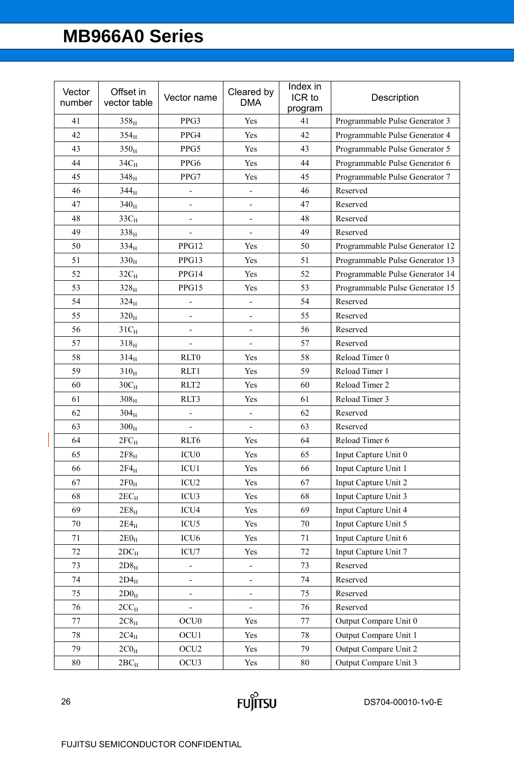| Vector<br>number | Offset in<br>vector table | Vector name                  | Cleared by<br><b>DMA</b>     | Index in<br>ICR to<br>program | Description                     |  |
|------------------|---------------------------|------------------------------|------------------------------|-------------------------------|---------------------------------|--|
| 41               | $358_H$                   | PPG3                         | Yes                          | 41                            | Programmable Pulse Generator 3  |  |
| 42               | $354_H$                   | PPG4                         | Yes                          | 42                            | Programmable Pulse Generator 4  |  |
| 43               | $350_H$                   | PPG5                         | Yes                          | 43                            | Programmable Pulse Generator 5  |  |
| 44               | $34C_H$                   | PPG6                         | Yes                          | 44                            | Programmable Pulse Generator 6  |  |
| 45               | $348_H$                   | PPG7                         | Yes                          | 45                            | Programmable Pulse Generator 7  |  |
| 46               | $344_H$                   |                              | $\qquad \qquad \blacksquare$ | 46                            | Reserved                        |  |
| 47               | $340_H$                   | $\qquad \qquad \blacksquare$ | $\qquad \qquad \blacksquare$ | 47                            | Reserved                        |  |
| 48               | $33C_H$                   | $\overline{a}$               | $\blacksquare$               | 48                            | Reserved                        |  |
| 49               | $338_H$                   | $\overline{\phantom{0}}$     | $\qquad \qquad \blacksquare$ | 49                            | Reserved                        |  |
| 50               | $334_H$                   | PPG12                        | Yes                          | 50                            | Programmable Pulse Generator 12 |  |
| 51               | $330_H$                   | PPG13                        | Yes                          | 51                            | Programmable Pulse Generator 13 |  |
| 52               | $32C_H$                   | PPG14                        | Yes                          | 52                            | Programmable Pulse Generator 14 |  |
| 53               | $328_H$                   | PPG15                        | Yes                          | 53                            | Programmable Pulse Generator 15 |  |
| 54               | $324_H$                   |                              |                              | 54                            | Reserved                        |  |
| 55               | $320_H$                   | $\overline{\phantom{0}}$     | $\qquad \qquad \blacksquare$ | 55                            | Reserved                        |  |
| 56               | $31C_H$                   | $\overline{a}$               | $\overline{a}$               | 56                            | Reserved                        |  |
| 57               | $318_H$                   |                              |                              | 57                            | Reserved                        |  |
| 58               | $314_H$                   | RLT0                         | Yes                          | 58                            | Reload Timer 0                  |  |
| 59               | $310_H$                   | RLT1                         | Yes                          | 59                            | Reload Timer 1                  |  |
| 60               | $30C_H$                   | RLT2                         | Yes                          | 60                            | Reload Timer 2                  |  |
| 61               | $308_H$                   | RLT3                         | Yes                          | 61                            | Reload Timer 3                  |  |
| 62               | $304_H$                   | -                            | $\overline{\phantom{a}}$     | 62                            | Reserved                        |  |
| 63               | $300_H$                   | $\overline{a}$               | $\overline{a}$               | 63                            | Reserved                        |  |
| 64               | $2FC_H$                   | RLT6                         | Yes                          | 64                            | Reload Timer 6                  |  |
| 65               | $2F8_{\rm H}$             | ICU <sub>0</sub>             | Yes                          | 65                            | Input Capture Unit 0            |  |
| 66               | $2F4_H$                   | ICU1                         | Yes                          | 66                            | Input Capture Unit 1            |  |
| 67               | $2F0_H$                   | ICU <sub>2</sub>             | Yes                          | 67                            | Input Capture Unit 2            |  |
| 68               | $2EC_{H}$                 | ICU3                         | Yes                          | 68                            | Input Capture Unit 3            |  |
| 69               | $2E8_H$                   | ICU4                         | Yes                          | 69                            | Input Capture Unit 4            |  |
| 70               | $2E4_H$                   | ICU <sub>5</sub>             | Yes                          | 70                            | Input Capture Unit 5            |  |
| 71               | 2E0 <sub>H</sub>          | ICU6                         | Yes                          | 71                            | Input Capture Unit 6            |  |
| 72               | $2DC_H$                   | ICU7                         | Yes                          | 72                            | Input Capture Unit 7            |  |
| 73               | $2D8_H$                   | $\overline{\phantom{0}}$     | $\blacksquare$               | 73                            | Reserved                        |  |
| 74               | $2D4_H$                   | -                            | $\overline{\phantom{0}}$     | 74                            | Reserved                        |  |
| 75               | 2D0 <sub>H</sub>          | -                            | $\qquad \qquad \blacksquare$ | 75                            | Reserved                        |  |
| 76               | $2CC_H$                   |                              | $\overline{\phantom{a}}$     | 76                            | Reserved                        |  |
| 77               | $2C8_H$                   | OCU <sub>0</sub>             | Yes                          | 77                            | Output Compare Unit 0           |  |
| 78               | $2C4_H$                   | OCU1                         | Yes                          | 78                            | Output Compare Unit 1           |  |
| 79               | $2CO_H$                   | OCU <sub>2</sub>             | Yes                          | 79                            | Output Compare Unit 2           |  |
| $80\,$           | $2BC_H$                   | OCU <sub>3</sub>             | Yes                          | $80\,$                        | Output Compare Unit 3           |  |



 $\overline{\phantom{a}}$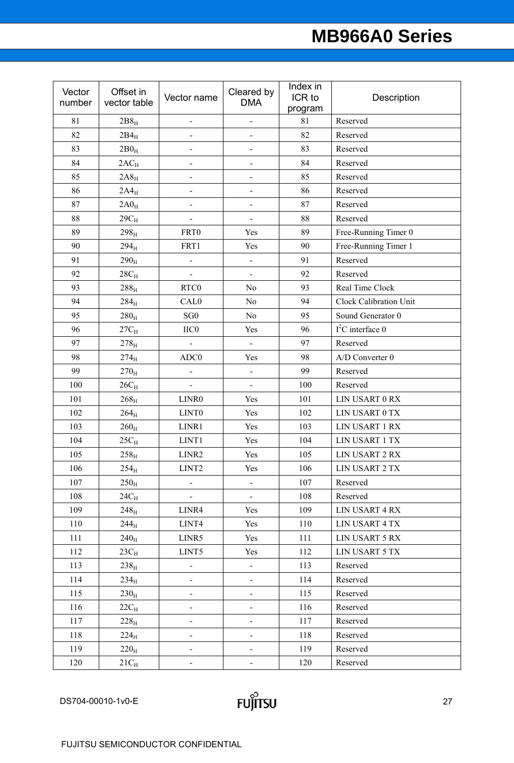| Vector<br>number | Offset in<br>vector table | Vector name                  | Cleared by<br><b>DMA</b>     | Index in<br>ICR to<br>program | Description            |  |
|------------------|---------------------------|------------------------------|------------------------------|-------------------------------|------------------------|--|
| 81               | $2B8_H$                   | $\blacksquare$               |                              | 81                            | Reserved               |  |
| 82               | $2B4_H$                   |                              | $\qquad \qquad \blacksquare$ | 82                            | Reserved               |  |
| 83               | $2\mathrm{B0_H}$          |                              | $\qquad \qquad \blacksquare$ | 83                            | Reserved               |  |
| 84               | $2AC_H$                   | $\overline{a}$               | $\overline{a}$               | 84                            | Reserved               |  |
| 85               | $2A8_H$                   | $\frac{1}{2}$                | $\qquad \qquad \blacksquare$ | 85                            | Reserved               |  |
| 86               | $2A4_H$                   |                              | $\overline{\phantom{a}}$     | 86                            | Reserved               |  |
| 87               | $2A0_H$                   | $\overline{a}$               | $\overline{\phantom{a}}$     | 87                            | Reserved               |  |
| 88               | $29C_H$                   | $\frac{1}{2}$                | $\frac{1}{2}$                | 88                            | Reserved               |  |
| 89               | $298_H$                   | FRT0                         | Yes                          | 89                            | Free-Running Timer 0   |  |
| 90               | $294_{\rm H}$             | FRT1                         | Yes                          | 90                            | Free-Running Timer 1   |  |
| 91               | $290_{\rm H}$             | $\overline{\phantom{a}}$     | $\frac{1}{2}$                | 91                            | Reserved               |  |
| 92               | $28C_H$                   |                              | $\blacksquare$               | 92                            | Reserved               |  |
| 93               | $288_H$                   | RTC0                         | No                           | 93                            | Real Time Clock        |  |
| 94               | $284_H$                   | CAL <sub>0</sub>             | No                           | 94                            | Clock Calibration Unit |  |
| 95               | $280_H$                   | $SG0$                        | No                           | 95                            | Sound Generator 0      |  |
| 96               | $27C_H$                   | IIC <sub>0</sub>             | Yes                          | 96                            | $I2C$ interface 0      |  |
| 97               | $278_H$                   |                              | $\overline{a}$               | 97                            | Reserved               |  |
| 98               | $274_H$                   | ADC0                         | Yes                          | 98                            | A/D Converter 0        |  |
| 99               | $270_H$                   | $\qquad \qquad \blacksquare$ | $\qquad \qquad \blacksquare$ | 99                            | Reserved               |  |
| 100              | $26C_H$                   |                              |                              | 100                           | Reserved               |  |
| 101              | $268_H$                   | LINR0                        | Yes                          | 101                           | LIN USART 0 RX         |  |
| 102              | $264_H$                   | LINT <sub>0</sub>            | Yes                          | 102                           | LIN USART 0 TX         |  |
| 103              | $260_H$                   | LINR1                        | Yes                          | 103                           | LIN USART 1 RX         |  |
| 104              | $25C_H$                   | LINT1                        | Yes                          | 104                           | <b>LIN USART 1 TX</b>  |  |
| 105              | $258_{\rm H}$             | LINR2                        | Yes                          | 105                           | LIN USART 2 RX         |  |
| 106              | $254_{\rm H}$             | LINT <sub>2</sub>            | Yes                          | 106                           | LIN USART 2 TX         |  |
| 107              | $250_H$                   | $\overline{\phantom{a}}$     | $\frac{1}{2}$                | 107                           | Reserved               |  |
| 108              | $24C_H$                   | $\mathbf{r}$                 | $\blacksquare$               | 108                           | Reserved               |  |
| 109              | $248_H$                   | LINR4                        | Yes                          | 109                           | LIN USART 4 RX         |  |
| 110              | $244_H$                   | LINT4                        | Yes                          | 110                           | <b>LIN USART 4 TX</b>  |  |
| 111              | $240_H$                   | LINR5                        | Yes                          | 111                           | LIN USART 5 RX         |  |
| 112              | $23C_H$                   | LINT5                        | Yes                          | 112                           | LIN USART 5 TX         |  |
| 113              | $238_H$                   | $\qquad \qquad \blacksquare$ | $\qquad \qquad \blacksquare$ | 113                           | Reserved               |  |
| 114              | $234_H$                   | $\blacksquare$               | $\blacksquare$               | 114                           | Reserved               |  |
| 115              | $230_H$                   | $\overline{\phantom{0}}$     | $\overline{\phantom{0}}$     | 115                           | Reserved               |  |
| 116              | $22C_H$                   | $\blacksquare$               | $\overline{\phantom{0}}$     | 116                           | Reserved               |  |
| 117              | $228_H$                   | $\qquad \qquad \blacksquare$ | $\qquad \qquad \blacksquare$ | 117                           | Reserved               |  |
| 118              | $224_{\rm H}$             | $\blacksquare$               | $\overline{\phantom{0}}$     | 118                           | Reserved               |  |
| 119              | $220_H$                   |                              | $\overline{\phantom{a}}$     | 119                           | Reserved               |  |
| 120              | $21C_H$                   | $\overline{\phantom{0}}$     |                              | 120                           | Reserved               |  |

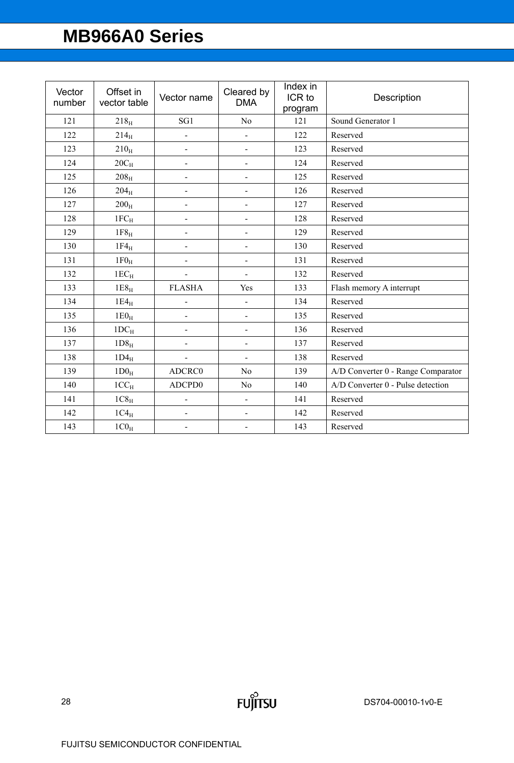| Vector<br>number | Offset in<br>vector table | Vector name              | Cleared by<br><b>DMA</b> | Index in<br>ICR to<br>program | Description                        |  |
|------------------|---------------------------|--------------------------|--------------------------|-------------------------------|------------------------------------|--|
| 121              | $218_H$                   | SG1                      | N <sub>o</sub>           | 121                           | Sound Generator 1                  |  |
| 122              | $214_H$                   | $\blacksquare$           |                          | 122                           | Reserved                           |  |
| 123              | $210_H$                   | $\blacksquare$           | $\overline{a}$           | 123                           | Reserved                           |  |
| 124              | $20C_H$                   | $\blacksquare$           |                          | 124                           | Reserved                           |  |
| 125              | $208_H$                   | $\blacksquare$           | $\overline{a}$           | 125                           | Reserved                           |  |
| 126              | $204_H$                   | $\overline{\phantom{a}}$ |                          | 126                           | Reserved                           |  |
| 127              | $200_H$                   | $\blacksquare$           | $\overline{\phantom{0}}$ | 127                           | Reserved                           |  |
| 128              | $1FC_H$                   | $\blacksquare$           |                          | 128                           | Reserved                           |  |
| 129              | 1F8 <sub>H</sub>          | $\overline{\phantom{a}}$ | $\overline{a}$           | 129                           | Reserved                           |  |
| 130              | $1F4_H$                   |                          |                          | 130                           | Reserved                           |  |
| 131              | 1F0 <sub>H</sub>          |                          |                          | 131                           | Reserved                           |  |
| 132              | $1EC_{H}$                 |                          |                          | 132                           | Reserved                           |  |
| 133              | 1E8 <sub>H</sub>          | <b>FLASHA</b>            | Yes                      | 133                           | Flash memory A interrupt           |  |
| 134              | $1E4_H$                   |                          | $\overline{a}$           | 134                           | Reserved                           |  |
| 135              | 1E0 <sub>H</sub>          | $\blacksquare$           | $\overline{\phantom{0}}$ | 135                           | Reserved                           |  |
| 136              | $1DC_H$                   | $\blacksquare$           | $\overline{\phantom{0}}$ | 136                           | Reserved                           |  |
| 137              | 1D8 <sub>H</sub>          | $\blacksquare$           | ÷,                       | 137                           | Reserved                           |  |
| 138              | $1D4_H$                   | $\blacksquare$           | $\overline{a}$           | 138                           | Reserved                           |  |
| 139              | 1D0 <sub>H</sub>          | ADCRC0                   | N <sub>0</sub>           | 139                           | A/D Converter 0 - Range Comparator |  |
| 140              | $1CC_H$                   | ADCPD0                   | N <sub>o</sub>           | 140                           | A/D Converter 0 - Pulse detection  |  |
| 141              | $1C8_H$                   |                          |                          | 141                           | Reserved                           |  |
| 142              | $1C4_H$                   | $\blacksquare$           | $\overline{a}$           | 142                           | Reserved                           |  |
| 143              | 1CO <sub>H</sub>          |                          |                          | 143                           | Reserved                           |  |

**FUJITSU**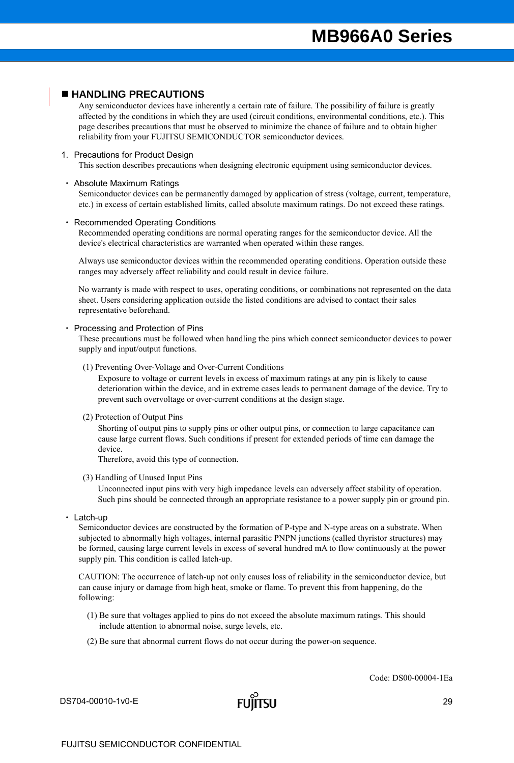### **HANDLING PRECAUTIONS**

Any semiconductor devices have inherently a certain rate of failure. The possibility of failure is greatly affected by the conditions in which they are used (circuit conditions, environmental conditions, etc.). This page describes precautions that must be observed to minimize the chance of failure and to obtain higher reliability from your FUJITSU SEMICONDUCTOR semiconductor devices.

### 1. Precautions for Product Design

This section describes precautions when designing electronic equipment using semiconductor devices.

### Absolute Maximum Ratings

Semiconductor devices can be permanently damaged by application of stress (voltage, current, temperature, etc.) in excess of certain established limits, called absolute maximum ratings. Do not exceed these ratings.

### Recommended Operating Conditions

Recommended operating conditions are normal operating ranges for the semiconductor device. All the device's electrical characteristics are warranted when operated within these ranges.

Always use semiconductor devices within the recommended operating conditions. Operation outside these ranges may adversely affect reliability and could result in device failure.

No warranty is made with respect to uses, operating conditions, or combinations not represented on the data sheet. Users considering application outside the listed conditions are advised to contact their sales representative beforehand.

### Processing and Protection of Pins

These precautions must be followed when handling the pins which connect semiconductor devices to power supply and input/output functions.

(1) Preventing Over-Voltage and Over-Current Conditions

Exposure to voltage or current levels in excess of maximum ratings at any pin is likely to cause deterioration within the device, and in extreme cases leads to permanent damage of the device. Try to prevent such overvoltage or over-current conditions at the design stage.

(2) Protection of Output Pins

Shorting of output pins to supply pins or other output pins, or connection to large capacitance can cause large current flows. Such conditions if present for extended periods of time can damage the device.

Therefore, avoid this type of connection.

(3) Handling of Unused Input Pins

Unconnected input pins with very high impedance levels can adversely affect stability of operation. Such pins should be connected through an appropriate resistance to a power supply pin or ground pin.

• Latch-up

Semiconductor devices are constructed by the formation of P-type and N-type areas on a substrate. When subjected to abnormally high voltages, internal parasitic PNPN junctions (called thyristor structures) may be formed, causing large current levels in excess of several hundred mA to flow continuously at the power supply pin. This condition is called latch-up.

CAUTION: The occurrence of latch-up not only causes loss of reliability in the semiconductor device, but can cause injury or damage from high heat, smoke or flame. To prevent this from happening, do the following:

- (1) Be sure that voltages applied to pins do not exceed the absolute maximum ratings. This should include attention to abnormal noise, surge levels, etc.
- (2) Be sure that abnormal current flows do not occur during the power-on sequence.

Code: DS00-00004-1Ea

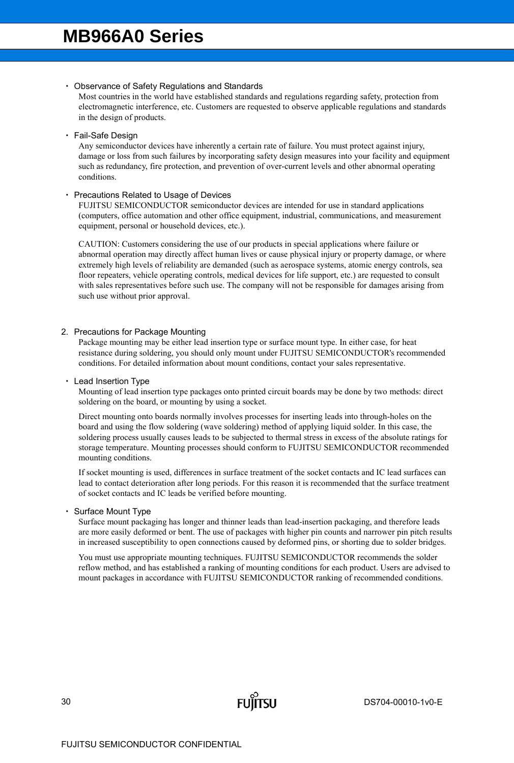### Observance of Safety Regulations and Standards

Most countries in the world have established standards and regulations regarding safety, protection from electromagnetic interference, etc. Customers are requested to observe applicable regulations and standards in the design of products.

### $\cdot$  Fail-Safe Design

Any semiconductor devices have inherently a certain rate of failure. You must protect against injury, damage or loss from such failures by incorporating safety design measures into your facility and equipment such as redundancy, fire protection, and prevention of over-current levels and other abnormal operating conditions.

### • Precautions Related to Usage of Devices

FUJITSU SEMICONDUCTOR semiconductor devices are intended for use in standard applications (computers, office automation and other office equipment, industrial, communications, and measurement equipment, personal or household devices, etc.).

CAUTION: Customers considering the use of our products in special applications where failure or abnormal operation may directly affect human lives or cause physical injury or property damage, or where extremely high levels of reliability are demanded (such as aerospace systems, atomic energy controls, sea floor repeaters, vehicle operating controls, medical devices for life support, etc.) are requested to consult with sales representatives before such use. The company will not be responsible for damages arising from such use without prior approval.

### 2. Precautions for Package Mounting

Package mounting may be either lead insertion type or surface mount type. In either case, for heat resistance during soldering, you should only mount under FUJITSU SEMICONDUCTOR's recommended conditions. For detailed information about mount conditions, contact your sales representative.

### Lead Insertion Type

Mounting of lead insertion type packages onto printed circuit boards may be done by two methods: direct soldering on the board, or mounting by using a socket.

Direct mounting onto boards normally involves processes for inserting leads into through-holes on the board and using the flow soldering (wave soldering) method of applying liquid solder. In this case, the soldering process usually causes leads to be subjected to thermal stress in excess of the absolute ratings for storage temperature. Mounting processes should conform to FUJITSU SEMICONDUCTOR recommended mounting conditions.

If socket mounting is used, differences in surface treatment of the socket contacts and IC lead surfaces can lead to contact deterioration after long periods. For this reason it is recommended that the surface treatment of socket contacts and IC leads be verified before mounting.

### • Surface Mount Type

Surface mount packaging has longer and thinner leads than lead-insertion packaging, and therefore leads are more easily deformed or bent. The use of packages with higher pin counts and narrower pin pitch results in increased susceptibility to open connections caused by deformed pins, or shorting due to solder bridges.

You must use appropriate mounting techniques. FUJITSU SEMICONDUCTOR recommends the solder reflow method, and has established a ranking of mounting conditions for each product. Users are advised to mount packages in accordance with FUJITSU SEMICONDUCTOR ranking of recommended conditions.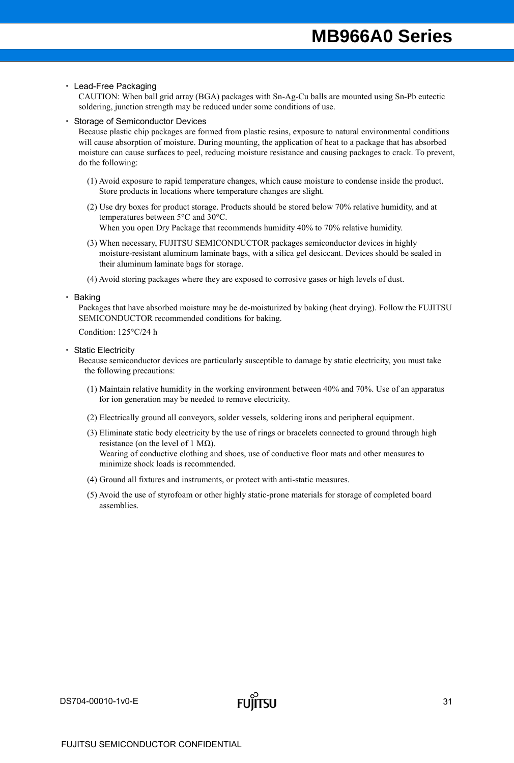### • Lead-Free Packaging

CAUTION: When ball grid array (BGA) packages with Sn-Ag-Cu balls are mounted using Sn-Pb eutectic soldering, junction strength may be reduced under some conditions of use.

### • Storage of Semiconductor Devices

Because plastic chip packages are formed from plastic resins, exposure to natural environmental conditions will cause absorption of moisture. During mounting, the application of heat to a package that has absorbed moisture can cause surfaces to peel, reducing moisture resistance and causing packages to crack. To prevent, do the following:

- (1) Avoid exposure to rapid temperature changes, which cause moisture to condense inside the product. Store products in locations where temperature changes are slight.
- (2) Use dry boxes for product storage. Products should be stored below 70% relative humidity, and at temperatures between 5°C and 30°C. When you open Dry Package that recommends humidity 40% to 70% relative humidity.
- (3) When necessary, FUJITSU SEMICONDUCTOR packages semiconductor devices in highly moisture-resistant aluminum laminate bags, with a silica gel desiccant. Devices should be sealed in their aluminum laminate bags for storage.
- (4) Avoid storing packages where they are exposed to corrosive gases or high levels of dust.

 $\cdot$  Baking

Packages that have absorbed moisture may be de-moisturized by baking (heat drying). Follow the FUJITSU SEMICONDUCTOR recommended conditions for baking.

Condition: 125°C/24 h

• Static Electricity

Because semiconductor devices are particularly susceptible to damage by static electricity, you must take the following precautions:

- (1) Maintain relative humidity in the working environment between 40% and 70%. Use of an apparatus for ion generation may be needed to remove electricity.
- (2) Electrically ground all conveyors, solder vessels, soldering irons and peripheral equipment.
- (3) Eliminate static body electricity by the use of rings or bracelets connected to ground through high resistance (on the level of 1 M $\Omega$ ). Wearing of conductive clothing and shoes, use of conductive floor mats and other measures to minimize shock loads is recommended.
- (4) Ground all fixtures and instruments, or protect with anti-static measures.
- (5) Avoid the use of styrofoam or other highly static-prone materials for storage of completed board assemblies.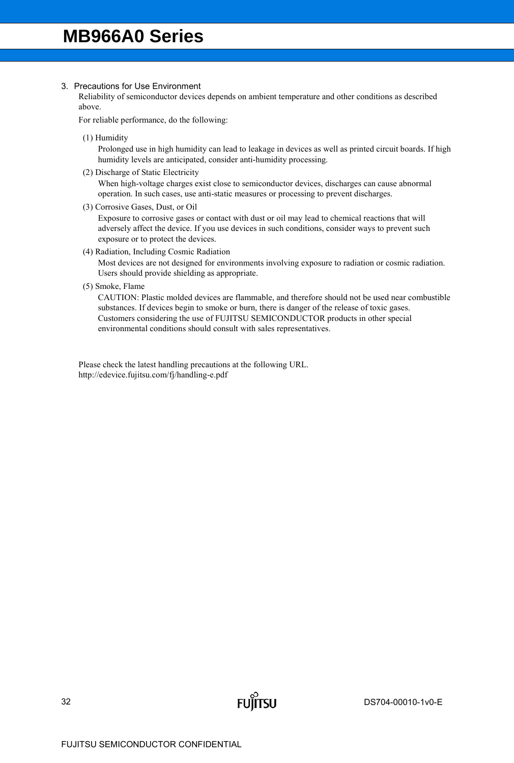### 3. Precautions for Use Environment

Reliability of semiconductor devices depends on ambient temperature and other conditions as described above.

For reliable performance, do the following:

(1) Humidity

Prolonged use in high humidity can lead to leakage in devices as well as printed circuit boards. If high humidity levels are anticipated, consider anti-humidity processing.

- (2) Discharge of Static Electricity When high-voltage charges exist close to semiconductor devices, discharges can cause abnormal operation. In such cases, use anti-static measures or processing to prevent discharges.
- (3) Corrosive Gases, Dust, or Oil

Exposure to corrosive gases or contact with dust or oil may lead to chemical reactions that will adversely affect the device. If you use devices in such conditions, consider ways to prevent such exposure or to protect the devices.

(4) Radiation, Including Cosmic Radiation

Most devices are not designed for environments involving exposure to radiation or cosmic radiation. Users should provide shielding as appropriate.

(5) Smoke, Flame

CAUTION: Plastic molded devices are flammable, and therefore should not be used near combustible substances. If devices begin to smoke or burn, there is danger of the release of toxic gases. Customers considering the use of FUJITSU SEMICONDUCTOR products in other special environmental conditions should consult with sales representatives.

**FUJITSU** 

Please check the latest handling precautions at the following URL. http://edevice.fujitsu.com/fj/handling-e.pdf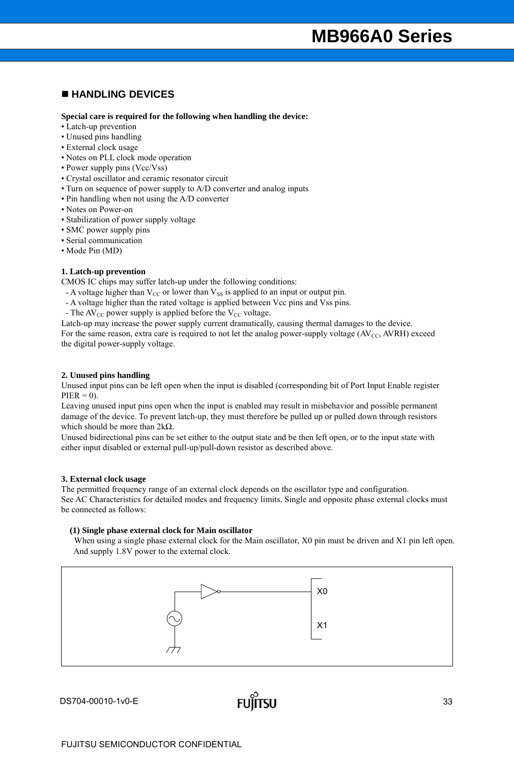### **HANDLING DEVICES**

### **Special care is required for the following when handling the device:**

- Latch-up prevention
- Unused pins handling
- External clock usage
- Notes on PLL clock mode operation
- Power supply pins (Vcc/Vss)
- Crystal oscillator and ceramic resonator circuit
- Turn on sequence of power supply to A/D converter and analog inputs
- Pin handling when not using the A/D converter
- Notes on Power-on
- Stabilization of power supply voltage
- SMC power supply pins
- Serial communication
- Mode Pin (MD)

### **1. Latch-up prevention**

CMOS IC chips may suffer latch-up under the following conditions:

- A voltage higher than  $V_{\text{CC}}$  or lower than  $V_{\text{SS}}$  is applied to an input or output pin.
- A voltage higher than the rated voltage is applied between Vcc pins and Vss pins.
- The AV<sub>CC</sub> power supply is applied before the V<sub>CC</sub> voltage.

Latch-up may increase the power supply current dramatically, causing thermal damages to the device.

For the same reason, extra care is required to not let the analog power-supply voltage  $(AV_{CC}, AVRH)$  exceed the digital power-supply voltage.

### **2. Unused pins handling**

Unused input pins can be left open when the input is disabled (corresponding bit of Port Input Enable register  $PIER = 0$ ).

Leaving unused input pins open when the input is enabled may result in misbehavior and possible permanent damage of the device. To prevent latch-up, they must therefore be pulled up or pulled down through resistors which should be more than  $2k\Omega$ .

Unused bidirectional pins can be set either to the output state and be then left open, or to the input state with either input disabled or external pull-up/pull-down resistor as described above.

### **3. External clock usage**

The permitted frequency range of an external clock depends on the oscillator type and configuration. See AC Characteristics for detailed modes and frequency limits. Single and opposite phase external clocks must be connected as follows:

### **(1) Single phase external clock for Main oscillator**

When using a single phase external clock for the Main oscillator, X0 pin must be driven and X1 pin left open. And supply 1.8V power to the external clock.

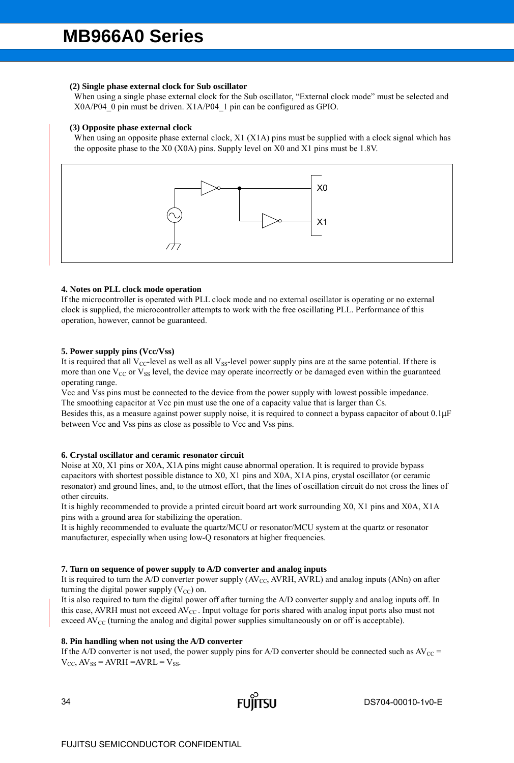### **(2) Single phase external clock for Sub oscillator**

When using a single phase external clock for the Sub oscillator, "External clock mode" must be selected and X0A/P04\_0 pin must be driven. X1A/P04\_1 pin can be configured as GPIO.

### **(3) Opposite phase external clock**

When using an opposite phase external clock, X1 (X1A) pins must be supplied with a clock signal which has the opposite phase to the X0 (X0A) pins. Supply level on X0 and X1 pins must be 1.8V.



### **4. Notes on PLL clock mode operation**

If the microcontroller is operated with PLL clock mode and no external oscillator is operating or no external clock is supplied, the microcontroller attempts to work with the free oscillating PLL. Performance of this operation, however, cannot be guaranteed.

### **5. Power supply pins (Vcc/Vss)**

It is required that all  $V_{CC}$ -level as well as all  $V_{SS}$ -level power supply pins are at the same potential. If there is more than one  $V_{CC}$  or  $V_{SS}$  level, the device may operate incorrectly or be damaged even within the guaranteed operating range.

Vcc and Vss pins must be connected to the device from the power supply with lowest possible impedance. The smoothing capacitor at Vcc pin must use the one of a capacity value that is larger than Cs.

Besides this, as a measure against power supply noise, it is required to connect a bypass capacitor of about 0.1µF between Vcc and Vss pins as close as possible to Vcc and Vss pins.

### **6. Crystal oscillator and ceramic resonator circuit**

Noise at X0, X1 pins or X0A, X1A pins might cause abnormal operation. It is required to provide bypass capacitors with shortest possible distance to X0, X1 pins and X0A, X1A pins, crystal oscillator (or ceramic resonator) and ground lines, and, to the utmost effort, that the lines of oscillation circuit do not cross the lines of other circuits.

It is highly recommended to provide a printed circuit board art work surrounding X0, X1 pins and X0A, X1A pins with a ground area for stabilizing the operation.

It is highly recommended to evaluate the quartz/MCU or resonator/MCU system at the quartz or resonator manufacturer, especially when using low-Q resonators at higher frequencies.

### **7. Turn on sequence of power supply to A/D converter and analog inputs**

It is required to turn the A/D converter power supply  $(AV_{CC}, AVRH, AVRL)$  and analog inputs  $(ANn)$  on after turning the digital power supply  $(V_{CC})$  on.

It is also required to turn the digital power off after turning the A/D converter supply and analog inputs off. In this case, AVRH must not exceed  $AV_{CC}$ . Input voltage for ports shared with analog input ports also must not exceed AV<sub>CC</sub> (turning the analog and digital power supplies simultaneously on or off is acceptable).

### **8. Pin handling when not using the A/D converter**

If the A/D converter is not used, the power supply pins for A/D converter should be connected such as  $AV_{CC}$  =  $V_{CC}$ ,  $AV_{SS} = AVRH = AVRL = V_{SS}$ .

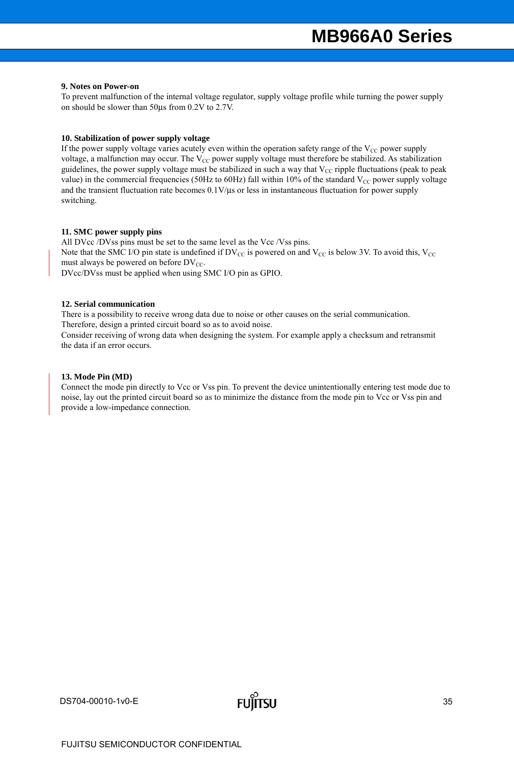### **9. Notes on Power-on**

To prevent malfunction of the internal voltage regulator, supply voltage profile while turning the power supply on should be slower than 50µs from 0.2V to 2.7V.

### **10. Stabilization of power supply voltage**

If the power supply voltage varies acutely even within the operation safety range of the  $V_{CC}$  power supply voltage, a malfunction may occur. The  $V_{CC}$  power supply voltage must therefore be stabilized. As stabilization guidelines, the power supply voltage must be stabilized in such a way that  $V_{CC}$  ripple fluctuations (peak to peak value) in the commercial frequencies (50Hz to 60Hz) fall within 10% of the standard  $V_{CC}$  power supply voltage and the transient fluctuation rate becomes  $0.1 \text{V}/\text{\mu s}$  or less in instantaneous fluctuation for power supply switching.

### **11. SMC power supply pins**

All DVcc /DVss pins must be set to the same level as the Vcc /Vss pins. Note that the SMC I/O pin state is undefined if  $DV_{CC}$  is powered on and  $V_{CC}$  is below 3V. To avoid this,  $V_{CC}$ must always be powered on before  $DV_{CC}$ .

DVcc/DVss must be applied when using SMC I/O pin as GPIO.

### **12. Serial communication**

There is a possibility to receive wrong data due to noise or other causes on the serial communication. Therefore, design a printed circuit board so as to avoid noise.

Consider receiving of wrong data when designing the system. For example apply a checksum and retransmit the data if an error occurs.

### **13. Mode Pin (MD)**

Connect the mode pin directly to Vcc or Vss pin. To prevent the device unintentionally entering test mode due to noise, lay out the printed circuit board so as to minimize the distance from the mode pin to Vcc or Vss pin and provide a low-impedance connection.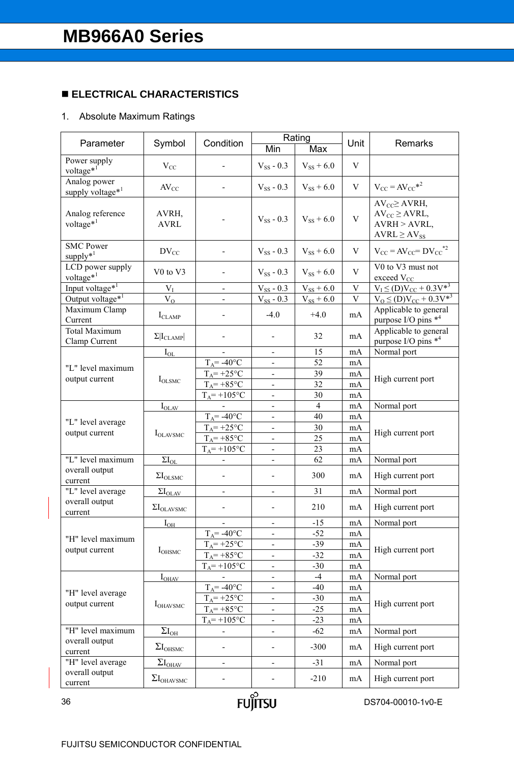### **ELECTRICAL CHARACTERISTICS**

### 1. Absolute Maximum Ratings

| Parameter                                    | Symbol                           | Condition                    | Rating                       |                | Unit         | Remarks                                                                                 |  |
|----------------------------------------------|----------------------------------|------------------------------|------------------------------|----------------|--------------|-----------------------------------------------------------------------------------------|--|
|                                              |                                  |                              | Min                          | Max            |              |                                                                                         |  |
| Power supply<br>voltage $*$ <sup>1</sup>     | $\rm V_{CC}$                     |                              | $V_{SS}$ - 0.3               | $V_{SS}$ + 6.0 | V            |                                                                                         |  |
| Analog power<br>supply voltage* <sup>1</sup> | $AV_{CC}$                        |                              | $V_{SS}$ - 0.3               | $V_{SS}$ + 6.0 | V            | $V_{CC} = AV_{CC} *^2$                                                                  |  |
| Analog reference<br>voltage* <sup>1</sup>    | AVRH,<br><b>AVRL</b>             | $\qquad \qquad \blacksquare$ | $V_{SS}$ - 0.3               | $V_{SS}$ + 6.0 | $\mathbf{V}$ | $AV_{CC} \geq AVRH$ ,<br>$AV_{CC} \geq AVRL$ ,<br>$AVRH > AVRL$ ,<br>$AVRL \ge AV_{SS}$ |  |
| <b>SMC Power</b><br>$supply*1$               | $DV_{CC}$                        | $\overline{\phantom{0}}$     | $V_{SS}$ - 0.3               | $V_{SS}$ + 6.0 | V            | $V_{CC} = AV_{CC} = DV_{CC}^{2}$                                                        |  |
| LCD power supply<br>voltage* <sup>1</sup>    | V <sub>0</sub> to V <sub>3</sub> |                              | $V_{SS}$ - 0.3               | $V_{SS}$ + 6.0 | V            | V0 to V3 must not<br>exceed $V_{CC}$                                                    |  |
| Input voltage <sup>*1</sup>                  | $V_I$                            | $\blacksquare$               | $V_{SS}$ - 0.3               | $V_{SS}$ + 6.0 | V            | $V_I \leq (D)V_{CC} + 0.3V^{*3}$                                                        |  |
| Output voltage <sup>*1</sup>                 | $V_{O}$                          | $\qquad \qquad \blacksquare$ | $V_{SS}$ - 0.3               | $V_{SS}$ + 6.0 | V            | $V_0 \le (D)V_{CC} + 0.3V^{*3}$                                                         |  |
| Maximum Clamp<br>Current                     | $I_{CLAMP}$                      |                              | $-4.0$                       | $+4.0$         | mA           | Applicable to general<br>purpose I/O pins *4                                            |  |
| <b>Total Maximum</b><br>Clamp Current        | $\Sigma  I_{CLAMP} $             |                              |                              | 32             | mA           | Applicable to general<br>purpose I/O pins *4                                            |  |
|                                              | $I_{OL}$                         |                              |                              | 15             | mA           | Normal port                                                                             |  |
| "L" level maximum                            |                                  | $T_A = -40$ °C               |                              | 52             | mA           | High current port                                                                       |  |
|                                              | $I_{OLSMC}$                      | $T_A$ = +25°C                |                              | 39             | mA           |                                                                                         |  |
| output current                               |                                  | $T_A$ = +85°C                |                              | 32             | mA           |                                                                                         |  |
|                                              |                                  | $T_A = +105$ °C              |                              | 30             | mA           |                                                                                         |  |
|                                              | $I_{OLAV}$                       |                              |                              | $\overline{4}$ | mA           | Normal port                                                                             |  |
| "L" level average                            |                                  | $T_A$ = -40°C                |                              | 40             | mA           | High current port                                                                       |  |
| output current                               | <b>I</b> OLAVSMC                 | $T_A$ = +25°C                | $\blacksquare$               | 30             | mA           |                                                                                         |  |
|                                              |                                  | $T_A$ = +85°C                | $\blacksquare$               | 25             | mA           |                                                                                         |  |
|                                              |                                  | $T_A$ = +105°C               |                              | 23             | mA           |                                                                                         |  |
| "L" level maximum                            | $\Sigma I_{OL}$                  |                              |                              | 62             | mA           | Normal port                                                                             |  |
| overall output<br>current                    | $\Sigma I_{OLSMC}$               |                              |                              | 300            | mA           | High current port                                                                       |  |
| "L" level average                            | $\Sigma I_{OLAV}$                |                              |                              | 31             | mA           | Normal port                                                                             |  |
| overall output<br>current                    | $\Sigma I_{OLAVSMC}$             |                              |                              | 210            | mA           | High current port                                                                       |  |
|                                              | $I_{OH}$                         |                              |                              | $-15$          | mA           | Normal port                                                                             |  |
| "H" level maximum                            |                                  | $T_A = -40$ °C               |                              | $-52$          | mA           |                                                                                         |  |
| output current                               | $I_{OHSMC}$                      | $T_A$ = +25°C                |                              | $-39$          | mA           | High current port                                                                       |  |
|                                              |                                  | $T_A$ = +85°C                |                              | $-32$          | mA           |                                                                                         |  |
|                                              |                                  | $T_A = +105$ °C              |                              | $-30$          | mA           |                                                                                         |  |
|                                              | $I_{OHAV}$                       |                              | -                            | $-4$           | mA           | Normal port                                                                             |  |
| "H" level average                            |                                  | $T_A = -40$ °C               | $\qquad \qquad \blacksquare$ | $-40$          | mA           |                                                                                         |  |
| output current                               | <b>I</b> OHAVSMC                 | $T_A$ = +25°C                | $\overline{\phantom{0}}$     | $-30$          | mA           | High current port                                                                       |  |
|                                              |                                  | $T_A$ = +85°C                | $\blacksquare$               | $-25$          | mA           |                                                                                         |  |
| "H" level maximum                            |                                  | $T_A = +105$ °C              | $\blacksquare$               | $-23$          | mA           |                                                                                         |  |
| overall output                               | $\Sigma I_{\rm OH}$              |                              | $\frac{1}{2}$                | $-62$          | mA           | Normal port                                                                             |  |
| current                                      | $\Sigma I_{\rm OHSMC}$           |                              |                              | $-300$         | mA           | High current port                                                                       |  |
| "H" level average                            | $\Sigma I$ <sub>OHAV</sub>       |                              |                              | $-31$          | mA           | Normal port                                                                             |  |
| overall output<br>current                    | $\Sigma I_{\text{OHAVSMC}}$      |                              |                              | $-210$         | mA           | High current port                                                                       |  |



DS704-00010-1v0-E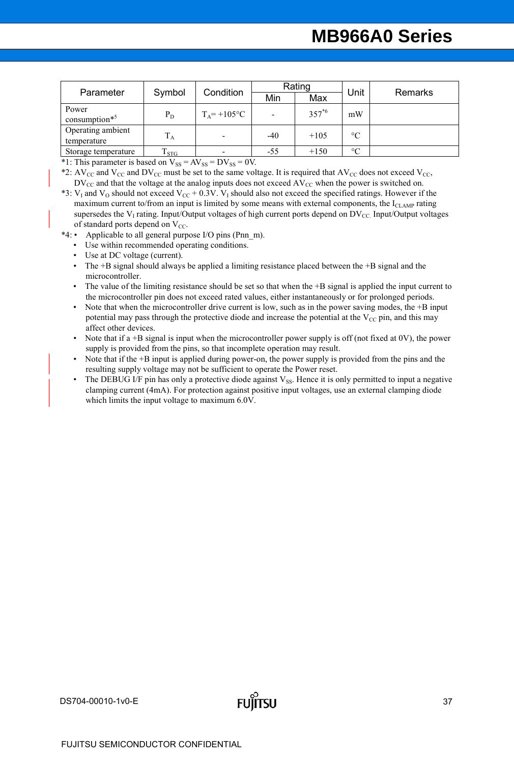| Parameter                        |                    |                          |       | Rating     | Unit            | <b>Remarks</b> |
|----------------------------------|--------------------|--------------------------|-------|------------|-----------------|----------------|
|                                  | Symbol             | Condition                | Min   | Max        |                 |                |
| Power<br>$consumption*^5$        | $P_D$              | $T_A = +105$ °C          |       | $357^{*6}$ | mW              |                |
| Operating ambient<br>temperature | $T_A$              | $\overline{\phantom{a}}$ | $-40$ | $+105$     | $\rm ^{\circ}C$ |                |
| Storage temperature              | $\mathrm{T_{STG}}$ | $\blacksquare$           | $-55$ | $+150$     | $\rm ^{\circ}C$ |                |

\*1: This parameter is based on  $V_{SS} = AV_{SS} = DV_{SS} = 0V$ .

- \*2: AV<sub>CC</sub> and V<sub>CC</sub> and DV<sub>CC</sub> must be set to the same voltage. It is required that AV<sub>CC</sub> does not exceed V<sub>CC</sub>,  $\text{DV}_{\text{CC}}$  and that the voltage at the analog inputs does not exceed  $\text{AV}_{\text{CC}}$  when the power is switched on.
- \*3:  $V_1$  and  $V_0$  should not exceed  $V_{CC}$  + 0.3V.  $V_1$  should also not exceed the specified ratings. However if the maximum current to/from an input is limited by some means with external components, the  $I_{CLAMP}$  rating supersedes the  $V_I$  rating. Input/Output voltages of high current ports depend on  $DV_{CC}$ . Input/Output voltages of standard ports depend on  $V_{CC}$ .
- \*4: Applicable to all general purpose I/O pins (Pnn\_m).
	- Use within recommended operating conditions.
	- Use at DC voltage (current).
	- The  $+B$  signal should always be applied a limiting resistance placed between the  $+B$  signal and the microcontroller.
	- The value of the limiting resistance should be set so that when the +B signal is applied the input current to the microcontroller pin does not exceed rated values, either instantaneously or for prolonged periods.
	- Note that when the microcontroller drive current is low, such as in the power saving modes, the +B input potential may pass through the protective diode and increase the potential at the  $V_{CC}$  pin, and this may affect other devices.
	- Note that if a  $+B$  signal is input when the microcontroller power supply is off (not fixed at 0V), the power supply is provided from the pins, so that incomplete operation may result.
	- Note that if the +B input is applied during power-on, the power supply is provided from the pins and the resulting supply voltage may not be sufficient to operate the Power reset.
	- The DEBUG I/F pin has only a protective diode against  $V_{SS}$ . Hence it is only permitted to input a negative clamping current (4mA). For protection against positive input voltages, use an external clamping diode which limits the input voltage to maximum 6.0V.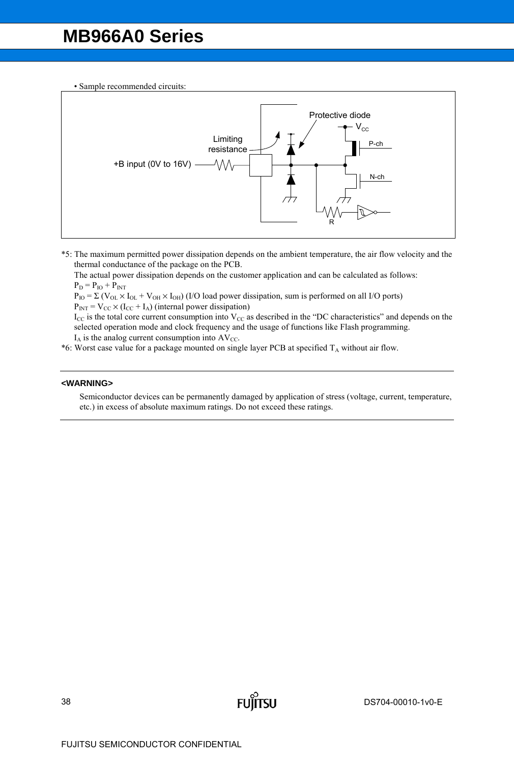• Sample recommended circuits:



\*5: The maximum permitted power dissipation depends on the ambient temperature, the air flow velocity and the thermal conductance of the package on the PCB.

The actual power dissipation depends on the customer application and can be calculated as follows:  $P_D = P_{IO} + P_{INT}$ 

 $P_{IO} = \Sigma (V_{OL} \times I_{OL} + V_{OH} \times I_{OH})$  (I/O load power dissipation, sum is performed on all I/O ports)

 $P_{INT} = V_{CC} \times (I_{CC} + I_A)$  (internal power dissipation)

 $I_{\rm CC}$  is the total core current consumption into  $V_{\rm CC}$  as described in the "DC characteristics" and depends on the selected operation mode and clock frequency and the usage of functions like Flash programming.  $I_A$  is the analog current consumption into  $AV_{CC}$ .

\*6: Worst case value for a package mounted on single layer PCB at specified  $T_A$  without air flow.

#### **<WARNING>**

Semiconductor devices can be permanently damaged by application of stress (voltage, current, temperature, etc.) in excess of absolute maximum ratings. Do not exceed these ratings.

ÍITSU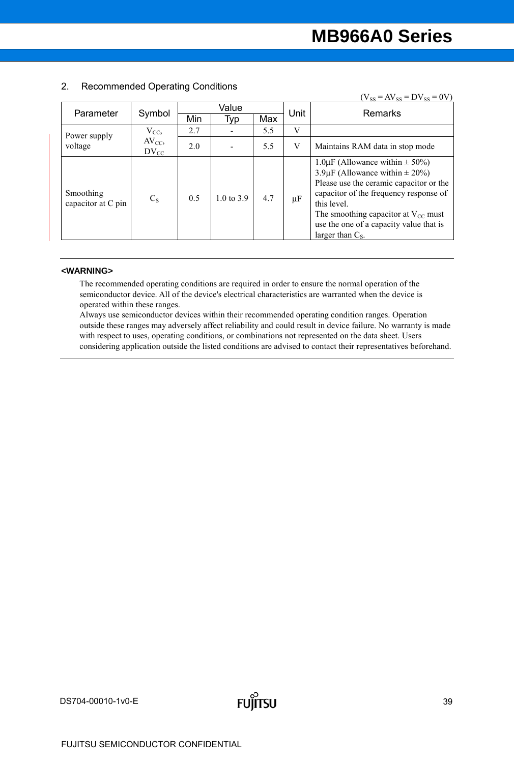|                                 |                        |       |                       |     |         | $(V_{SS} = AV_{SS} = DV_{SS} = 0V)$                                                                                                                                                                                                                                                                      |  |
|---------------------------------|------------------------|-------|-----------------------|-----|---------|----------------------------------------------------------------------------------------------------------------------------------------------------------------------------------------------------------------------------------------------------------------------------------------------------------|--|
| Parameter                       | Symbol                 | Value |                       |     | Unit    | Remarks                                                                                                                                                                                                                                                                                                  |  |
|                                 |                        | Min   | Typ                   | Max |         |                                                                                                                                                                                                                                                                                                          |  |
| Power supply                    | $V_{CC}$               | 2.7   |                       | 5.5 | V       |                                                                                                                                                                                                                                                                                                          |  |
| voltage                         | $AV_{CC}$<br>$DV_{CC}$ | 2.0   |                       | 5.5 | V       | Maintains RAM data in stop mode                                                                                                                                                                                                                                                                          |  |
| Smoothing<br>capacitor at C pin | $C_{S}$                | 0.5   | $1.0 \text{ to } 3.9$ | 4.7 | $\mu$ F | 1.0 $\mu$ F (Allowance within $\pm$ 50%)<br>$3.9 \mu$ F (Allowance within $\pm 20\%$ )<br>Please use the ceramic capacitor or the<br>capacitor of the frequency response of<br>this level.<br>The smoothing capacitor at $V_{CC}$ must<br>use the one of a capacity value that is<br>larger than $C_s$ . |  |

#### 2. Recommended Operating Conditions

#### **<WARNING>**

The recommended operating conditions are required in order to ensure the normal operation of the semiconductor device. All of the device's electrical characteristics are warranted when the device is operated within these ranges.

Always use semiconductor devices within their recommended operating condition ranges. Operation outside these ranges may adversely affect reliability and could result in device failure. No warranty is made with respect to uses, operating conditions, or combinations not represented on the data sheet. Users considering application outside the listed conditions are advised to contact their representatives beforehand.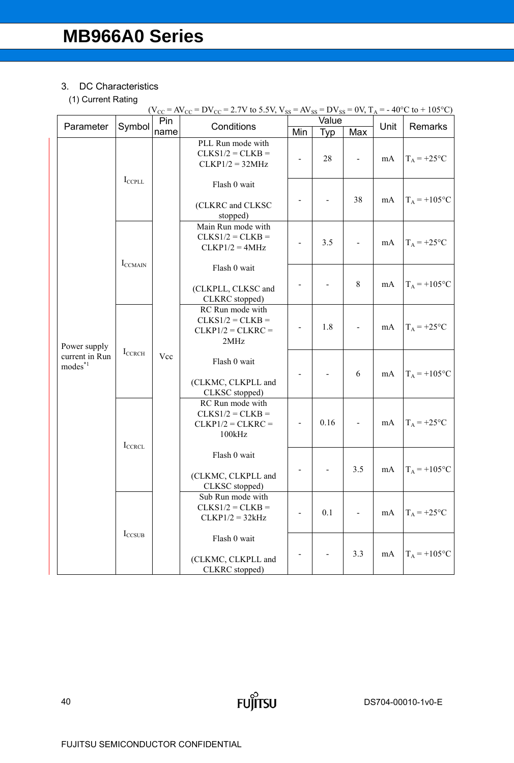#### 3. DC Characteristics

#### (1) Current Rating

|                                       |                 |      | $(V_{CC} = AV_{CC} = DV_{CC} = 2.7V$ to 5.5V, $V_{SS} = AV_{SS} = DV_{SS} = 0V$ , $T_A = -40°C$ to + 105°C) |                                                                         |       |                              |                          |                 |                 |  |  |  |  |  |  |  |  |  |  |  |                                                      |  |  |     |
|---------------------------------------|-----------------|------|-------------------------------------------------------------------------------------------------------------|-------------------------------------------------------------------------|-------|------------------------------|--------------------------|-----------------|-----------------|--|--|--|--|--|--|--|--|--|--|--|------------------------------------------------------|--|--|-----|
| Parameter                             | Symbol          | Pin  | Conditions                                                                                                  |                                                                         | Value |                              | Unit                     | Remarks         |                 |  |  |  |  |  |  |  |  |  |  |  |                                                      |  |  |     |
|                                       |                 | name |                                                                                                             | Min                                                                     | Typ   | Max                          |                          |                 |                 |  |  |  |  |  |  |  |  |  |  |  |                                                      |  |  |     |
|                                       |                 |      | PLL Run mode with<br>$CLKS1/2 = CLKB =$<br>$CLKP1/2 = 32MHz$                                                |                                                                         | 28    | $\qquad \qquad \blacksquare$ | mA                       | $T_A$ = +25°C   |                 |  |  |  |  |  |  |  |  |  |  |  |                                                      |  |  |     |
|                                       | $I_{C CPL}$     |      | Flash 0 wait<br>(CLKRC and CLKSC<br>stopped)                                                                |                                                                         |       | 38                           | mA                       | $T_A = +105$ °C |                 |  |  |  |  |  |  |  |  |  |  |  |                                                      |  |  |     |
|                                       |                 |      | Main Run mode with<br>$CLKS1/2 = CLKB =$<br>$CLKP1/2 = 4MHz$                                                |                                                                         | 3.5   |                              | mA                       | $T_A$ = +25°C   |                 |  |  |  |  |  |  |  |  |  |  |  |                                                      |  |  |     |
| Power supply                          | <b>I</b> CCMAIN |      | Flash 0 wait<br>(CLKPLL, CLKSC and<br>CLKRC stopped)                                                        |                                                                         |       | 8                            | mA                       | $T_A = +105$ °C |                 |  |  |  |  |  |  |  |  |  |  |  |                                                      |  |  |     |
|                                       | $I_{CCRCH}$     |      | RC Run mode with<br>$CLKS1/2 = CLKB =$<br>$CLKP1/2 = CLKRC =$<br>2MHz                                       |                                                                         | 1.8   | $\qquad \qquad \blacksquare$ | mA                       | $T_A$ = +25°C   |                 |  |  |  |  |  |  |  |  |  |  |  |                                                      |  |  |     |
| current in Run<br>modes <sup>*1</sup> |                 | Vcc  |                                                                                                             | Flash 0 wait<br>(CLKMC, CLKPLL and<br>CLKSC stopped)                    |       |                              | 6                        | mA              | $T_A = +105$ °C |  |  |  |  |  |  |  |  |  |  |  |                                                      |  |  |     |
|                                       | ICCRCL          |      |                                                                                                             | RC Run mode with<br>$CLKS1/2 = CLKB =$<br>$CLKP1/2 = CLKRC =$<br>100kHz |       | 0.16                         | $\overline{\phantom{a}}$ | mA              | $T_A$ = +25°C   |  |  |  |  |  |  |  |  |  |  |  |                                                      |  |  |     |
|                                       |                 |      |                                                                                                             |                                                                         |       |                              |                          |                 |                 |  |  |  |  |  |  |  |  |  |  |  | Flash 0 wait<br>(CLKMC, CLKPLL and<br>CLKSC stopped) |  |  | 3.5 |
|                                       |                 |      | Sub Run mode with<br>$CLKS1/2 = CLKB =$<br>$CLKP1/2 = 32kHz$                                                |                                                                         | 0.1   |                              | mA                       | $T_A$ = +25°C   |                 |  |  |  |  |  |  |  |  |  |  |  |                                                      |  |  |     |
|                                       | $I_{CCSUB}$     |      | Flash 0 wait<br>(CLKMC, CLKPLL and<br>CLKRC stopped)                                                        |                                                                         |       | 3.3                          | mA                       | $T_A = +105$ °C |                 |  |  |  |  |  |  |  |  |  |  |  |                                                      |  |  |     |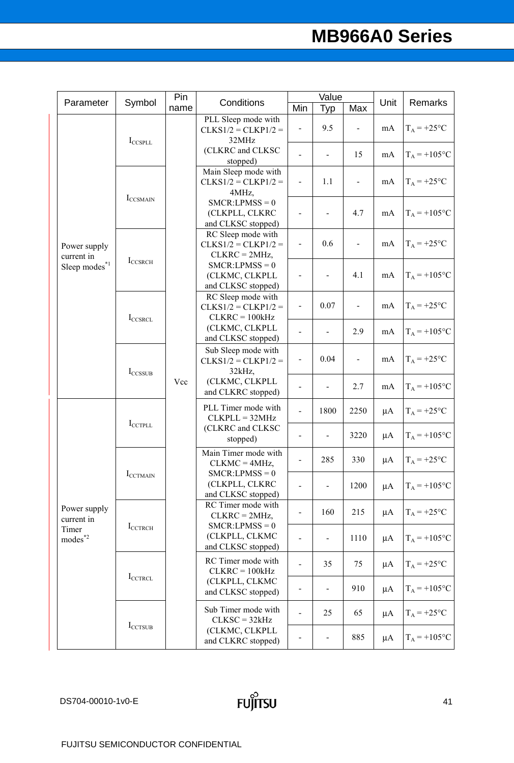| Parameter                     | Symbol              | Pin  | Conditions                                                      |                          | Value                        |                | Unit    | Remarks         |
|-------------------------------|---------------------|------|-----------------------------------------------------------------|--------------------------|------------------------------|----------------|---------|-----------------|
|                               |                     | name |                                                                 | Min                      | Typ                          | Max            |         |                 |
|                               | $I_{CCSPLL}$        |      | PLL Sleep mode with<br>$CLKS1/2 = CLKP1/2 =$<br>32MHz           |                          | 9.5                          | $\blacksquare$ | mA      | $T_A$ = +25°C   |
|                               |                     |      | (CLKRC and CLKSC<br>stopped)                                    |                          | $\blacksquare$               | 15             | mA      | $T_A = +105$ °C |
|                               |                     |      | Main Sleep mode with<br>$CLKS1/2 = CLKP1/2 =$<br>4MHz,          | $\overline{a}$           | 1.1                          |                | mA      | $T_A$ = +25°C   |
|                               | <b>I</b> CCSMAIN    |      | $SMCR$ : LPMSS = 0<br>(CLKPLL, CLKRC<br>and CLKSC stopped)      |                          | $\overline{\phantom{a}}$     | 4.7            | mA      | $T_A = +105$ °C |
| Power supply<br>current in    |                     |      | RC Sleep mode with<br>$CLKS1/2 = CLKP1/2 =$<br>$CLKRC = 2MHz$ , | $\overline{a}$           | 0.6                          |                | mA      | $T_A$ = +25°C   |
| Sleep $\mbox{modes}^{\ast_1}$ | $I_{\text{CCSRCH}}$ |      | $SMCR:LPMSS = 0$<br>(CLKMC, CLKPLL<br>and CLKSC stopped)        |                          | $\blacksquare$               | 4.1            | mA      | $T_A = +105$ °C |
|                               | ICCSRCL             |      | RC Sleep mode with<br>$CLKS1/2 = CLKP1/2 =$<br>$CLKRC = 100kHz$ | $\overline{\phantom{0}}$ | 0.07                         | $\blacksquare$ | mA      | $T_A$ = +25°C   |
|                               |                     |      | (CLKMC, CLKPLL<br>and CLKSC stopped)                            | ÷.                       | $\blacksquare$               | 2.9            | mA      | $T_A = +105$ °C |
|                               | $I_{CCSSUB}$        |      | Sub Sleep mode with<br>$CLKS1/2 = CLKP1/2 =$<br>32kHz,          | $\overline{\phantom{0}}$ | 0.04                         | $\blacksquare$ | mA      | $T_A = +25$ °C  |
|                               |                     | Vcc  | (CLKMC, CLKPLL<br>and CLKRC stopped)                            |                          | $\overline{\phantom{a}}$     | 2.7            | mA      | $T_A = +105$ °C |
|                               |                     |      | PLL Timer mode with<br>$CLKPLL = 32MHz$                         | $\overline{a}$           | 1800                         | 2250           | $\mu A$ | $T_A$ = +25°C   |
|                               | $I_{CCTPLL}$        |      | (CLKRC and CLKSC<br>stopped)                                    |                          |                              | 3220           | $\mu A$ | $T_A = +105$ °C |
|                               |                     |      | Main Timer mode with<br>$CLKMC = 4MHz,$                         | $\overline{\phantom{0}}$ | 285                          | 330            | $\mu A$ | $T_A = +25$ °C  |
|                               | <b>ICCTMAIN</b>     |      | $SMCR:LPMSS = 0$<br>(CLKPLL, CLKRC<br>and CLKSC stopped)        |                          |                              | 1200           | $\mu A$ | $T_A = +105$ °C |
| Power supply<br>current in    |                     |      | RC Timer mode with<br>$CLKRC = 2MHz,$                           | -                        | 160                          | 215            | $\mu A$ | $T_A$ = +25°C   |
| Timer<br>modes <sup>*2</sup>  | <b>I</b> CCTRCH     |      | $SMCR:LPMSS = 0$<br>(CLKPLL, CLKMC<br>and CLKSC stopped)        | $\overline{\phantom{0}}$ | $\overline{\phantom{a}}$     | 1110           | $\mu A$ | $T_A = +105$ °C |
|                               |                     |      | RC Timer mode with<br>$CLKRC = 100kHz$                          | $\overline{\phantom{0}}$ | 35                           | 75             | $\mu A$ | $T_A$ = +25°C   |
|                               | $I_{CCTRCL}$        |      | (CLKPLL, CLKMC<br>and CLKSC stopped)                            |                          | $\qquad \qquad \blacksquare$ | 910            | $\mu A$ | $T_A = +105$ °C |
|                               |                     |      | Sub Timer mode with<br>$CLKSC = 32kHz$                          | $\overline{\phantom{0}}$ | 25                           | 65             | $\mu A$ | $T_A = +25$ °C  |
|                               | I <sub>CCTSUB</sub> |      | (CLKMC, CLKPLL<br>and CLKRC stopped)                            |                          | $\qquad \qquad \blacksquare$ | 885            | $\mu A$ | $T_A = +105$ °C |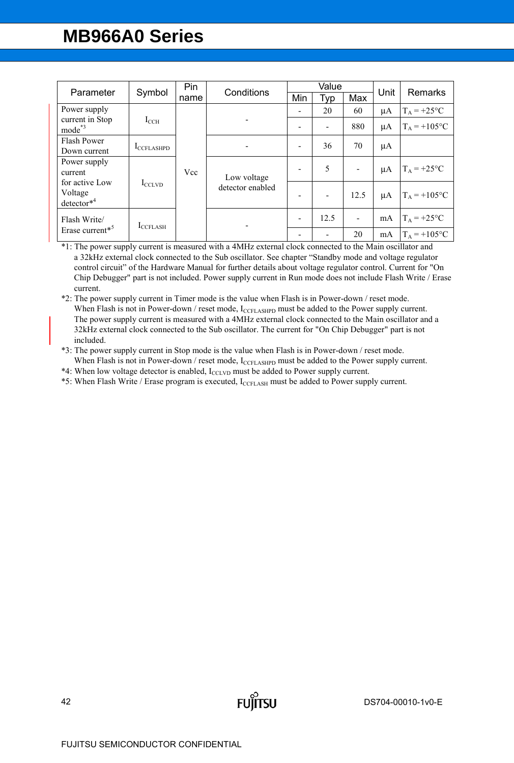|                                           |                    | Pin  | Conditions       | Value |      |                          | Unit    |                 |
|-------------------------------------------|--------------------|------|------------------|-------|------|--------------------------|---------|-----------------|
| Parameter                                 | Symbol             | name |                  | Min   | Typ  | Max                      |         | Remarks         |
| Power supply                              |                    |      |                  |       | 20   | 60                       | μA      | $T_A = +25$ °C  |
| current in Stop<br>$mode^*$ <sup>3</sup>  | $I_{\rm CCH}$      |      |                  |       |      | 880                      | μA      | $T_A = +105$ °C |
| Flash Power                               | <b>ICCFLASHPD</b>  |      |                  |       | 36   | 70                       | $\mu A$ |                 |
| Down current                              |                    |      |                  |       |      |                          |         |                 |
| Power supply<br>current                   |                    | Vcc  | Low voltage      |       | 5    |                          | μA      | $T_A = +25$ °C  |
| for active Low<br>Voltage<br>$detector*4$ | $I_{\text{CCLVD}}$ |      | detector enabled |       |      | 12.5                     | μA      | $T_A$ = +105°C  |
| Flash Write/                              | <b>I</b> CCFLASH   |      |                  |       | 12.5 | $\overline{\phantom{a}}$ | mA      | $T_A = +25$ °C  |
| Erase current <sup>*5</sup>               |                    |      |                  |       |      | 20                       | mA      | $T_A = +105$ °C |

\*1: The power supply current is measured with a 4MHz external clock connected to the Main oscillator and a 32kHz external clock connected to the Sub oscillator. See chapter "Standby mode and voltage regulator control circuit" of the Hardware Manual for further details about voltage regulator control. Current for "On Chip Debugger" part is not included. Power supply current in Run mode does not include Flash Write / Erase current.

\*2: The power supply current in Timer mode is the value when Flash is in Power-down / reset mode. When Flash is not in Power-down / reset mode, ICCFLASHPD must be added to the Power supply current. The power supply current is measured with a 4MHz external clock connected to the Main oscillator and a 32kHz external clock connected to the Sub oscillator. The current for "On Chip Debugger" part is not included.

**FUITSU** 

\*3: The power supply current in Stop mode is the value when Flash is in Power-down / reset mode. When Flash is not in Power-down / reset mode, ICCFLASHPD must be added to the Power supply current.

\*4: When low voltage detector is enabled, ICCLVD must be added to Power supply current.

\*5: When Flash Write / Erase program is executed, I<sub>CCFLASH</sub> must be added to Power supply current.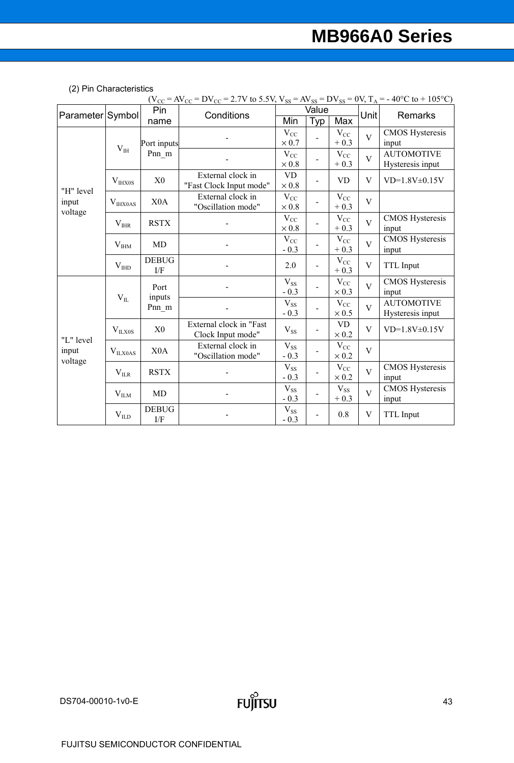| (2) Pin Characteristics |
|-------------------------|
|-------------------------|

| $(V_{CC} = AV_{CC} = DV_{CC} = 2.7V$ to 5.5V, $V_{SS} = AV_{SS} = DV_{SS} = 0V$ , $T_A = -40°C$ to + 105°C) |                     |                            |                         |               |                          |               |                         |                        |  |  |  |
|-------------------------------------------------------------------------------------------------------------|---------------------|----------------------------|-------------------------|---------------|--------------------------|---------------|-------------------------|------------------------|--|--|--|
|                                                                                                             |                     | Pin                        | Conditions              |               | Value                    |               | Unit                    | <b>Remarks</b>         |  |  |  |
| Parameter Symbol                                                                                            |                     | name                       |                         | Min           | <b>Typ</b>               | Max           |                         |                        |  |  |  |
|                                                                                                             |                     |                            |                         | $V_{CC}$      |                          | $V_{CC}$      | $\overline{\mathbf{V}}$ | <b>CMOS</b> Hysteresis |  |  |  |
|                                                                                                             |                     | Port inputs                |                         | $\times 0.7$  |                          | $+0.3$        |                         | input                  |  |  |  |
|                                                                                                             | V <sub>IH</sub>     | Pnn m                      |                         | $V_{CC}$      |                          | $V_{CC}$      |                         | <b>AUTOMOTIVE</b>      |  |  |  |
|                                                                                                             |                     |                            |                         | $\times\,0.8$ |                          | $+0.3$        | V                       | Hysteresis input       |  |  |  |
|                                                                                                             |                     |                            | External clock in       | <b>VD</b>     |                          |               |                         |                        |  |  |  |
|                                                                                                             | V <sub>IHX0S</sub>  | X <sub>0</sub>             | "Fast Clock Input mode" | $\times\,0.8$ | $\overline{\phantom{0}}$ | <b>VD</b>     | V                       | $VD=1.8V\pm0.15V$      |  |  |  |
| "H" level                                                                                                   |                     |                            | External clock in       | $V_{CC}$      |                          | $V_{CC}$      |                         |                        |  |  |  |
| input                                                                                                       | V <sub>IIX0AS</sub> | X <sub>0</sub> A           | "Oscillation mode"      | $\times 0.8$  |                          | $+0.3$        | V                       |                        |  |  |  |
| voltage                                                                                                     |                     |                            |                         | $\rm V_{CC}$  |                          | $\rm V_{CC}$  |                         | <b>CMOS</b> Hysteresis |  |  |  |
|                                                                                                             | $V_{IHR}$           | <b>RSTX</b>                |                         | $\times\,0.8$ |                          | $+0.3$        | $\overline{V}$          | input                  |  |  |  |
|                                                                                                             |                     |                            |                         | $V_{CC}$      |                          | $V_{CC}$      | $\overline{\mathbf{V}}$ | <b>CMOS</b> Hysteresis |  |  |  |
|                                                                                                             | $\rm V_{IHM}$       | MD                         |                         | $-0.3$        |                          | $+0.3$        |                         | input                  |  |  |  |
|                                                                                                             | $V_{HID}$           | <b>DEBUG</b>               |                         |               |                          | $V_{CC}$      | $\mathbf V$             |                        |  |  |  |
|                                                                                                             |                     | I/F                        |                         | 2.0           | $\overline{\phantom{0}}$ | $+0.3$        |                         | <b>TTL</b> Input       |  |  |  |
|                                                                                                             |                     | Port<br>inputs<br>$Pnn$ _m |                         | $V_{SS}$      |                          | $\rm V_{CC}$  | $\overline{V}$          | <b>CMOS</b> Hysteresis |  |  |  |
|                                                                                                             |                     |                            |                         | $-0.3$        |                          | $\times 0.3$  |                         | input                  |  |  |  |
|                                                                                                             | $V_{IL}$            |                            |                         | $V_{SS}$      |                          | $V_{CC}$      | $\overline{V}$          | <b>AUTOMOTIVE</b>      |  |  |  |
|                                                                                                             |                     |                            |                         | $-0.3$        |                          | $\times 0.5$  |                         | Hysteresis input       |  |  |  |
|                                                                                                             |                     | X <sub>0</sub>             | External clock in "Fast |               |                          | <b>VD</b>     | V                       | $VD=1.8V±0.15V$        |  |  |  |
| "L" level                                                                                                   | $\rm V_{ILX0S}$     |                            | Clock Input mode"       | $V_{SS}$      | -                        | $\times 0.2$  |                         |                        |  |  |  |
|                                                                                                             |                     | X <sub>0</sub> A           | External clock in       | $V_{SS}$      |                          | $V_{CC}$      | V                       |                        |  |  |  |
| input<br>voltage                                                                                            | $V_{ILX0AS}$        |                            | "Oscillation mode"      | $-0.3$        |                          | $\times\,0.2$ |                         |                        |  |  |  |
|                                                                                                             |                     | <b>RSTX</b>                |                         | $V_{SS}$      |                          | $\rm V_{CC}$  | $\overline{V}$          | <b>CMOS</b> Hysteresis |  |  |  |
|                                                                                                             | $V_{ILR}$           |                            |                         | $-0.3$        |                          | $\times\,0.2$ |                         | input                  |  |  |  |
|                                                                                                             |                     | MD                         |                         | $V_{SS}$      |                          | $\rm V_{SS}$  | $\mathbf{V}$            | <b>CMOS</b> Hysteresis |  |  |  |
|                                                                                                             | $V_{ILM}$           |                            |                         | $-0.3$        |                          | $+0.3$        |                         | input                  |  |  |  |
|                                                                                                             |                     | <b>DEBUG</b>               |                         | $V_{SS}$      |                          | 0.8           | V                       | <b>TTL</b> Input       |  |  |  |
|                                                                                                             | $V_{ILD}$           | I/F                        |                         | $-0.3$        |                          |               |                         |                        |  |  |  |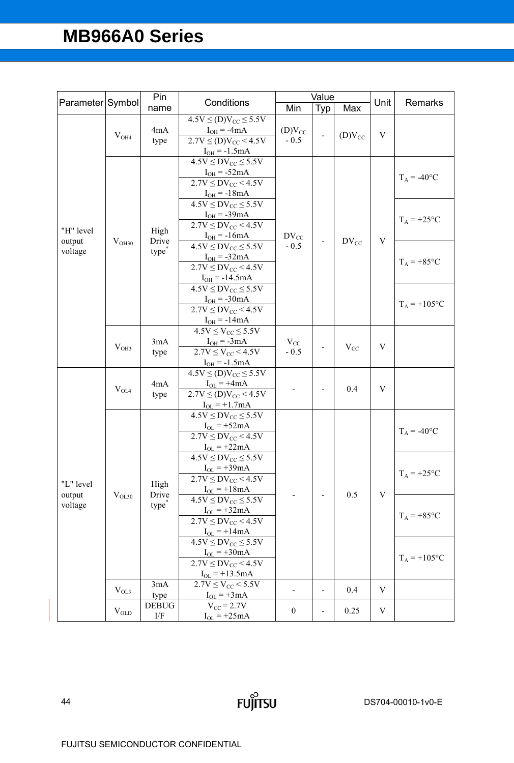|                  |                   | Pin               |                                                   |                           | Value                        |              |   | Unit<br>Remarks         |
|------------------|-------------------|-------------------|---------------------------------------------------|---------------------------|------------------------------|--------------|---|-------------------------|
| Parameter Symbol |                   | name              | Conditions                                        | Min                       | Typ                          | Max          |   |                         |
|                  |                   |                   | $4.5V \le (D)V_{CC} \le 5.5V$                     |                           |                              |              |   |                         |
|                  | $V_{OH4}$         | 4mA               | $I_{OH} = -4mA$                                   | $(D)V_{CC}$               | $\blacksquare$               | $(D)V_{CC}$  | V |                         |
|                  |                   | type              | $2.7V \leq (D)V_{CC} < 4.5V$                      | $-0.5$                    |                              |              |   |                         |
|                  |                   |                   | $I_{OH} = -1.5mA$                                 |                           |                              |              |   |                         |
|                  |                   |                   | $4.5V \leq DV_{CC} \leq 5.5V$                     |                           |                              |              |   |                         |
|                  |                   |                   | $I_{OH} = -52mA$                                  |                           |                              |              |   | $T_A = -40$ °C          |
|                  |                   |                   | $2.7V \leq DV_{CC}$ < 4.5V                        |                           |                              |              |   |                         |
|                  |                   |                   | $I_{OH} = -18mA$                                  |                           |                              |              |   |                         |
|                  |                   |                   | $4.5V \leq DV_{CC} \leq 5.5V$                     |                           |                              |              |   |                         |
|                  |                   |                   | $I_{OH} = -39mA$<br>$2.7V \leq DV_{CC}$ < 4.5V    |                           |                              |              |   | $T_A$ = +25°C           |
| "H" level        |                   | High              | $I_{OH} = -16mA$                                  | $\textsf{DV}_\textsf{CC}$ |                              | $DV_{CC}$    | V |                         |
| output           | V <sub>OH30</sub> | Drive             | $4.5V \leq DV_{CC} \leq 5.5V$                     | $-0.5$                    |                              |              |   |                         |
| voltage          |                   | type <sup>*</sup> | $I_{OH} = -32mA$                                  |                           |                              |              |   |                         |
|                  |                   |                   | $2.7V \leq DV_{CC}$ < 4.5V                        |                           |                              |              |   | $T_A$ = +85°C           |
|                  |                   |                   | $I_{OH} = -14.5mA$                                |                           |                              |              |   |                         |
|                  |                   |                   | $4.5V \leq DV_{CC} \leq 5.5V$                     |                           |                              |              |   |                         |
|                  |                   |                   | $I_{OH} = -30mA$                                  |                           |                              |              |   |                         |
|                  |                   |                   | $2.7V \leq DV_{CC}$ < 4.5V                        |                           |                              |              |   | $T_A = +105$ °C         |
|                  |                   |                   | $I_{OH} = -14mA$                                  |                           |                              |              |   |                         |
|                  |                   |                   | $4.5V \leq V_{CC} \leq 5.5V$                      |                           |                              | $\rm V_{CC}$ |   |                         |
|                  | $\rm V_{OH3}$     | 3mA               | $I_{OH} = -3mA$                                   | $V_{CC}$                  | $\qquad \qquad \blacksquare$ |              | V |                         |
|                  |                   | type              | $2.7V \leq V_{CC}$ < 4.5V                         | $-0.5$                    |                              |              |   |                         |
|                  |                   |                   | $I_{OH} = -1.5mA$                                 |                           |                              |              |   |                         |
|                  |                   | 4mA<br>type       | $4.5V \le (D)V_{CC} \le 5.5V$                     |                           |                              | 0.4          | V |                         |
|                  | $V_{OL4}$         |                   | $I_{OL}$ = +4mA                                   |                           |                              |              |   |                         |
|                  |                   |                   | $2.7V \leq (D)V_{CC} < 4.5V$<br>$I_{OL}$ = +1.7mA |                           |                              |              |   |                         |
|                  |                   |                   | $4.5V \leq DV_{CC} \leq 5.5V$                     |                           |                              |              |   |                         |
|                  |                   |                   | $I_{OL}$ = +52mA                                  |                           |                              |              |   |                         |
|                  |                   |                   | $2.7V \leq DV_{CC}$ < 4.5V                        |                           |                              |              |   | $T_A = -40$ °C          |
|                  |                   |                   | $I_{OL}$ = +22mA                                  |                           |                              |              |   |                         |
|                  |                   |                   | $4.5V \leq DV_{CC} \leq 5.5V$                     |                           |                              |              |   |                         |
|                  |                   |                   | $I_{OL}$ = +39mA                                  |                           |                              |              |   |                         |
| "L" level        |                   | High              | $2.7V \leq DV_{CC} < 4.5V$                        |                           |                              |              |   | $T_A$ = +25°C           |
| output           | $V_{OL30}$        | Drive             | $I_{OL}$ = +18mA                                  |                           |                              | 0.5          | V |                         |
| voltage          |                   | type <sup>*</sup> | $4.5V \leq DV_{CC} \leq 5.5V$                     |                           |                              |              |   |                         |
|                  |                   |                   | $I_{OL}$ = +32mA                                  |                           |                              |              |   | $T_A$ = +85 $\degree$ C |
|                  |                   |                   | $2.7V \leq DV_{CC}$ < 4.5V                        |                           |                              |              |   |                         |
|                  |                   |                   | $I_{OL}$ = +14mA                                  |                           |                              |              |   |                         |
|                  |                   |                   | $4.5V \leq DV_{CC} \leq 5.5V$                     |                           |                              |              |   |                         |
|                  |                   |                   | $I_{OL}$ = +30mA                                  |                           |                              |              |   | $T_A = +105$ °C         |
|                  |                   |                   | $2.7V \leq DV_{CC}$ < 4.5V                        |                           |                              |              |   |                         |
|                  |                   | 3mA               | $I_{OL}$ = +13.5mA<br>$2.7V \leq V_{CC}$ < 5.5V   |                           |                              |              |   |                         |
|                  | $V_{OL3}$         | type              | $I_{OL}$ = +3mA                                   |                           |                              | 0.4          | V |                         |
|                  |                   | <b>DEBUG</b>      | $\overline{V_{CC}}$ = 2.7V                        |                           |                              |              |   |                         |
|                  | $V_{OLD}$         | I/F               | $I_{OL}$ = +25mA                                  | $\boldsymbol{0}$          | $\qquad \qquad \blacksquare$ | 0.25         | V |                         |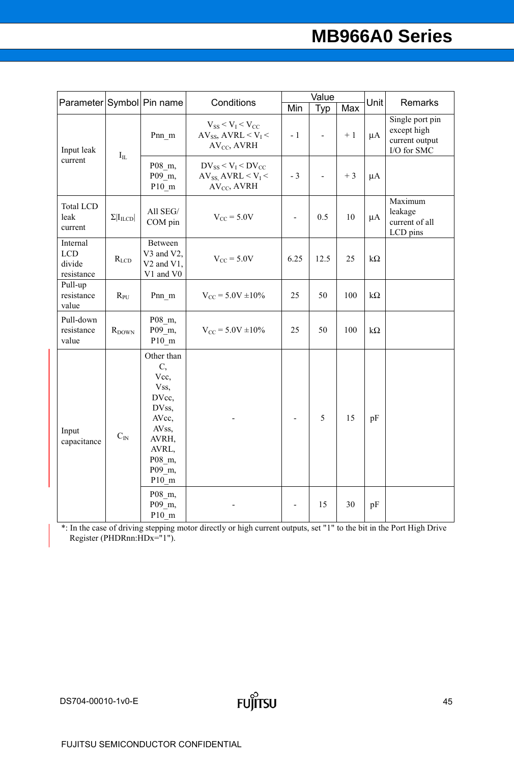| Parameter Symbol Pin name               |                        |                                                                                                                                                    | Conditions                                                                    | Min            | Value<br>Max<br>Typ |          | Unit      | Remarks                                                         |
|-----------------------------------------|------------------------|----------------------------------------------------------------------------------------------------------------------------------------------------|-------------------------------------------------------------------------------|----------------|---------------------|----------|-----------|-----------------------------------------------------------------|
| Input leak                              | $I_{IL}$               | Pnn m                                                                                                                                              | $V_{SS}$ < $V_I$ < $V_{CC}$<br>$AV_{SS}$ , $AVRL < VI$<br>$AV_{CC}$ , AVRH    | $-1$           |                     | $+1$     | $\mu A$   | Single port pin<br>except high<br>current output<br>I/O for SMC |
| current                                 |                        | P08 m,<br>P09 m,<br>$P10$ _m                                                                                                                       | $DV_{SS}$ < $V_I$ < $DV_{CC}$<br>$AV_{SS}$ AVRL < $V_I$ <<br>$AV_{CC}$ , AVRH | $-3$           |                     | $+3$     | $\mu A$   |                                                                 |
| <b>Total LCD</b><br>leak<br>current     | $\Sigma I_{\rm ILCD} $ | All SEG/<br>COM pin                                                                                                                                | $V_{CC}$ = 5.0V                                                               | $\overline{a}$ | 0.5                 | 10       | $\mu A$   | Maximum<br>leakage<br>current of all<br>LCD pins                |
| Internal<br>LCD<br>divide<br>resistance | $R_{LCD}$              | Between<br>V3 and V2,<br>$V2$ and $V1$ ,<br>V1 and V0                                                                                              | $V_{CC}$ = 5.0V                                                               | 6.25           | 12.5                | 25       | $k\Omega$ |                                                                 |
| Pull-up<br>resistance<br>value          | $R_{PU}$               | Pnn m                                                                                                                                              | $V_{CC} = 5.0V \pm 10\%$                                                      | 25             | 50                  | 100      | $k\Omega$ |                                                                 |
| Pull-down<br>resistance<br>value        | $R_{DOWN}$             | P08_m,<br>P09 m,<br>$P10$ _m                                                                                                                       | $V_{CC} = 5.0V \pm 10\%$                                                      | 25             | 50                  | 100      | $k\Omega$ |                                                                 |
| Input<br>capacitance                    | $C_{IN}$               | Other than<br>C,<br>Vcc,<br>Vss,<br>DVcc,<br>DVss,<br>AVcc,<br>AV <sub>ss</sub><br>AVRH,<br>AVRL,<br>P08_m,<br>P09 m,<br>P10 m<br>P08 m,<br>P09_m, |                                                                               |                | 5<br>15             | 15<br>30 | pF<br>pF  |                                                                 |
|                                         |                        | $P10$ _m                                                                                                                                           |                                                                               |                |                     |          |           |                                                                 |

\*: In the case of driving stepping motor directly or high current outputs, set "1" to the bit in the Port High Drive Register (PHDRnn:HDx="1").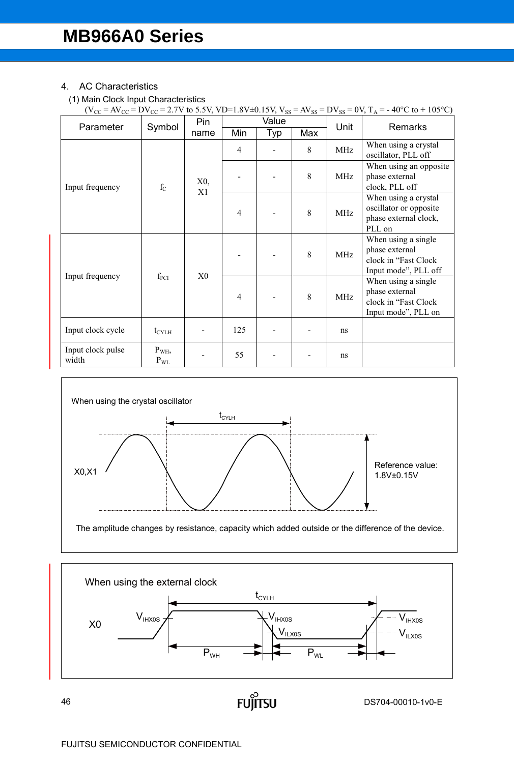#### 4. AC Characteristics

#### (1) Main Clock Input Characteristics

|                            |                      |                |                |       |     |            | (V <sub>CC</sub> = AV <sub>CC</sub> = DV <sub>CC</sub> = 2.7V to 5.5V, VD=1.8V±0.15V, V <sub>SS</sub> = AV <sub>SS</sub> = DV <sub>SS</sub> = 0V, T <sub>A</sub> = - 40°C to + 105°C) |
|----------------------------|----------------------|----------------|----------------|-------|-----|------------|---------------------------------------------------------------------------------------------------------------------------------------------------------------------------------------|
|                            |                      | Pin            |                | Value |     | Unit       | <b>Remarks</b>                                                                                                                                                                        |
| Parameter                  | Symbol               | name           | Min            | Typ   | Max |            |                                                                                                                                                                                       |
| Input frequency            |                      |                | 4              |       | 8   | <b>MHz</b> | When using a crystal<br>oscillator, PLL off                                                                                                                                           |
|                            | $\rm{f_{C}}$         | X0,<br>X1      |                |       | 8   | <b>MHz</b> | When using an opposite<br>phase external<br>clock, PLL off                                                                                                                            |
|                            |                      |                | $\overline{4}$ |       | 8   | MHz        | When using a crystal<br>oscillator or opposite<br>phase external clock,<br>PLL on                                                                                                     |
| Input frequency            | $\rm f_{FCI}$        | X <sub>0</sub> |                |       | 8   | <b>MHz</b> | When using a single<br>phase external<br>clock in "Fast Clock<br>Input mode", PLL off                                                                                                 |
|                            |                      |                | 4              |       | 8   | <b>MHz</b> | When using a single<br>phase external<br>clock in "Fast Clock<br>Input mode", PLL on                                                                                                  |
| Input clock cycle          | $t_{\text{CYLH}}$    |                | 125            |       |     | ns         |                                                                                                                                                                                       |
| Input clock pulse<br>width | $P_{WH}$<br>$P_{WL}$ |                | 55             |       |     | ns         |                                                                                                                                                                                       |





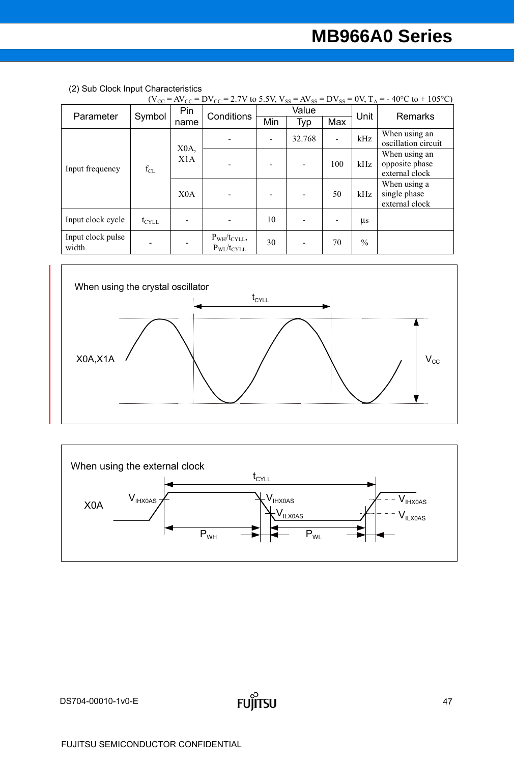| $(V_{CC} = AV_{CC} = DV_{CC} = 2.7V$ to 5.5V, $V_{SS} = AV_{SS} = DV_{SS} = 0V$ , $T_A = -40^{\circ}C$ to + 105 <sup>o</sup> C) |                   |                   |                                                      |       |        |                |               |                                                   |  |  |  |
|---------------------------------------------------------------------------------------------------------------------------------|-------------------|-------------------|------------------------------------------------------|-------|--------|----------------|---------------|---------------------------------------------------|--|--|--|
| Parameter                                                                                                                       | Symbol            | Pin               | Conditions                                           | Value |        |                | Unit          | <b>Remarks</b>                                    |  |  |  |
|                                                                                                                                 |                   | name              |                                                      | Min   | Typ    | Max            |               |                                                   |  |  |  |
| Input frequency                                                                                                                 | $f_{CL}$          | X <sub>0</sub> A, |                                                      |       | 32.768 | $\overline{a}$ | kHz           | When using an<br>oscillation circuit              |  |  |  |
|                                                                                                                                 |                   | X1A               |                                                      |       |        | 100            | kHz           | When using an<br>opposite phase<br>external clock |  |  |  |
|                                                                                                                                 |                   | X <sub>0</sub> A  |                                                      |       |        | 50             | kHz           | When using a<br>single phase<br>external clock    |  |  |  |
| Input clock cycle                                                                                                               | $t_{\text{CYLL}}$ |                   |                                                      | 10    |        |                | $\mu$ s       |                                                   |  |  |  |
| Input clock pulse<br>width                                                                                                      |                   |                   | $P_{WH}/t_{CYLL}$<br>$P_{\text{WL}}/t_{\text{CYLL}}$ | 30    | -      | 70             | $\frac{0}{0}$ |                                                   |  |  |  |

(2) Sub Clock Input Characteristics



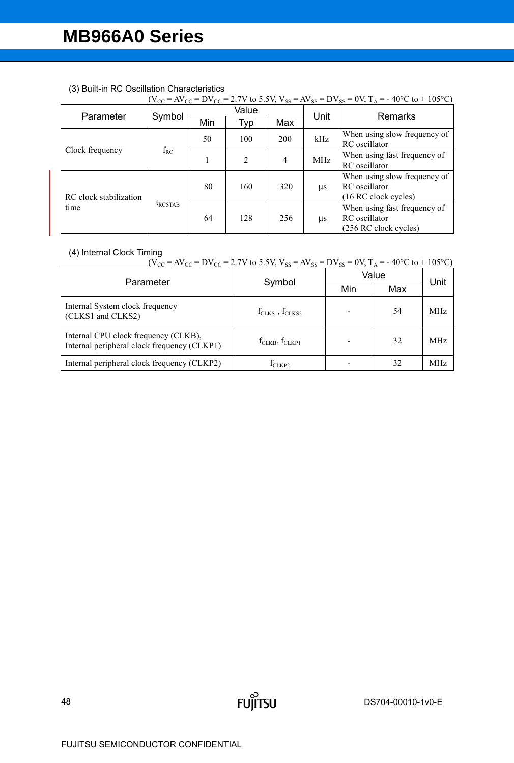|                                | $(V_{CC} = AV_{CC} = DV_{CC} = 2.7V$ to 5.5V, $V_{SS} = AV_{SS} = DV_{SS} = 0V$ , $T_A = -40°C$ to + 105°C) |     |                |                |           |                                                                        |  |  |  |  |  |  |  |
|--------------------------------|-------------------------------------------------------------------------------------------------------------|-----|----------------|----------------|-----------|------------------------------------------------------------------------|--|--|--|--|--|--|--|
| Parameter                      | Symbol                                                                                                      |     | Value          |                |           | Remarks                                                                |  |  |  |  |  |  |  |
|                                |                                                                                                             | Min | Typ            | Max            | Unit      |                                                                        |  |  |  |  |  |  |  |
| Clock frequency                | $f_{RC}$                                                                                                    | 50  | 100            | 200            | kHz       | When using slow frequency of<br>RC oscillator                          |  |  |  |  |  |  |  |
|                                |                                                                                                             | 1   | $\overline{2}$ | $\overline{4}$ | MHz       | When using fast frequency of<br>RC oscillator                          |  |  |  |  |  |  |  |
| RC clock stabilization<br>time |                                                                                                             | 80  | 160            | 320            | $\mu s$   | When using slow frequency of<br>RC oscillator<br>(16 RC clock cycles)  |  |  |  |  |  |  |  |
|                                | $t_{\text{RCSTAB}}$                                                                                         | 64  | 128            | 256            | <b>us</b> | When using fast frequency of<br>RC oscillator<br>(256 RC clock cycles) |  |  |  |  |  |  |  |

#### (3) Built-in RC Oscillation Characteristics

### (4) Internal Clock Timing

| שווווייה וווניקווופו טוטטג ווווווווע                                                |                                                                                                                                 |  |       |            |  |  |  |
|-------------------------------------------------------------------------------------|---------------------------------------------------------------------------------------------------------------------------------|--|-------|------------|--|--|--|
|                                                                                     | $(V_{CC} = AV_{CC} = DV_{CC} = 2.7V$ to 5.5V, $V_{SS} = AV_{SS} = DV_{SS} = 0V$ , $T_A = -40^{\circ}C$ to + 105 <sup>o</sup> C) |  |       |            |  |  |  |
|                                                                                     |                                                                                                                                 |  | Value | Unit       |  |  |  |
| Parameter                                                                           | Symbol<br>Min<br>Max                                                                                                            |  |       |            |  |  |  |
| Internal System clock frequency<br>(CLKS1 and CLKS2)                                | $f_{\text{CLKS1}}, f_{\text{CLKS2}}$                                                                                            |  | 54    | <b>MHz</b> |  |  |  |
| Internal CPU clock frequency (CLKB),<br>Internal peripheral clock frequency (CLKP1) | $f_{\text{CLKB}}$ , $f_{\text{CLKP1}}$                                                                                          |  | 32    | <b>MHz</b> |  |  |  |
| Internal peripheral clock frequency (CLKP2)                                         | $f_{CLKP2}$                                                                                                                     |  | 32    | <b>MHz</b> |  |  |  |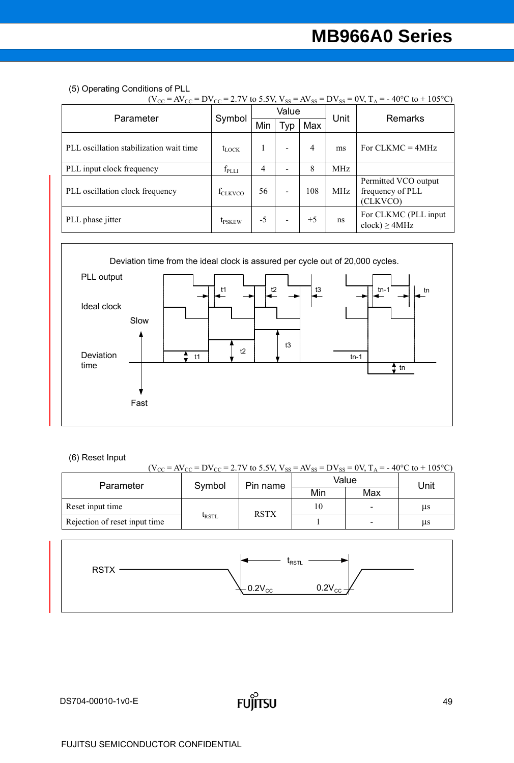#### (5) Operating Conditions of PLL

| $(V_{CC} = AV_{CC} = DV_{CC} = 2.7V$ to 5.5V, $V_{SS} = AV_{SS} = DV_{SS} = 0V$ , $T_A = -40^{\circ}C$ to + 105 <sup>o</sup> C) |                |      |       |      |      |                                                      |
|---------------------------------------------------------------------------------------------------------------------------------|----------------|------|-------|------|------|------------------------------------------------------|
| Parameter                                                                                                                       | Symbol         |      | Value |      | Unit | <b>Remarks</b>                                       |
|                                                                                                                                 |                | Min  | Typ   | Max  |      |                                                      |
| PLL oscillation stabilization wait time                                                                                         | $t_{\rm LOCK}$ | 1    |       | 4    | ms   | For $CLKMC = 4MHz$                                   |
| PLL input clock frequency                                                                                                       | $f_{\rm PLLI}$ | 4    |       | 8    | MHz  |                                                      |
| PLL oscillation clock frequency                                                                                                 | $f_{CLKVCO}$   | 56   |       | 108  | MHz  | Permitted VCO output<br>frequency of PLL<br>(CLKVCO) |
| PLL phase jitter                                                                                                                | $t_{PSKEW}$    | $-5$ |       | $+5$ | ns   | For CLKMC (PLL input<br>$clock$ ) $\geq$ 4MHz        |



(6) Reset Input

|                               | $(V_{CC} = AV_{CC} = DV_{CC} = 2.7V$ to 5.5V, $V_{SS} = AV_{SS} = DV_{SS} = 0V$ , $T_A = -40^{\circ}C$ to + 105 <sup>o</sup> C) |             |            |      |    |  |
|-------------------------------|---------------------------------------------------------------------------------------------------------------------------------|-------------|------------|------|----|--|
| Parameter                     | Symbol                                                                                                                          | Pin name    | Value      | Unit |    |  |
|                               |                                                                                                                                 |             | Min<br>Max |      |    |  |
| Reset input time              |                                                                                                                                 | <b>RSTX</b> | 10         |      | us |  |
| Rejection of reset input time | $t_{\text{RSTL}}$                                                                                                               |             |            |      | us |  |

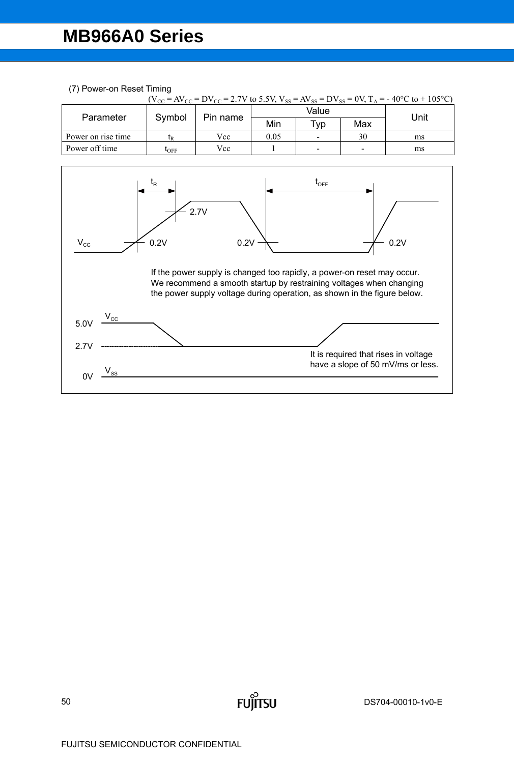

ĬĬTSU

**FU** 

#### (7) Power-on Reset Timing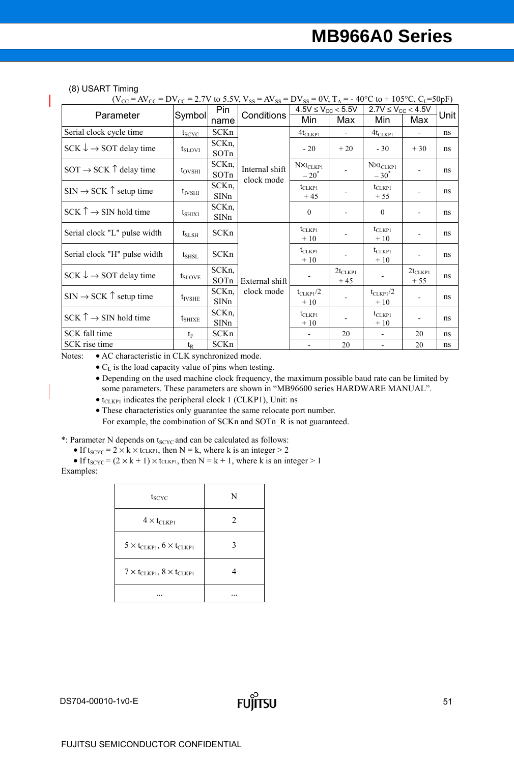#### (8) USART Timing

| $(V_{CC} = AV_{CC} = DV_{CC} = 2.7V$ to 5.5V, $V_{SS} = AV_{SS} = DV_{SS} = 0V$ , $T_A = -40^{\circ}\text{C}$ to + 105 <sup>o</sup> C, $C_L = 50pF$ ) |                 |               |                              |                                   |                                              |                                   |                          |      |
|-------------------------------------------------------------------------------------------------------------------------------------------------------|-----------------|---------------|------------------------------|-----------------------------------|----------------------------------------------|-----------------------------------|--------------------------|------|
|                                                                                                                                                       |                 | <b>Pin</b>    |                              | $4.5V \leq V_{CC} < 5.5V$         |                                              | $2.7V \leq V_{CC} < 4.5V$         |                          |      |
| Parameter                                                                                                                                             | Symbol          | name          | Conditions                   | Min                               | Max                                          | Min                               | Max                      | Unit |
| Serial clock cycle time                                                                                                                               | $t_{SCYC}$      | SCKn          |                              | $4t_{CLKP1}$                      |                                              | $4t_{CLKP1}$                      |                          | ns   |
| $SCK \downarrow \rightarrow SOT$ delay time                                                                                                           | $t_{SLOVI}$     | SCKn,<br>SOTn |                              | $-20$                             | $+20$                                        | $-30$                             | $+30$                    | ns   |
| SOT $\rightarrow$ SCK $\uparrow$ delay time                                                                                                           | $t_{\rm OVSHI}$ | SCKn,<br>SOTn | Internal shift<br>clock mode | $N \times t_{CLKP1}$<br>$-20^{*}$ |                                              | $N \times t_{CLKP1}$<br>$-30^{*}$ |                          | ns   |
| $SIN \rightarrow SCK$ $\uparrow$ setup time                                                                                                           | $t_{IVSHI}$     | SCKn,<br>SINn |                              | $t_{CLKP1}$<br>$+45$              |                                              | $t_{CLKP1}$<br>$+55$              | $\overline{\phantom{a}}$ | ns   |
| $SCK \uparrow \rightarrow SIN$ hold time                                                                                                              | $t_{\rm SHIXI}$ | SCKn,<br>SINn |                              | $\theta$                          |                                              | $\theta$                          | $\overline{\phantom{a}}$ | ns   |
| Serial clock "L" pulse width                                                                                                                          | $t_{SLSH}$      | SCKn          |                              | $t_{CLKP1}$<br>$+10$              |                                              | $t_{CLKP1}$<br>$+10$              | $\overline{\phantom{a}}$ | ns   |
| Serial clock "H" pulse width                                                                                                                          | $t_{\rm SHSL}$  | SCKn          |                              | $t_{CLKP1}$<br>$+10$              |                                              | $t_{CLKP1}$<br>$+10$              | $\overline{\phantom{0}}$ | ns   |
| $SCK \downarrow \rightarrow SOT$ delay time                                                                                                           | $t_{SLOVE}$     | SCKn,<br>SOTn | External shift               |                                   | $2t_{\scriptstyle{\mathrm{CLKP1}}}$<br>$+45$ |                                   | $2t_{CLKP1}$<br>$+55$    | ns   |
| $SIN \rightarrow SCK \uparrow$ setup time                                                                                                             | $t_{IVSHE}$     | SCKn,<br>SINn | clock mode                   | $t_{CLKP1}/2$<br>$+10$            |                                              | $t_{CLKP1}/2$<br>$+10$            |                          | ns   |
| $SCK \uparrow \rightarrow SIN$ hold time                                                                                                              | $t_{SHIXE}$     | SCKn,<br>SINn |                              | $t_{CLKP1}$<br>$+10$              |                                              | $t_{CLKP1}$<br>$+10$              |                          | ns   |
| SCK fall time                                                                                                                                         | $t_{\rm F}$     | SCKn          |                              |                                   | 20                                           |                                   | 20                       | ns   |
| SCK rise time                                                                                                                                         | $t_{R}$         | SCKn          |                              |                                   | 20                                           |                                   | 20                       | ns   |

Notes:  $\bullet$  AC characteristic in CLK synchronized mode.

 $\bullet$  C<sub>L</sub> is the load capacity value of pins when testing.

• Depending on the used machine clock frequency, the maximum possible baud rate can be limited by some parameters. These parameters are shown in "MB96600 series HARDWARE MANUAL".

 $\bullet$  t<sub>CLKP1</sub> indicates the peripheral clock 1 (CLKP1), Unit: ns

• These characteristics only guarantee the same relocate port number.

For example, the combination of SCKn and SOTn\_R is not guaranteed.

 $*$ : Parameter N depends on  $t_{SCYC}$  and can be calculated as follows:

• If  $t_{SCYC} = 2 \times k \times t_{CLKP1}$ , then N = k, where k is an integer > 2

• If  $t_{SCYC} = (2 \times k + 1) \times t_{CLKP1}$ , then  $N = k + 1$ , where k is an integer > 1

Examples:

| $t_{SCYC}$                                  | N |
|---------------------------------------------|---|
| $4 \times t_{CLKP1}$                        | 2 |
| $5 \times t_{CLKP1}$ , $6 \times t_{CLKP1}$ |   |
| $7 \times t_{CLKP1}$ , $8 \times t_{CLKP1}$ |   |
|                                             |   |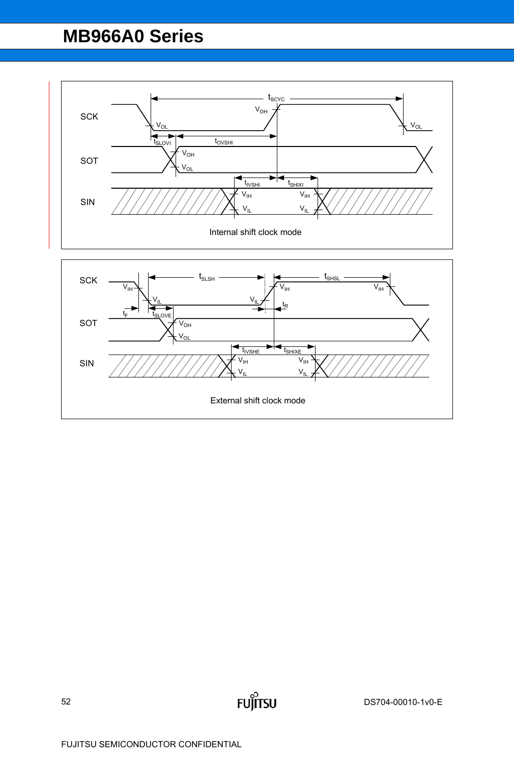

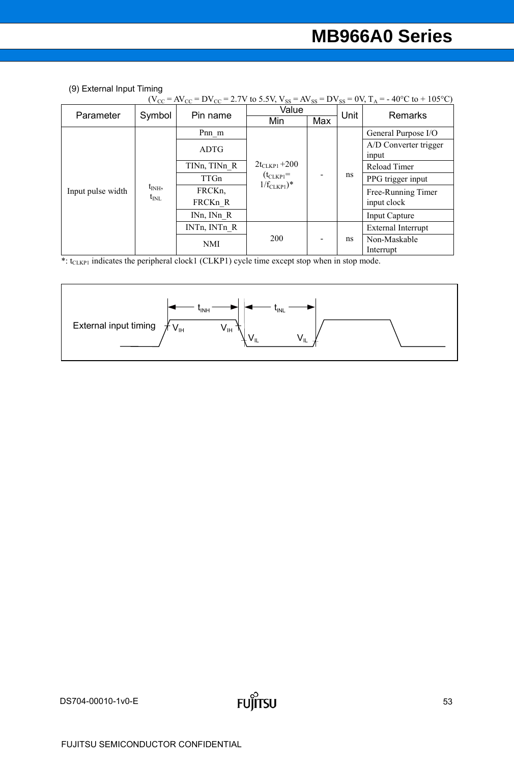(9) External Input Timing

| $(V_{CC} = AV_{CC} = DV_{CC} = 2.7V$ to 5.5V, $V_{SS} = AV_{SS} = DV_{SS} = 0V$ , $T_A = -40°C$ to + 105°C) |               |                                            |                    |     |                       |                      |  |
|-------------------------------------------------------------------------------------------------------------|---------------|--------------------------------------------|--------------------|-----|-----------------------|----------------------|--|
| Parameter                                                                                                   |               |                                            | Value              |     | Unit                  | Remarks              |  |
|                                                                                                             | Symbol        | Pin name                                   | Min                | Max |                       |                      |  |
|                                                                                                             |               | Pnn m                                      |                    |     |                       | General Purpose I/O  |  |
|                                                                                                             | <b>ADTG</b>   |                                            |                    |     | A/D Converter trigger |                      |  |
|                                                                                                             |               |                                            |                    |     |                       | input                |  |
|                                                                                                             |               | TINn, TINn R                               | $2t_{CLKP1} + 200$ |     |                       | Reload Timer         |  |
|                                                                                                             |               | $(t_{CLKP1}$ =<br>TTGn<br>$1/f_{CLKP1})^*$ |                    | ns  | PPG trigger input     |                      |  |
| Input pulse width                                                                                           | $t_{\rm INH}$ | FRCK <sub>n</sub>                          |                    |     |                       | Free-Running Timer   |  |
|                                                                                                             | $t_{\rm INL}$ | FRCKn R                                    |                    |     |                       | input clock          |  |
|                                                                                                             |               | INn, INn R                                 |                    |     |                       | <b>Input Capture</b> |  |
|                                                                                                             |               | INTn, INTn R                               |                    |     |                       | External Interrupt   |  |
|                                                                                                             |               | <b>NMI</b>                                 | <b>200</b>         |     | ns                    | Non-Maskable         |  |
|                                                                                                             |               |                                            |                    |     | Interrupt             |                      |  |

\*:  $t_{CLKP1}$  indicates the peripheral clock1 (CLKP1) cycle time except stop when in stop mode.

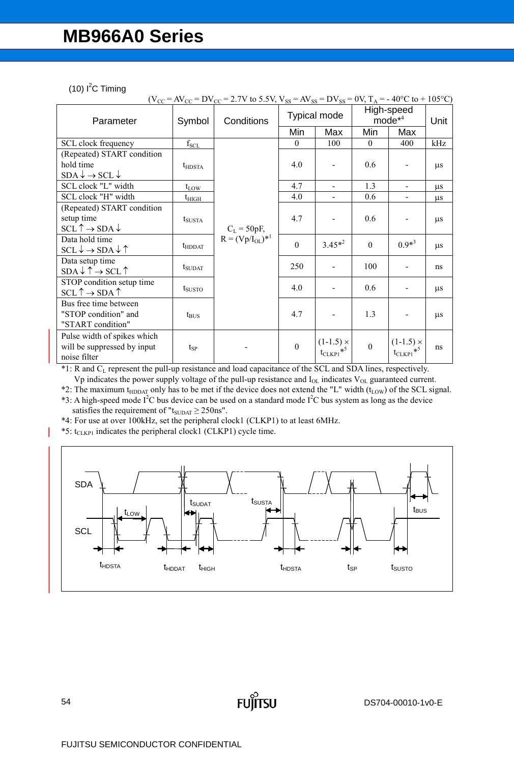#### $(10)$  I<sup>2</sup>C Timing

| Parameter                                                                  | Symbol             | $V_{\rm CC}$ – AV <sub>CC</sub> – DV <sub>CC</sub> – 2.7 V to 3.3 V, V <sub>SS</sub> – AV <sub>SS</sub> – DV <sub>SS</sub> – UV, 1 <sub>A</sub> – - 40 U to + 103 U<br>Conditions |                  | <b>Typical mode</b>                                   | High-speed<br>$mode^{*4}$ | Unit                                                  |         |
|----------------------------------------------------------------------------|--------------------|-----------------------------------------------------------------------------------------------------------------------------------------------------------------------------------|------------------|-------------------------------------------------------|---------------------------|-------------------------------------------------------|---------|
|                                                                            |                    |                                                                                                                                                                                   | Min              | Max                                                   | Min                       | Max                                                   |         |
| SCL clock frequency                                                        | $f_{\rm SCL}$      |                                                                                                                                                                                   | $\Omega$         | 100                                                   | $\Omega$                  | 400                                                   | kHz     |
| (Repeated) START condition                                                 |                    |                                                                                                                                                                                   |                  |                                                       |                           |                                                       |         |
| hold time                                                                  | $t_{\text{HDSTA}}$ |                                                                                                                                                                                   | 4.0              |                                                       | 0.6                       |                                                       | $\mu$ s |
| $SDA \downarrow \rightarrow SCL \downarrow$                                |                    |                                                                                                                                                                                   |                  |                                                       |                           |                                                       |         |
| SCL clock "L" width                                                        | $t_{LOW}$          |                                                                                                                                                                                   | 4.7              | $\overline{a}$                                        | 1.3                       | $\overline{\phantom{0}}$                              | $\mu$ s |
| SCL clock "H" width                                                        | $t_{\rm HIGH}$     |                                                                                                                                                                                   | 4.0              |                                                       | 0.6                       |                                                       | $\mu$ s |
| (Repeated) START condition                                                 |                    |                                                                                                                                                                                   |                  |                                                       | 0.6                       |                                                       |         |
| setup time                                                                 | $t_{SUSTA}$        |                                                                                                                                                                                   | 4.7              |                                                       |                           |                                                       | $\mu$ s |
| $SCL \uparrow \rightarrow SDA \downarrow$                                  |                    | $C_L$ = 50pF,                                                                                                                                                                     |                  |                                                       |                           |                                                       |         |
| Data hold time                                                             |                    | $R = (Vp/I_{OL})^{*1}$                                                                                                                                                            | $\boldsymbol{0}$ | $3.45*^2$                                             | $\mathbf{0}$              | $0.9*3$                                               | $\mu$ s |
| $SCL \downarrow \rightarrow SDA \downarrow \uparrow$                       | $t_{HDDAT}$        |                                                                                                                                                                                   |                  |                                                       |                           |                                                       |         |
| Data setup time                                                            | $t_{\text{SUDAT}}$ |                                                                                                                                                                                   | 250              |                                                       | 100                       |                                                       | ns      |
| $SDA \downarrow \uparrow \rightarrow SCL \uparrow$                         |                    |                                                                                                                                                                                   |                  |                                                       |                           |                                                       |         |
| STOP condition setup time                                                  |                    |                                                                                                                                                                                   | 4.0              |                                                       | 0.6                       |                                                       | $\mu$ s |
| $SCL \uparrow \rightarrow SDA \uparrow$                                    | $t_{SUSTO}$        |                                                                                                                                                                                   |                  |                                                       |                           |                                                       |         |
| Bus free time between                                                      |                    |                                                                                                                                                                                   |                  |                                                       |                           |                                                       |         |
| "STOP condition" and                                                       | $t_{\text{BUS}}$   |                                                                                                                                                                                   | 4.7              |                                                       | 1.3                       |                                                       | $\mu$ s |
| "START condition"                                                          |                    |                                                                                                                                                                                   |                  |                                                       |                           |                                                       |         |
| Pulse width of spikes which<br>will be suppressed by input<br>noise filter | $t_{SP}$           |                                                                                                                                                                                   | $\boldsymbol{0}$ | $(1-1.5) \times$<br>$t_{\text{CLKP1}}$ * <sup>5</sup> | $\boldsymbol{0}$          | $(1-1.5) \times$<br>$t_{\text{CLKP1}}$ * <sup>5</sup> | ns      |

\*1: R and CL represent the pull-up resistance and load capacitance of the SCL and SDA lines, respectively.

Vp indicates the power supply voltage of the pull-up resistance and I<sub>OL</sub> indicates V<sub>OL</sub> guaranteed current.

\*2: The maximum  $t_{HDDAT}$  only has to be met if the device does not extend the "L" width ( $t_{LOW}$ ) of the SCL signal. \*3: A high-speed mode  $I^2C$  bus device can be used on a standard mode  $I^2C$  bus system as long as the device satisfies the requirement of " $t_{\text{SUBAT}} \ge 250$ ns".

\*4: For use at over 100kHz, set the peripheral clock1 (CLKP1) to at least 6MHz.

 $*5:$  t<sub>CLKP1</sub> indicates the peripheral clock1 (CLKP1) cycle time.



 $(V_{CC} = AV_{CC} = DV_{CC} = 2.7V$  to 5.5V,  $V_{SS} = AV_{SS} = DV_{SS} = 0V$ ,  $T_A = -40°C$  to + 105°C)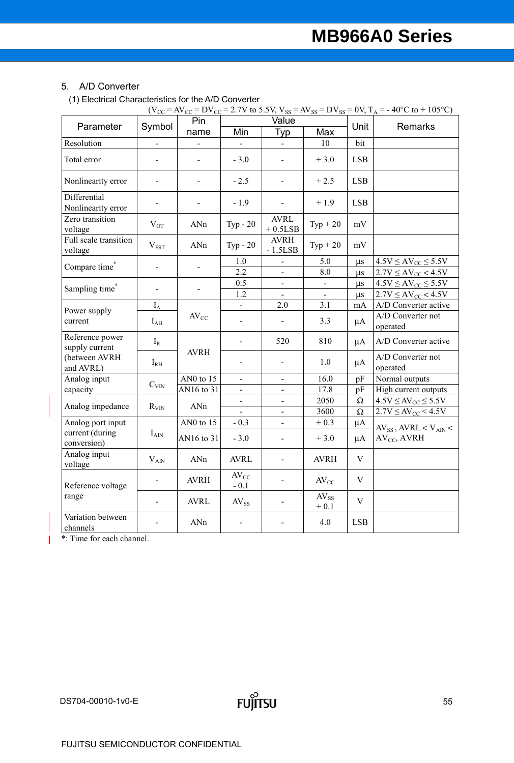#### 5. A/D Converter

(1) Electrical Characteristics for the A/D Converter

|                                    |                          |                       |                          |                          |                     |                           | $(V_{CC} = AV_{CC} = DV_{CC} = 2.7V$ to 5.5V, $V_{SS} = AV_{SS} = DV_{SS} = 0V$ , $T_A = -40°C$ to + 105°C) |
|------------------------------------|--------------------------|-----------------------|--------------------------|--------------------------|---------------------|---------------------------|-------------------------------------------------------------------------------------------------------------|
| Parameter                          | Symbol                   |                       |                          | Value                    |                     | Unit                      | <b>Remarks</b>                                                                                              |
|                                    |                          | name                  | Min                      | <b>Typ</b>               | Max                 |                           |                                                                                                             |
| Resolution                         |                          |                       |                          |                          | 10                  | bit                       |                                                                                                             |
| Total error                        | $\overline{a}$           |                       | $-3.0$                   |                          | $+3.0$              | <b>LSB</b>                |                                                                                                             |
| Nonlinearity error                 |                          |                       | $-2.5$                   |                          | $+2.5$              | <b>LSB</b>                |                                                                                                             |
| Differential<br>Nonlinearity error |                          |                       | $-1.9$                   |                          | $+1.9$              | <b>LSB</b>                |                                                                                                             |
| Zero transition<br>voltage         | $\rm V_{OT}$             | ANn                   | Typ $-20$                | <b>AVRL</b><br>$+0.5LSB$ | $Typ + 20$          | $\rm mV$                  |                                                                                                             |
| Full scale transition<br>voltage   | $V_{\rm FST}$            | ANn                   | Typ $-20$                | <b>AVRH</b><br>$-1.5LSB$ | $Typ + 20$          | mV                        |                                                                                                             |
| Compare time*                      | -                        |                       | 1.0                      | $\overline{a}$           | 5.0                 | $\mu s$                   | $4.5V \leq AV_{CC} \leq 5.5V$                                                                               |
|                                    |                          |                       | 2.2                      | $\blacksquare$           | 8.0                 | $\mu s$                   | $2.7V \leq AV_{CC} < 4.5V$                                                                                  |
| Sampling time*                     | $\overline{a}$           |                       | 0.5                      | $\overline{\phantom{a}}$ | $\blacksquare$      | $\mu s$                   | $4.5V \leq AV_{CC} \leq 5.5V$                                                                               |
|                                    |                          |                       | 1.2                      |                          |                     | $\mu s$                   | $2.7V \leq AV_{CC} < 4.5V$                                                                                  |
| Power supply                       | $I_A$                    |                       |                          | 2.0                      | 3.1                 | mA                        | A/D Converter active                                                                                        |
| current                            | $I_{AH}$                 | $\text{AV}_\text{CC}$ | $\blacksquare$           | $\blacksquare$           | 3.3                 | $\mu A$                   | A/D Converter not<br>operated                                                                               |
| Reference power<br>supply current  | $I_R$                    | <b>AVRH</b>           | $\overline{\phantom{0}}$ | 520                      | 810                 | $\mu A$                   | A/D Converter active                                                                                        |
| (between AVRH<br>and AVRL)         | $I_{RH}$                 |                       |                          |                          | 1.0                 | $\mu A$                   | A/D Converter not<br>operated                                                                               |
| Analog input                       |                          | AN0 to 15             |                          | $\blacksquare$           | 16.0                | pF                        | Normal outputs                                                                                              |
| capacity                           | $C_{VIN}$                | AN16 to 31            | $\blacksquare$           | $\blacksquare$           | 17.8                | pF                        | High current outputs                                                                                        |
| Analog impedance                   | $R_{VIN}$                | ANn                   |                          |                          | 2050                | $\Omega$                  | $4.5V \leq AV_{CC} \leq 5.5V$                                                                               |
|                                    |                          |                       |                          |                          | 3600                | $\Omega$                  | $2.7V \leq AV_{CC}$ < 4.5V                                                                                  |
| Analog port input                  |                          | AN0 to 15             | $-0.3$                   |                          | $+0.3$              | $\mu A$                   | $AV_{SS}$ , AVRL < $V_{AIN}$ <                                                                              |
| current (during<br>conversion)     | $I_{AIN}$                | AN16 to 31            | $-3.0$                   |                          | $+3.0$              | $\mu A$                   | $AV_{CC}$ , AVRH                                                                                            |
| Analog input<br>voltage            | $V_{AIN}$                | ANn                   | <b>AVRL</b>              | $\blacksquare$           | <b>AVRH</b>         | $\ensuremath{\mathbf{V}}$ |                                                                                                             |
| Reference voltage                  | $\overline{\phantom{0}}$ | <b>AVRH</b>           | $AV_{CC}$<br>$-0.1$      | $\blacksquare$           | $AV_{CC}$           | $\mathbf V$               |                                                                                                             |
| range                              |                          | <b>AVRL</b>           | $AV_{SS}$                |                          | $AV_{SS}$<br>$+0.1$ | $\mathbf V$               |                                                                                                             |
| Variation between<br>channels      |                          | $\mathbf{ANn}$        | $\blacksquare$           |                          | 4.0                 | <b>LSB</b>                |                                                                                                             |

\*: Time for each channel.

1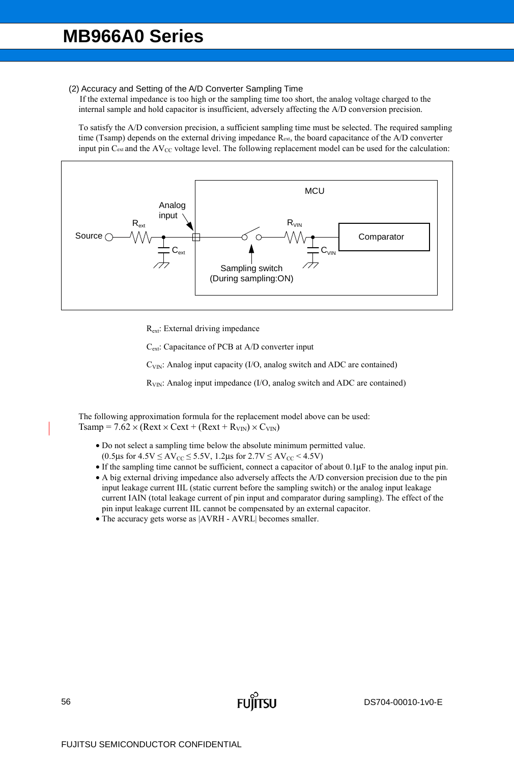#### (2) Accuracy and Setting of the A/D Converter Sampling Time

If the external impedance is too high or the sampling time too short, the analog voltage charged to the internal sample and hold capacitor is insufficient, adversely affecting the A/D conversion precision.

To satisfy the A/D conversion precision, a sufficient sampling time must be selected. The required sampling time (Tsamp) depends on the external driving impedance Rext, the board capacitance of the A/D converter input pin  $C_{ext}$  and the  $AV_{CC}$  voltage level. The following replacement model can be used for the calculation:



Rext: External driving impedance

Cext: Capacitance of PCB at A/D converter input

 $C_{VIN}$ : Analog input capacity (I/O, analog switch and ADC are contained)

 $R_{VIN}$ : Analog input impedance (I/O, analog switch and ADC are contained)

The following approximation formula for the replacement model above can be used: Tsamp =  $7.62 \times (Rest \times Cext + (Rest + R<sub>VIN</sub>) \times C<sub>VIN</sub>)$ 

- Do not select a sampling time below the absolute minimum permitted value. (0.5µs for  $4.5V$  ≤ AV<sub>CC</sub> ≤ 5.5V, 1.2µs for  $2.7V$  ≤ AV<sub>CC</sub> < 4.5V)
- If the sampling time cannot be sufficient, connect a capacitor of about 0.1µF to the analog input pin.
- A big external driving impedance also adversely affects the A/D conversion precision due to the pin input leakage current IIL (static current before the sampling switch) or the analog input leakage current IAIN (total leakage current of pin input and comparator during sampling). The effect of the pin input leakage current IIL cannot be compensated by an external capacitor.
- The accuracy gets worse as |AVRH AVRL| becomes smaller.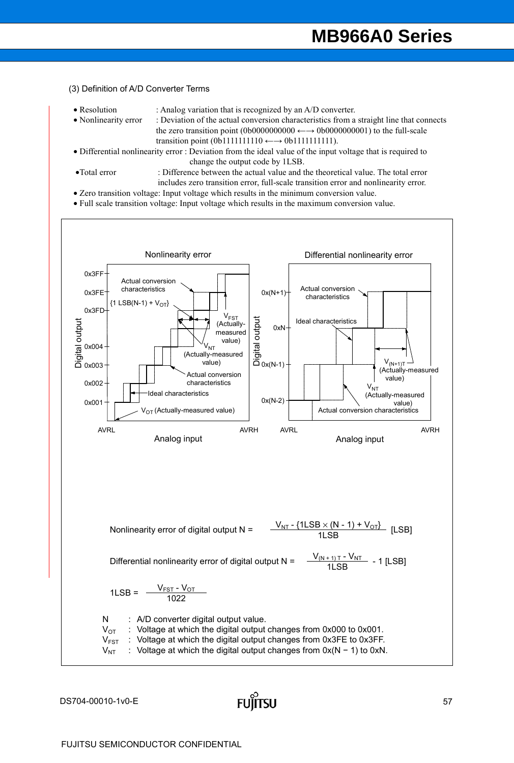#### (3) Definition of A/D Converter Terms

• Resolution : Analog variation that is recognized by an A/D converter.

- Nonlinearity error : Deviation of the actual conversion characteristics from a straight line that connects
	- the zero transition point (0b0000000000 $\longleftrightarrow$  0b00000000001) to the full-scale transition point (0b1111111110 ←→ 0b11111111111).
- Differential nonlinearity error : Deviation from the ideal value of the input voltage that is required to change the output code by 1LSB.
- •Total error : Difference between the actual value and the theoretical value. The total error includes zero transition error, full-scale transition error and nonlinearity error.
- Zero transition voltage: Input voltage which results in the minimum conversion value.
- Full scale transition voltage: Input voltage which results in the maximum conversion value.



**FUILTSU**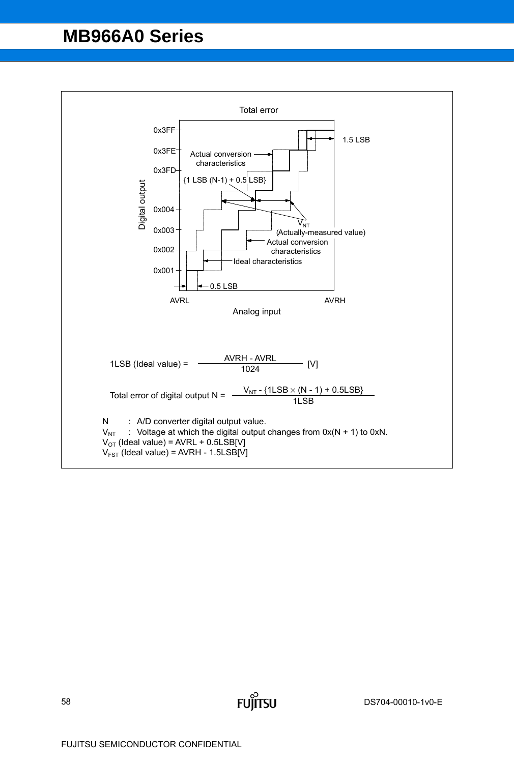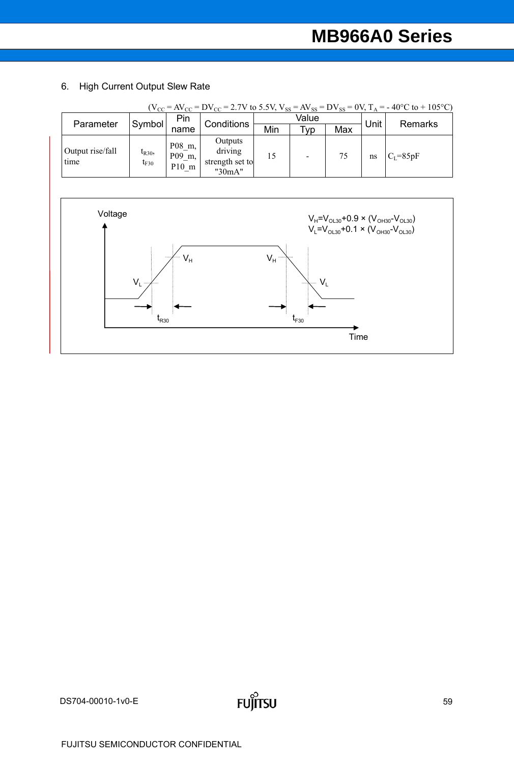#### 6. High Current Output Slew Rate

|                          |                        |                           |                                                 |       |     |     |      | $(V_{CC} = AV_{CC} = DV_{CC} = 2.7V$ to 5.5V, $V_{SS} = AV_{SS} = DV_{SS} = 0V$ , $T_A = -40^{\circ}C$ to + 105 <sup>o</sup> C) |
|--------------------------|------------------------|---------------------------|-------------------------------------------------|-------|-----|-----|------|---------------------------------------------------------------------------------------------------------------------------------|
|                          |                        | Pin                       |                                                 | Value |     |     | Unit |                                                                                                                                 |
| Parameter                | Symbol                 | name                      | Conditions                                      | Min   | Typ | Max |      | <b>Remarks</b>                                                                                                                  |
| Output rise/fall<br>time | $t_{R30}$<br>$t_{F30}$ | P08 m,<br>P09 m,<br>P10 m | Outputs<br>driving<br>strength set to<br>"30mA" | 15    |     | 75  | ns   | $C_{L} = 85pF$                                                                                                                  |

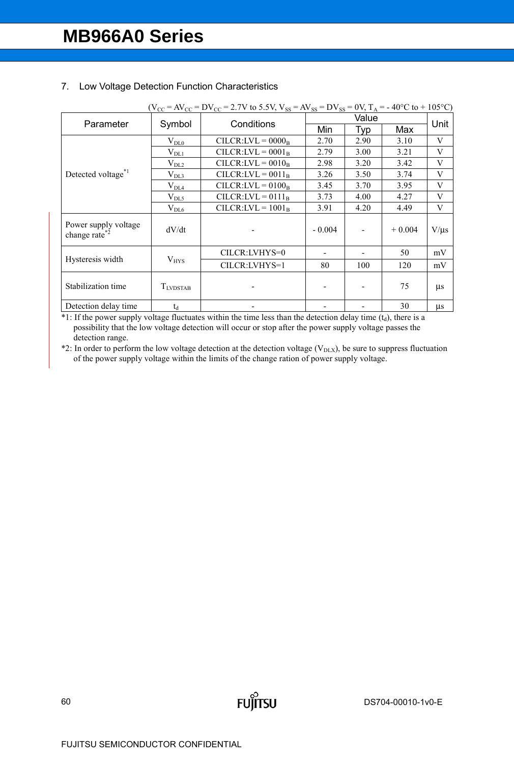|                                                                |                      | $(V_{CC} = AV_{CC} = DV_{CC} = 2.7V$ to 5.5V, $V_{SS} = AV_{SS} = DV_{SS} = 0V$ , $T_A = -40°C$ to + 105°C) |          |       |          |           |  |
|----------------------------------------------------------------|----------------------|-------------------------------------------------------------------------------------------------------------|----------|-------|----------|-----------|--|
| Parameter                                                      |                      | Conditions                                                                                                  |          | Value | Unit     |           |  |
|                                                                | Symbol               |                                                                                                             | Min      | Typ   | Max      |           |  |
|                                                                | $\rm V_{DLO}$        | $CILCR: LVL = 0000B$                                                                                        | 2.70     | 2.90  | 3.10     | V         |  |
|                                                                | $V_{DL1}$            | $CILCR: LVL = 0001_B$                                                                                       | 2.79     | 3.00  | 3.21     | V         |  |
|                                                                | $V_{DL2}$            | $CILCR: LVL = 0010_B$                                                                                       | 2.98     | 3.20  | 3.42     | V         |  |
| Detected voltage <sup>*1</sup>                                 | $V_{DL3}$            | $CILCR: LVL = 0011_B$                                                                                       | 3.26     | 3.50  | 3.74     | V         |  |
|                                                                | $V_{DL4}$            | $CILCR: LVL = 0100_B$                                                                                       | 3.45     | 3.70  | 3.95     | V         |  |
|                                                                | $V_{DL5}$            | $CILCR: LVL = 0111_B$                                                                                       | 3.73     | 4.00  | 4.27     | V         |  |
| $V_{DL6}$                                                      |                      | $CILCR: LVL = 1001_B$                                                                                       | 3.91     | 4.20  | 4.49     | V         |  |
| Power supply voltage<br>change rate <sup><math>*</math>2</sup> | dV/dt                |                                                                                                             | $-0.004$ |       | $+0.004$ | $V/\mu s$ |  |
|                                                                |                      | CILCR:LVHYS=0                                                                                               |          |       | 50       | mV        |  |
| Hysteresis width                                               | $V_{HYS}$            | CILCR:LVHYS=1                                                                                               | 80       | 100   | 120      | mV        |  |
| Stabilization time                                             | T <sub>LVDSTAB</sub> |                                                                                                             |          |       | 75       | $\mu$ s   |  |
| Detection delay time                                           | $t_d$                |                                                                                                             |          |       | 30       | μs        |  |

#### 7. Low Voltage Detection Function Characteristics

\*1: If the power supply voltage fluctuates within the time less than the detection delay time  $(t_d)$ , there is a possibility that the low voltage detection will occur or stop after the power supply voltage passes the detection range.

 $*2$ : In order to perform the low voltage detection at the detection voltage (V<sub>DLX</sub>), be sure to suppress fluctuation of the power supply voltage within the limits of the change ration of power supply voltage.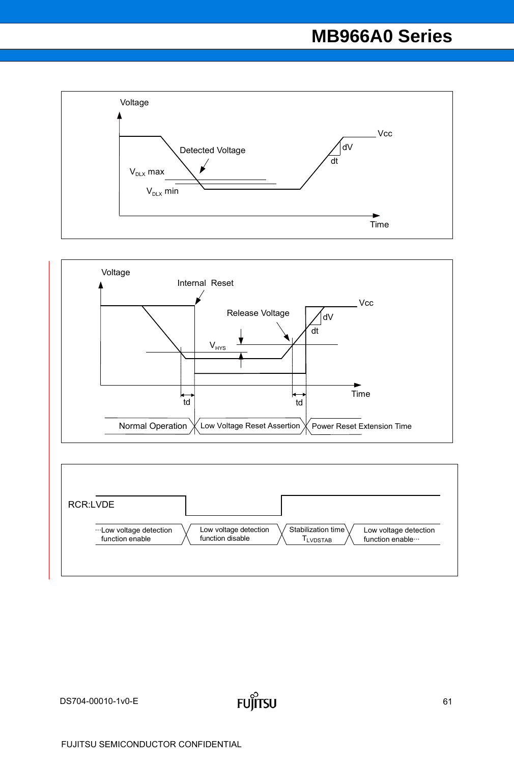



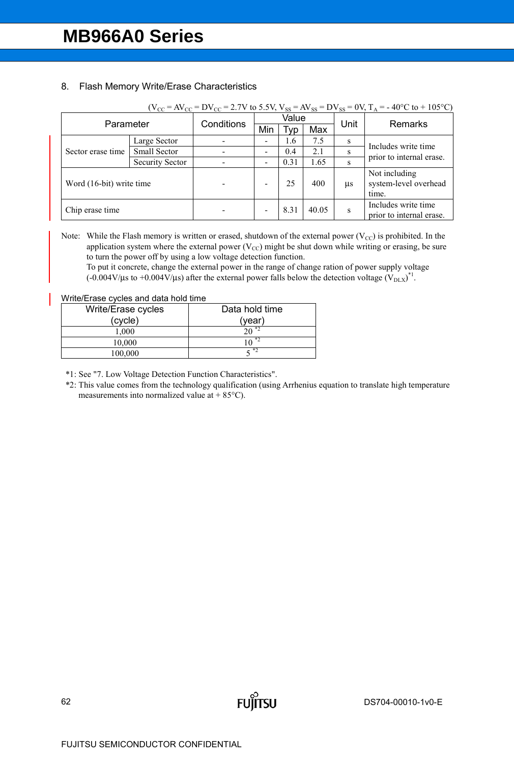#### 8. Flash Memory Write/Erase Characteristics

| $(V_{\text{CC}} = AV_{\text{CC}} = DV_{\text{CC}} = 2.7V$ to 5.5V, $V_{\text{SS}} = AV_{\text{SS}} = DV_{\text{SS}} = 0V$ , $T_A = -40^{\circ}\text{C}$ to + 105 <sup>o</sup> C) |                     |            |     |       |       |              |                                                 |  |
|----------------------------------------------------------------------------------------------------------------------------------------------------------------------------------|---------------------|------------|-----|-------|-------|--------------|-------------------------------------------------|--|
| Parameter                                                                                                                                                                        |                     | Conditions |     | Value |       | Unit         | Remarks                                         |  |
|                                                                                                                                                                                  |                     |            | Min | Typ   | Max   |              |                                                 |  |
|                                                                                                                                                                                  | Large Sector        |            |     | 1.6   | 7.5   | S            |                                                 |  |
| Sector erase time                                                                                                                                                                | <b>Small Sector</b> |            |     | 0.4   | 2.1   | S            | Includes write time<br>prior to internal erase. |  |
| <b>Security Sector</b>                                                                                                                                                           |                     |            |     | 0.31  | 1.65  | <sub>S</sub> |                                                 |  |
|                                                                                                                                                                                  |                     |            |     |       |       |              | Not including                                   |  |
| Word (16-bit) write time                                                                                                                                                         |                     |            |     | 25    | 400   | $\mu s$      | system-level overhead                           |  |
|                                                                                                                                                                                  |                     |            |     |       |       |              | time.                                           |  |
|                                                                                                                                                                                  |                     |            |     | 8.31  | 40.05 |              | Includes write time                             |  |
|                                                                                                                                                                                  | Chip erase time     |            |     |       |       | S            | prior to internal erase.                        |  |

Note: While the Flash memory is written or erased, shutdown of the external power  $(V_{CC})$  is prohibited. In the application system where the external power  $(V_{CC})$  might be shut down while writing or erasing, be sure to turn the power off by using a low voltage detection function.

To put it concrete, change the external power in the range of change ration of power supply voltage  $(-0.004 \text{V/µs}$  to  $+0.004 \text{V/µs})$  after the external power falls below the detection voltage  $(\text{V}_{\text{DLX}})^*$ .

#### Write/Erase cycles and data hold time

| Write/Erase cycles | Data hold time |
|--------------------|----------------|
| (cycle)            | (year)         |
| 1.000              | $\lambda^*$    |
| 10,000             | . *2           |
| 100,000            | $*2$           |

\*1: See "7. Low Voltage Detection Function Characteristics".

\*2: This value comes from the technology qualification (using Arrhenius equation to translate high temperature measurements into normalized value at  $+ 85^{\circ}$ C).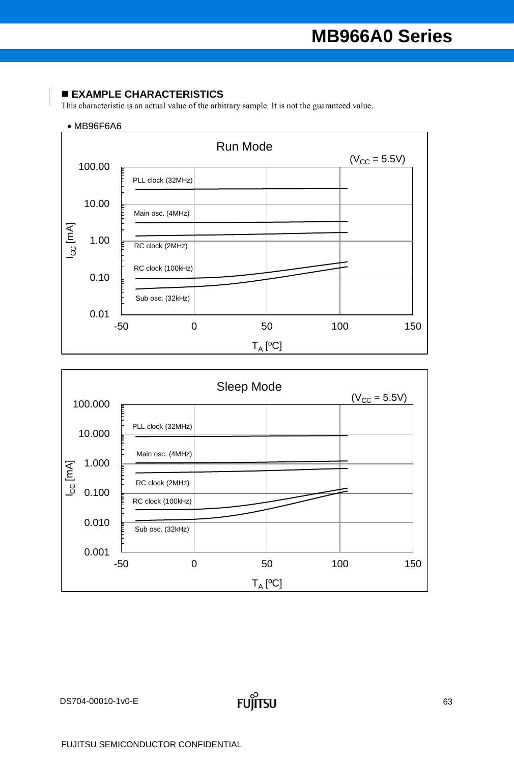#### **EXAMPLE CHARACTERISTICS**

This characteristic is an actual value of the arbitrary sample. It is not the guaranteed value.



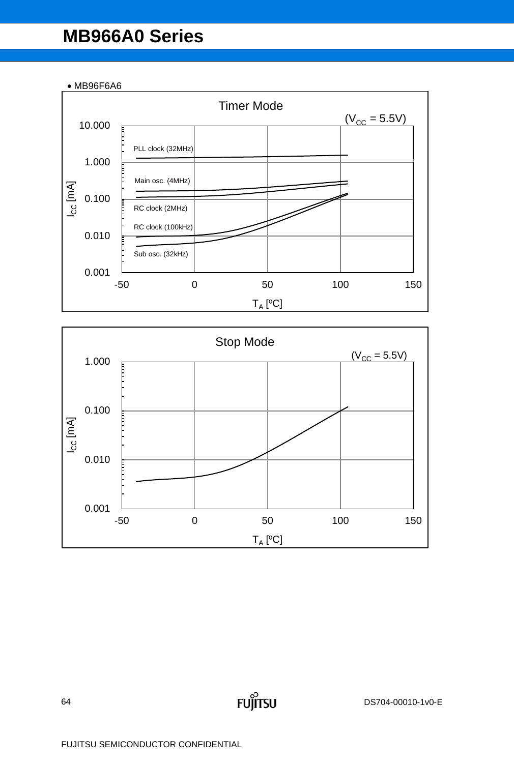• MB96F6A6



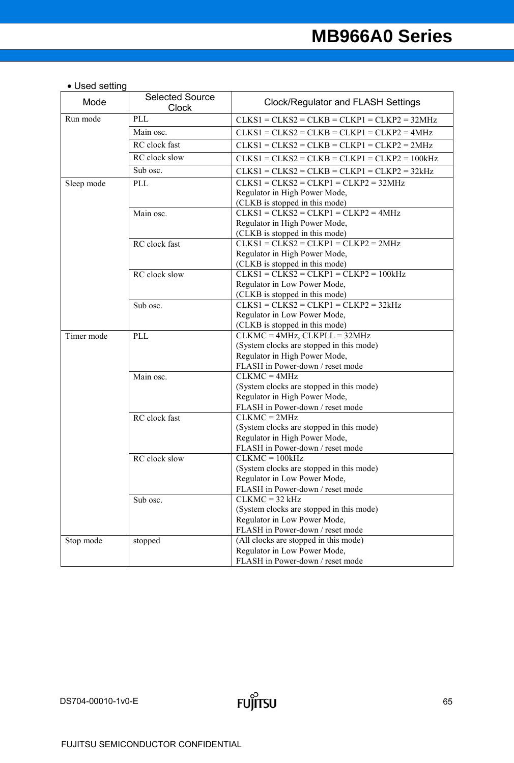#### • Used setting

| Mode       | <b>Selected Source</b><br><b>Clock</b> | Clock/Regulator and FLASH Settings                                       |
|------------|----------------------------------------|--------------------------------------------------------------------------|
| Run mode   | PLL                                    | $CLKS1 = CLKS2 = CLKB = CLKP1 = CLKP2 = 32MHz$                           |
|            | Main osc.                              | $CLKS1 = CLKS2 = CLKB = CLKP1 = CLKP2 = 4MHz$                            |
|            | RC clock fast                          | $CLKS1 = CLKS2 = CLKB = CLKP1 = CLKP2 = 2MHz$                            |
|            | RC clock slow                          | $CLKS1 = CLKS2 = CLKB = CLKP1 = CLKP2 = 100kHz$                          |
|            | Sub osc.                               | $CLKS1 = CLKS2 = CLKB = CLKP1 = CLKP2 = 32kHz$                           |
|            |                                        |                                                                          |
| Sleep mode | PLL                                    | $CLKS1 = CLKS2 = CLKP1 = CLKP2 = 32MHz$<br>Regulator in High Power Mode, |
|            |                                        | (CLKB is stopped in this mode)                                           |
|            | Main osc.                              | $CLKS1 = CLKS2 = CLKP1 = CLKP2 = 4MHz$                                   |
|            |                                        | Regulator in High Power Mode,                                            |
|            |                                        | (CLKB is stopped in this mode)                                           |
|            | RC clock fast                          | $CLKS1 = CLKS2 = CLKP1 = CLKP2 = 2MHz$                                   |
|            |                                        | Regulator in High Power Mode,                                            |
|            |                                        | (CLKB is stopped in this mode)                                           |
|            | RC clock slow                          | $CLKS1 = CLKS2 = CLKP1 = CLKP2 = 100kHz$                                 |
|            |                                        | Regulator in Low Power Mode,                                             |
|            |                                        | (CLKB is stopped in this mode)                                           |
|            | Sub osc.                               | $CLKS1 = CLKS2 = CLKP1 = CLKP2 = 32kHz$                                  |
|            |                                        | Regulator in Low Power Mode,                                             |
|            |                                        | (CLKB is stopped in this mode)                                           |
| Timer mode | <b>PLL</b>                             | $CLKMC = 4MHz$ , $CLKPLL = 32MHz$                                        |
|            |                                        | (System clocks are stopped in this mode)                                 |
|            |                                        | Regulator in High Power Mode,                                            |
|            | Main osc.                              | FLASH in Power-down / reset mode<br>$CLKMC = 4MHz$                       |
|            |                                        | (System clocks are stopped in this mode)                                 |
|            |                                        | Regulator in High Power Mode,                                            |
|            |                                        | FLASH in Power-down / reset mode                                         |
|            | RC clock fast                          | $CLKMC = 2MHz$                                                           |
|            |                                        | (System clocks are stopped in this mode)                                 |
|            |                                        | Regulator in High Power Mode,                                            |
|            |                                        | FLASH in Power-down / reset mode                                         |
|            | RC clock slow                          | $CLKMC = 100kHz$                                                         |
|            |                                        | (System clocks are stopped in this mode)                                 |
|            |                                        | Regulator in Low Power Mode,                                             |
|            |                                        | FLASH in Power-down / reset mode                                         |
|            | Sub osc.                               | $CLKMC = 32 kHz$                                                         |
|            |                                        | (System clocks are stopped in this mode)                                 |
|            |                                        | Regulator in Low Power Mode,                                             |
|            |                                        | FLASH in Power-down / reset mode                                         |
| Stop mode  | stopped                                | (All clocks are stopped in this mode)                                    |
|            |                                        | Regulator in Low Power Mode,                                             |
|            |                                        | FLASH in Power-down / reset mode                                         |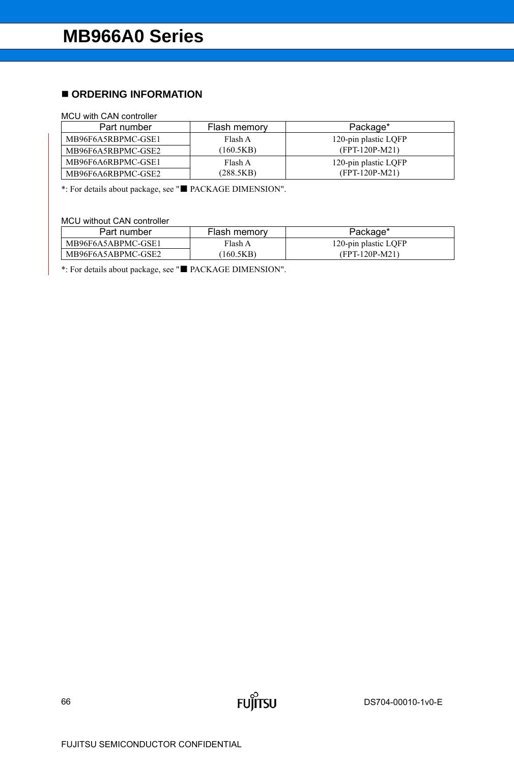#### **ORDERING INFORMATION**

#### MCU with CAN controller

| Part number        | Flash memory | Package*             |  |
|--------------------|--------------|----------------------|--|
| MB96F6A5RBPMC-GSE1 | Flash A      | 120-pin plastic LQFP |  |
| MB96F6A5RBPMC-GSE2 | (160.5KB)    | $(FPT-120P-M21)$     |  |
| MB96F6A6RBPMC-GSE1 | Flash A      | 120-pin plastic LQFP |  |
| MB96F6A6RBPMC-GSE2 | (288.5KB)    | $(FPT-120P-M21)$     |  |

\*: For details about package, see "■ PACKAGE DIMENSION".

MCU without CAN controller

| Part number        | Flash memory | Package*             |
|--------------------|--------------|----------------------|
| MB96F6A5ABPMC-GSE1 | Flash A      | 120-pin plastic LQFP |
| MB96F6A5ABPMC-GSE2 | 160.5KB)     | (FPT-120P-M21)       |

\*: For details about package, see "■ PACKAGE DIMENSION".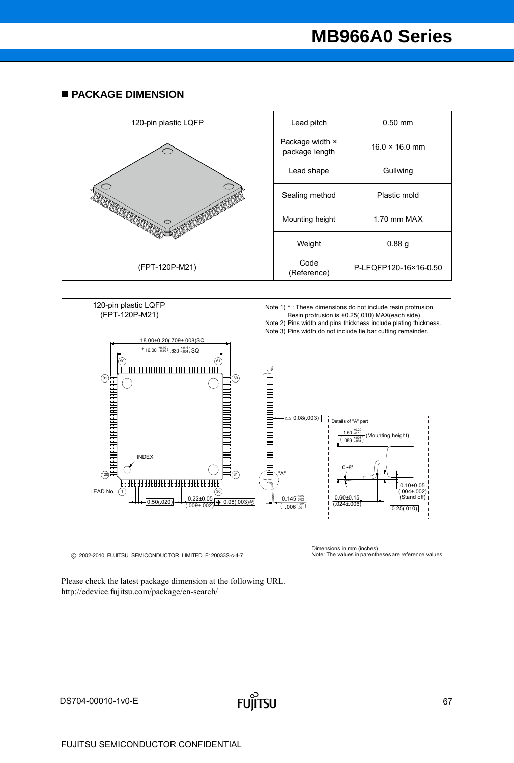#### **PACKAGE DIMENSION**





Please check the latest package dimension at the following URL. http://edevice.fujitsu.com/package/en-search/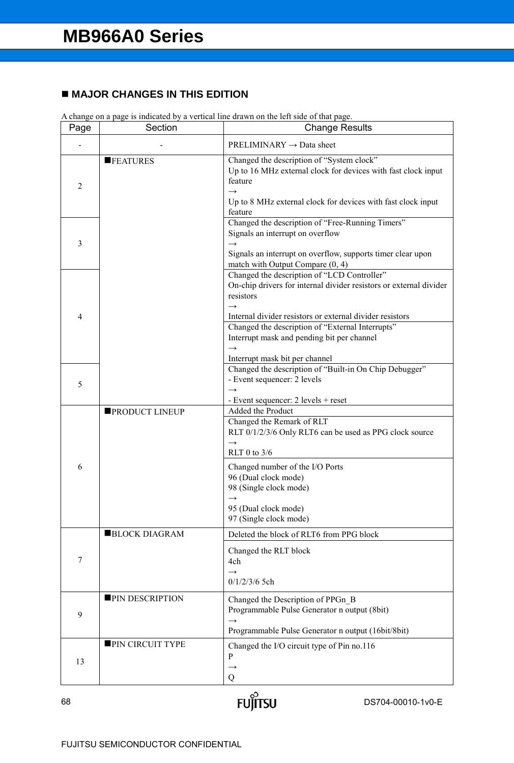#### **MAJOR CHANGES IN THIS EDITION**

|  | A change on a page is indicated by a vertical line drawn on the left side of that page. |  |  |  |
|--|-----------------------------------------------------------------------------------------|--|--|--|
|  |                                                                                         |  |  |  |

| Page | Section                | <b>Change Results</b>                                                                                                                                                                                            |  |  |
|------|------------------------|------------------------------------------------------------------------------------------------------------------------------------------------------------------------------------------------------------------|--|--|
|      |                        | $PRELIMINARY \rightarrow Data sheet$                                                                                                                                                                             |  |  |
| 2    | <b>FEATURES</b>        | Changed the description of "System clock"<br>Up to 16 MHz external clock for devices with fast clock input<br>feature<br>$\rightarrow$<br>Up to 8 MHz external clock for devices with fast clock input           |  |  |
| 3    |                        | feature<br>Changed the description of "Free-Running Timers"<br>Signals an interrupt on overflow<br>$\rightarrow$<br>Signals an interrupt on overflow, supports timer clear upon                                  |  |  |
|      |                        | match with Output Compare $(0, 4)$<br>Changed the description of "LCD Controller"                                                                                                                                |  |  |
| 4    |                        | On-chip drivers for internal divider resistors or external divider<br>resistors<br>$\rightarrow$<br>Internal divider resistors or external divider resistors<br>Changed the description of "External Interrupts" |  |  |
|      |                        | Interrupt mask and pending bit per channel<br>Interrupt mask bit per channel                                                                                                                                     |  |  |
| 5    |                        | Changed the description of "Built-in On Chip Debugger"<br>- Event sequencer: 2 levels<br>$\rightarrow$<br>- Event sequencer: 2 levels + reset                                                                    |  |  |
| 6    | <b>PRODUCT LINEUP</b>  | Added the Product<br>Changed the Remark of RLT<br>RLT 0/1/2/3/6 Only RLT6 can be used as PPG clock source<br>$\rightarrow$<br>RLT 0 to $3/6$<br>Changed number of the I/O Ports                                  |  |  |
|      |                        | 96 (Dual clock mode)<br>98 (Single clock mode)<br>$\rightarrow$<br>95 (Dual clock mode)<br>97 (Single clock mode)                                                                                                |  |  |
| 7    | <b>BLOCK DIAGRAM</b>   | Deleted the block of RLT6 from PPG block<br>Changed the RLT block<br>4ch<br>$\rightarrow$<br>$0/1/2/3/6$ 5ch                                                                                                     |  |  |
| 9    | <b>PIN DESCRIPTION</b> | Changed the Description of PPGn_B<br>Programmable Pulse Generator n output (8bit)<br>$\rightarrow$<br>Programmable Pulse Generator n output (16bit/8bit)                                                         |  |  |
| 13   | PIN CIRCUIT TYPE       | Changed the I/O circuit type of Pin no.116<br>$\mathbf{P}$<br>$\rightarrow$<br>Q                                                                                                                                 |  |  |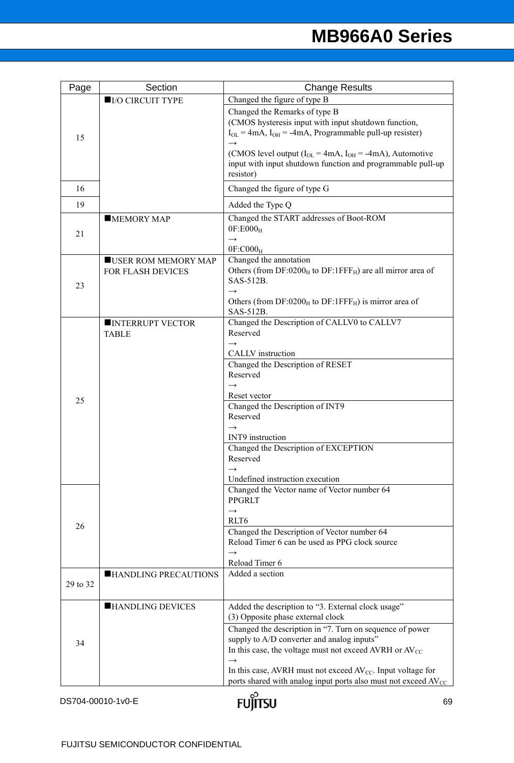| Page     | Section                                  | <b>Change Results</b>                                                                                                                                                       |
|----------|------------------------------------------|-----------------------------------------------------------------------------------------------------------------------------------------------------------------------------|
|          | ■I/O CIRCUIT TYPE                        | Changed the figure of type B                                                                                                                                                |
| 15       |                                          | Changed the Remarks of type B<br>(CMOS hysteresis input with input shutdown function,<br>$I_{OL} = 4mA$ , $I_{OH} = -4mA$ , Programmable pull-up resister)<br>$\rightarrow$ |
|          |                                          | (CMOS level output ( $I_{OL}$ = 4mA, $I_{OH}$ = -4mA), Automotive<br>input with input shutdown function and programmable pull-up<br>resistor)                               |
| 16       |                                          | Changed the figure of type G                                                                                                                                                |
| 19       |                                          | Added the Type Q                                                                                                                                                            |
| 21       | $\blacksquare$ MEMORY MAP                | Changed the START addresses of Boot-ROM<br>0F:EOO <sub>H</sub><br>$\longrightarrow$<br>0F:CO00 <sub>H</sub>                                                                 |
| 23       | USER ROM MEMORY MAP<br>FOR FLASH DEVICES | Changed the annotation<br>Others (from $DF:0200_H$ to $DF:1FFF_H$ ) are all mirror area of<br>SAS-512B.<br>$\rightarrow$                                                    |
|          |                                          | Others (from DF:0200 <sub>H</sub> to DF:1FFF <sub>H</sub> ) is mirror area of<br>SAS-512B.                                                                                  |
|          | <b>INTERRUPT VECTOR</b>                  | Changed the Description of CALLV0 to CALLV7                                                                                                                                 |
|          | <b>TABLE</b>                             | Reserved<br>$\rightarrow$                                                                                                                                                   |
|          |                                          | CALLV instruction                                                                                                                                                           |
|          |                                          | Changed the Description of RESET                                                                                                                                            |
|          |                                          | Reserved<br>$\rightarrow$                                                                                                                                                   |
| 25       |                                          | Reset vector                                                                                                                                                                |
|          |                                          | Changed the Description of INT9                                                                                                                                             |
|          |                                          | Reserved<br>$\rightarrow$                                                                                                                                                   |
|          |                                          | INT9 instruction                                                                                                                                                            |
|          |                                          | Changed the Description of EXCEPTION                                                                                                                                        |
|          |                                          | Reserved                                                                                                                                                                    |
|          |                                          | Undefined instruction execution                                                                                                                                             |
|          |                                          | Changed the Vector name of Vector number 64<br><b>PPGRLT</b>                                                                                                                |
|          |                                          | $\longrightarrow$                                                                                                                                                           |
| 26       |                                          | RLT <sub>6</sub>                                                                                                                                                            |
|          |                                          | Changed the Description of Vector number 64<br>Reload Timer 6 can be used as PPG clock source<br>$\longrightarrow$                                                          |
|          |                                          | Reload Timer 6                                                                                                                                                              |
|          | <b>HANDLING PRECAUTIONS</b>              | Added a section                                                                                                                                                             |
| 29 to 32 |                                          |                                                                                                                                                                             |
|          | <b>HANDLING DEVICES</b>                  | Added the description to "3. External clock usage"                                                                                                                          |
|          |                                          | (3) Opposite phase external clock                                                                                                                                           |
|          |                                          | Changed the description in "7. Turn on sequence of power<br>supply to A/D converter and analog inputs"                                                                      |
| 34       |                                          | In this case, the voltage must not exceed AVRH or AV <sub>CC</sub>                                                                                                          |
|          |                                          | $\rightarrow$<br>In this case, AVRH must not exceed $AV_{CC}$ . Input voltage for                                                                                           |
|          |                                          | ports shared with analog input ports also must not exceed AV <sub>CC</sub>                                                                                                  |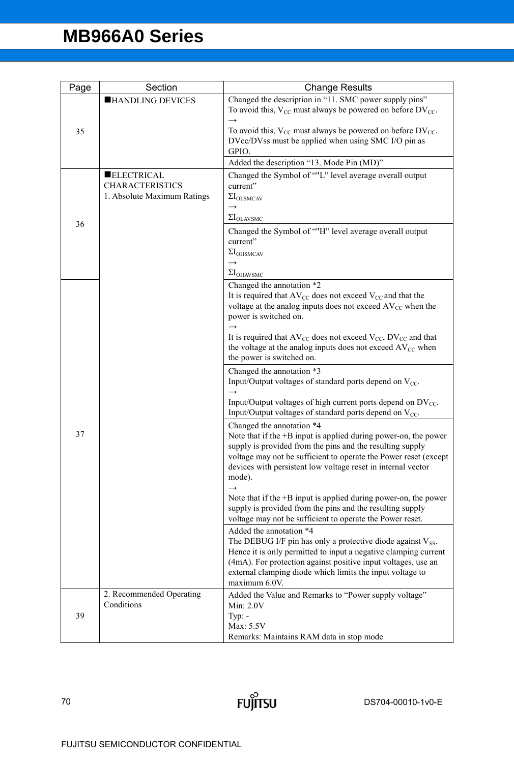| Page | Section                                                             | <b>Change Results</b>                                                                                                                                                                                                                                                                                                      |
|------|---------------------------------------------------------------------|----------------------------------------------------------------------------------------------------------------------------------------------------------------------------------------------------------------------------------------------------------------------------------------------------------------------------|
|      | <b>HANDLING DEVICES</b>                                             | Changed the description in "11. SMC power supply pins"<br>To avoid this, $V_{CC}$ must always be powered on before $DV_{CC}$ .                                                                                                                                                                                             |
| 35   |                                                                     | $\rightarrow$<br>To avoid this, $V_{CC}$ must always be powered on before $DV_{CC}$ .<br>DVcc/DVss must be applied when using SMC I/O pin as<br>GPIO.                                                                                                                                                                      |
|      |                                                                     | Added the description "13. Mode Pin (MD)"                                                                                                                                                                                                                                                                                  |
| 36   | ELECTRICAL<br><b>CHARACTERISTICS</b><br>1. Absolute Maximum Ratings | Changed the Symbol of ""L" level average overall output<br>current"<br>$\Sigma I_{OLSMCAV}$<br>$\rightarrow$<br>$\Sigma I_{OLAVSMC}$<br>Changed the Symbol of ""H" level average overall output<br>current"                                                                                                                |
|      |                                                                     | $\Sigma I_{OHSMCAV}$<br>$\rightarrow$                                                                                                                                                                                                                                                                                      |
|      |                                                                     | $\Sigma I_{OHAVSMC}$<br>Changed the annotation *2<br>It is required that $AV_{CC}$ does not exceed $V_{CC}$ and that the<br>voltage at the analog inputs does not exceed AV <sub>CC</sub> when the<br>power is switched on.<br>It is required that $AV_{CC}$ does not exceed $V_{CC}$ , DV <sub>CC</sub> and that          |
|      |                                                                     | the voltage at the analog inputs does not exceed AV <sub>CC</sub> when<br>the power is switched on.<br>Changed the annotation *3                                                                                                                                                                                           |
|      |                                                                     | Input/Output voltages of standard ports depend on V <sub>CC</sub> .<br>$\rightarrow$                                                                                                                                                                                                                                       |
|      |                                                                     | Input/Output voltages of high current ports depend on DV <sub>CC</sub> .<br>Input/Output voltages of standard ports depend on V <sub>CC</sub> .                                                                                                                                                                            |
| 37   |                                                                     | Changed the annotation *4<br>Note that if the $+B$ input is applied during power-on, the power<br>supply is provided from the pins and the resulting supply<br>voltage may not be sufficient to operate the Power reset (except<br>devices with persistent low voltage reset in internal vector<br>mode).<br>$\rightarrow$ |
|      |                                                                     | Note that if the +B input is applied during power-on, the power<br>supply is provided from the pins and the resulting supply<br>voltage may not be sufficient to operate the Power reset.                                                                                                                                  |
|      |                                                                     | Added the annotation *4<br>The DEBUG I/F pin has only a protective diode against $V_{SS}$ .<br>Hence it is only permitted to input a negative clamping current<br>(4mA). For protection against positive input voltages, use an<br>external clamping diode which limits the input voltage to<br>maximum 6.0V.              |
| 39   | 2. Recommended Operating<br>Conditions                              | Added the Value and Remarks to "Power supply voltage"<br>Min: 2.0V<br>Typ: $-$<br>Max: 5.5V<br>Remarks: Maintains RAM data in stop mode                                                                                                                                                                                    |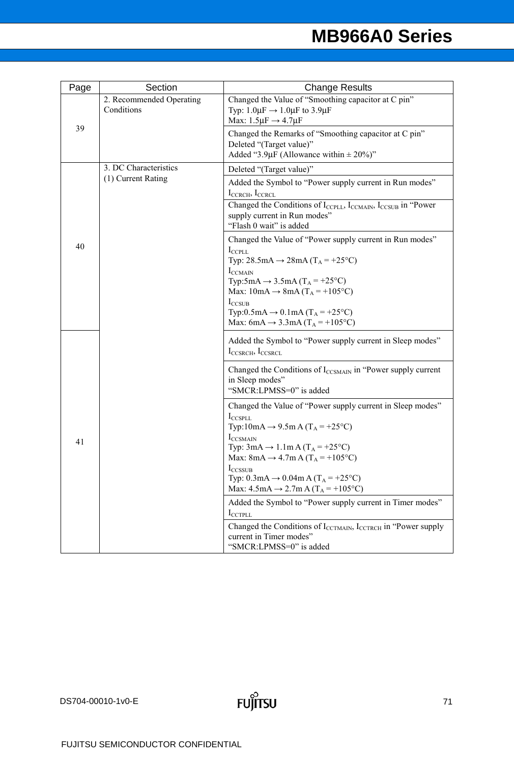| Page | Section                                | <b>Change Results</b>                                                                                                                                        |
|------|----------------------------------------|--------------------------------------------------------------------------------------------------------------------------------------------------------------|
|      | 2. Recommended Operating<br>Conditions | Changed the Value of "Smoothing capacitor at C pin"<br>Typ: $1.0 \mu$ F $\rightarrow$ $1.0 \mu$ F to $3.9 \mu$ F<br>Max: $1.5 \mu F \rightarrow 4.7 \mu F$   |
| 39   |                                        | Changed the Remarks of "Smoothing capacitor at C pin"<br>Deleted "(Target value)"<br>Added "3.9µF (Allowance within $\pm$ 20%)"                              |
|      | 3. DC Characteristics                  | Deleted "(Target value)"                                                                                                                                     |
|      | (1) Current Rating                     | Added the Symbol to "Power supply current in Run modes"<br>I <sub>CCRCH</sub> , I <sub>CCRCL</sub>                                                           |
|      |                                        | Changed the Conditions of I <sub>CCPLL</sub> , I <sub>CCMAIN</sub> , I <sub>CCSUB</sub> in "Power<br>supply current in Run modes"<br>"Flash 0 wait" is added |
| 40   |                                        | Changed the Value of "Power supply current in Run modes"<br>$I_{C\text{CPLL}}$<br>Typ: 28.5mA $\rightarrow$ 28mA (T <sub>A</sub> = +25°C)                    |
|      |                                        | $I_{CCMAN}$<br>Typ:5mA $\rightarrow$ 3.5mA (T <sub>A</sub> = +25°C)<br>Max: $10mA \rightarrow 8mA (T_A = +105°C)$                                            |
|      |                                        | $I_{CCSUB}$<br>Typ:0.5mA $\rightarrow$ 0.1mA (T <sub>A</sub> = +25°C)<br>Max: 6mA $\rightarrow$ 3.3mA (T <sub>A</sub> = +105°C)                              |
|      |                                        | Added the Symbol to "Power supply current in Sleep modes"<br>ICCSRCH, ICCSRCL                                                                                |
| 41   |                                        | Changed the Conditions of $I_{\text{CCSMAIN}}$ in "Power supply current"<br>in Sleep modes"<br>"SMCR:LPMSS=0" is added                                       |
|      |                                        | Changed the Value of "Power supply current in Sleep modes"<br>$I_{CCSPLL}$<br>Typ:10mA $\rightarrow$ 9.5m A (T <sub>A</sub> = +25°C)                         |
|      |                                        | <b>I</b> CCSMAIN<br>Typ: $3mA \rightarrow 1.1mA$ $(T_A = +25°C)$<br>Max: $8mA \rightarrow 4.7mA$ $(T_A = +105°C)$                                            |
|      |                                        | $I_{CCSSUB}$<br>Typ: 0.3mA $\rightarrow$ 0.04m A (T <sub>A</sub> = +25°C)<br>Max: $4.5mA \rightarrow 2.7mA (T_A = +105°C)$                                   |
|      |                                        | Added the Symbol to "Power supply current in Timer modes"<br>ICCTPLL                                                                                         |
|      |                                        | Changed the Conditions of I <sub>CCTMAIN</sub> , I <sub>CCTRCH</sub> in "Power supply<br>current in Timer modes"<br>"SMCR:LPMSS=0" is added                  |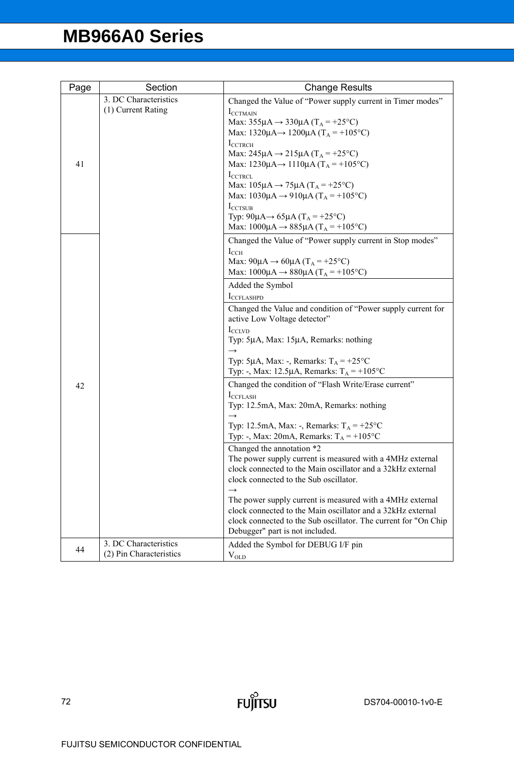| Page | Section                                          | <b>Change Results</b>                                                                                                                                                                                                                                                                                                                                                                                                                                                                                                                                                                                                                                                                                                                                                                                                                                                                                                                                                                                                                                                                                                                                                                                                                                     |
|------|--------------------------------------------------|-----------------------------------------------------------------------------------------------------------------------------------------------------------------------------------------------------------------------------------------------------------------------------------------------------------------------------------------------------------------------------------------------------------------------------------------------------------------------------------------------------------------------------------------------------------------------------------------------------------------------------------------------------------------------------------------------------------------------------------------------------------------------------------------------------------------------------------------------------------------------------------------------------------------------------------------------------------------------------------------------------------------------------------------------------------------------------------------------------------------------------------------------------------------------------------------------------------------------------------------------------------|
| 41   | 3. DC Characteristics<br>(1) Current Rating      | Changed the Value of "Power supply current in Timer modes"<br>ICCTMAIN<br>Max: $355\mu A \rightarrow 330\mu A (T_A = +25\textdegree C)$<br>Max: 1320 $\mu$ A $\rightarrow$ 1200 $\mu$ A (T <sub>A</sub> = +105°C)<br><b>ICCTRCH</b><br>Max: $245\mu A \rightarrow 215\mu A (T_A = +25\textdegree C)$<br>Max: $1230\mu A \rightarrow 1110\mu A (T_A = +105^{\circ}C)$<br><b>I</b> CCTRCL<br>Max: $105\mu A \rightarrow 75\mu A (T_A = +25\textdegree C)$<br>Max: $1030\mu A \rightarrow 910\mu A (T_A = +105^{\circ}C)$<br>I <sub>CCTSUB</sub><br>Typ: $90\mu A \rightarrow 65\mu A (T_A = +25\degree C)$                                                                                                                                                                                                                                                                                                                                                                                                                                                                                                                                                                                                                                                  |
| 42   |                                                  | Max: $1000\mu A \rightarrow 885\mu A (T_A = +105\textdegree C)$<br>Changed the Value of "Power supply current in Stop modes"<br>$I_{\rm CCH}$<br>Max: $90\mu A \rightarrow 60\mu A (T_A = +25\degree C)$<br>Max: $1000\mu A \rightarrow 880\mu A (T_A = +105^{\circ}C)$<br>Added the Symbol<br><b>ICCFLASHPD</b><br>Changed the Value and condition of "Power supply current for<br>active Low Voltage detector"<br>$I_{\text{CCLVD}}$<br>Typ: 5µA, Max: 15µA, Remarks: nothing<br>$\rightarrow$<br>Typ: 5µA, Max: -, Remarks: $T_A = +25$ °C<br>Typ: -, Max: 12.5µA, Remarks: $T_A = +105$ °C<br>Changed the condition of "Flash Write/Erase current"<br><b>I</b> CCFLASH<br>Typ: 12.5mA, Max: 20mA, Remarks: nothing<br>$\rightarrow$<br>Typ: 12.5mA, Max: -, Remarks: $T_A = +25$ °C<br>Typ: -, Max: 20mA, Remarks: $T_A = +105$ °C<br>Changed the annotation *2<br>The power supply current is measured with a 4MHz external<br>clock connected to the Main oscillator and a 32kHz external<br>clock connected to the Sub oscillator.<br>$\rightarrow$<br>The power supply current is measured with a 4MHz external<br>clock connected to the Main oscillator and a 32kHz external<br>clock connected to the Sub oscillator. The current for "On Chip |
| 44   | 3. DC Characteristics<br>(2) Pin Characteristics | Debugger" part is not included.<br>Added the Symbol for DEBUG I/F pin<br>$V_{OLD}$                                                                                                                                                                                                                                                                                                                                                                                                                                                                                                                                                                                                                                                                                                                                                                                                                                                                                                                                                                                                                                                                                                                                                                        |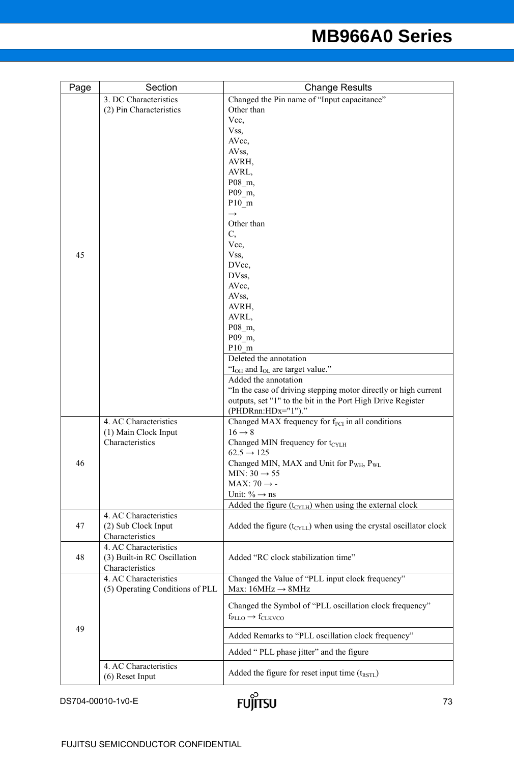| Page | Section                                  | <b>Change Results</b>                                                             |
|------|------------------------------------------|-----------------------------------------------------------------------------------|
|      | 3. DC Characteristics                    | Changed the Pin name of "Input capacitance"                                       |
|      | (2) Pin Characteristics                  | Other than                                                                        |
|      |                                          | Vcc,                                                                              |
|      |                                          | Vss,                                                                              |
|      |                                          | AVcc,                                                                             |
|      |                                          | AV <sub>ss</sub> ,                                                                |
|      |                                          | AVRH,                                                                             |
|      |                                          | AVRL,                                                                             |
|      |                                          | P08 m,                                                                            |
|      |                                          | P09 m,                                                                            |
|      |                                          | P10 m                                                                             |
|      |                                          | $\rightarrow$                                                                     |
|      |                                          | Other than                                                                        |
|      |                                          | C,                                                                                |
|      |                                          | Vcc,                                                                              |
| 45   |                                          | Vss,<br>DVcc,                                                                     |
|      |                                          | DVss,                                                                             |
|      |                                          | AVcc,                                                                             |
|      |                                          | AV <sub>ss</sub>                                                                  |
|      |                                          | AVRH,                                                                             |
|      |                                          | AVRL,                                                                             |
|      |                                          | P08 m,                                                                            |
|      |                                          | P09 m,                                                                            |
|      |                                          | P10 m                                                                             |
|      |                                          | Deleted the annotation                                                            |
|      |                                          | "I <sub>OH</sub> and I <sub>OL</sub> are target value."                           |
|      |                                          | Added the annotation                                                              |
|      |                                          | "In the case of driving stepping motor directly or high current                   |
|      |                                          | outputs, set "1" to the bit in the Port High Drive Register                       |
|      |                                          | $(PHDRnn:HDx="1")$ ."                                                             |
|      | 4. AC Characteristics                    | Changed MAX frequency for f <sub>FCI</sub> in all conditions                      |
|      | (1) Main Clock Input                     | $16 \rightarrow 8$                                                                |
|      | Characteristics                          | Changed MIN frequency for t <sub>CYLH</sub>                                       |
|      |                                          | $62.5 \rightarrow 125$                                                            |
| 46   |                                          | Changed MIN, MAX and Unit for P <sub>WH</sub> , P <sub>WL</sub>                   |
|      |                                          | MIN: $30 \rightarrow 55$                                                          |
|      |                                          | MAX: $70 \rightarrow -$                                                           |
|      |                                          | Unit: $\% \rightarrow$ ns                                                         |
|      |                                          | Added the figure $(t_{\text{CYLH}})$ when using the external clock                |
|      | 4. AC Characteristics                    |                                                                                   |
| 47   | (2) Sub Clock Input                      | Added the figure $(t_{\text{CYLL}})$ when using the crystal oscillator clock      |
|      | Characteristics                          |                                                                                   |
|      | 4. AC Characteristics                    |                                                                                   |
| 48   | (3) Built-in RC Oscillation              | Added "RC clock stabilization time"                                               |
|      | Characteristics<br>4. AC Characteristics |                                                                                   |
|      | (5) Operating Conditions of PLL          | Changed the Value of "PLL input clock frequency"<br>Max: $16MHz \rightarrow 8MHz$ |
|      |                                          |                                                                                   |
|      |                                          | Changed the Symbol of "PLL oscillation clock frequency"                           |
|      |                                          | $\rm f_{\rm PLLO} \rightarrow \rm f_{\rm CLKVCO}$                                 |
| 49   |                                          |                                                                                   |
|      |                                          | Added Remarks to "PLL oscillation clock frequency"                                |
|      |                                          | Added "PLL phase jitter" and the figure                                           |
|      | 4. AC Characteristics                    |                                                                                   |
|      | (6) Reset Input                          | Added the figure for reset input time $(t_{\text{RSTL}})$                         |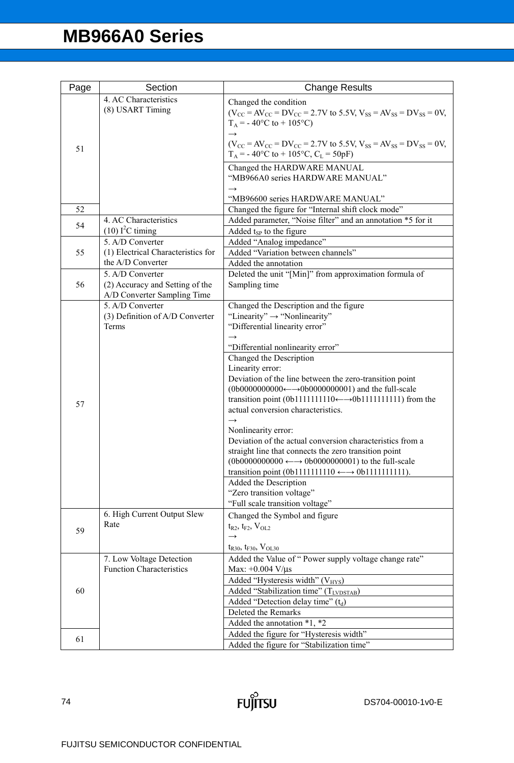# **MB966A0 Series**

| Page | Section                                         | <b>Change Results</b>                                                                 |
|------|-------------------------------------------------|---------------------------------------------------------------------------------------|
|      | 4. AC Characteristics                           | Changed the condition                                                                 |
|      | (8) USART Timing                                | $(V_{CC} = AV_{CC} = DV_{CC} = 2.7V$ to 5.5V, $V_{SS} = AV_{SS} = DV_{SS} = 0V$ ,     |
|      |                                                 | $T_A = -40$ °C to + 105°C)                                                            |
|      |                                                 | $\rightarrow$                                                                         |
|      |                                                 | $(V_{CC} = AV_{CC} = DV_{CC} = 2.7V$ to 5.5V, $V_{SS} = AV_{SS} = DV_{SS} = 0V$ ,     |
| 51   |                                                 | $T_A$ = -40°C to +105°C, C <sub>L</sub> = 50pF)                                       |
|      |                                                 | Changed the HARDWARE MANUAL                                                           |
|      |                                                 | "MB966A0 series HARDWARE MANUAL"                                                      |
|      |                                                 | $\rightarrow$                                                                         |
|      |                                                 | "MB96600 series HARDWARE MANUAL"                                                      |
| 52   |                                                 | Changed the figure for "Internal shift clock mode"                                    |
| 54   | 4. AC Characteristics                           | Added parameter, "Noise filter" and an annotation *5 for it                           |
|      | $(10)$ I <sup>2</sup> C timing                  | Added $t_{SP}$ to the figure                                                          |
| 55   | 5. A/D Converter                                | Added "Analog impedance"                                                              |
|      | (1) Electrical Characteristics for              | Added "Variation between channels"                                                    |
|      | the A/D Converter                               | Added the annotation                                                                  |
|      | 5. A/D Converter                                | Deleted the unit "[Min]" from approximation formula of                                |
| 56   | (2) Accuracy and Setting of the                 | Sampling time                                                                         |
|      | A/D Converter Sampling Time<br>5. A/D Converter | Changed the Description and the figure                                                |
|      | (3) Definition of A/D Converter                 | "Linearity" $\rightarrow$ "Nonlinearity"                                              |
|      | Terms                                           | "Differential linearity error"                                                        |
|      |                                                 | $\rightarrow$                                                                         |
|      |                                                 | "Differential nonlinearity error"                                                     |
|      |                                                 | Changed the Description                                                               |
|      |                                                 | Linearity error:                                                                      |
|      |                                                 | Deviation of the line between the zero-transition point                               |
|      |                                                 | $(0b0000000000 \leftarrow \rightarrow 0b0000000001)$ and the full-scale               |
| 57   |                                                 | transition point (0b1111111110 $\leftarrow \rightarrow$ 0b111111111111) from the      |
|      |                                                 | actual conversion characteristics.                                                    |
|      |                                                 | $\rightarrow$                                                                         |
|      |                                                 | Nonlinearity error:<br>Deviation of the actual conversion characteristics from a      |
|      |                                                 | straight line that connects the zero transition point                                 |
|      |                                                 | $(0b0000000000 \leftarrow \rightarrow 0b0000000001)$ to the full-scale                |
|      |                                                 | transition point (0b1111111110 $\leftarrow \rightarrow 0$ b11111111111).              |
|      |                                                 | Added the Description                                                                 |
|      |                                                 | "Zero transition voltage"                                                             |
|      |                                                 | "Full scale transition voltage"                                                       |
| 59   | 6. High Current Output Slew                     | Changed the Symbol and figure                                                         |
|      | Rate                                            | $t_{R2}$ , $t_{F2}$ , $V_{OL2}$                                                       |
|      |                                                 | $\rightarrow$                                                                         |
|      |                                                 | $t_{R30}$ , $t_{F30}$ , $V_{OL30}$                                                    |
| 60   | 7. Low Voltage Detection                        | Added the Value of "Power supply voltage change rate"                                 |
|      | <b>Function Characteristics</b>                 | Max: $+0.004$ V/ $\mu$ s                                                              |
|      |                                                 | Added "Hysteresis width" (V <sub>HYS</sub> )<br>Added "Stabilization time" (TLVDSTAB) |
|      |                                                 | Added "Detection delay time" $(t_d)$                                                  |
|      |                                                 | Deleted the Remarks                                                                   |
|      |                                                 | Added the annotation *1, *2                                                           |
|      |                                                 | Added the figure for "Hysteresis width"                                               |
| 61   |                                                 | Added the figure for "Stabilization time"                                             |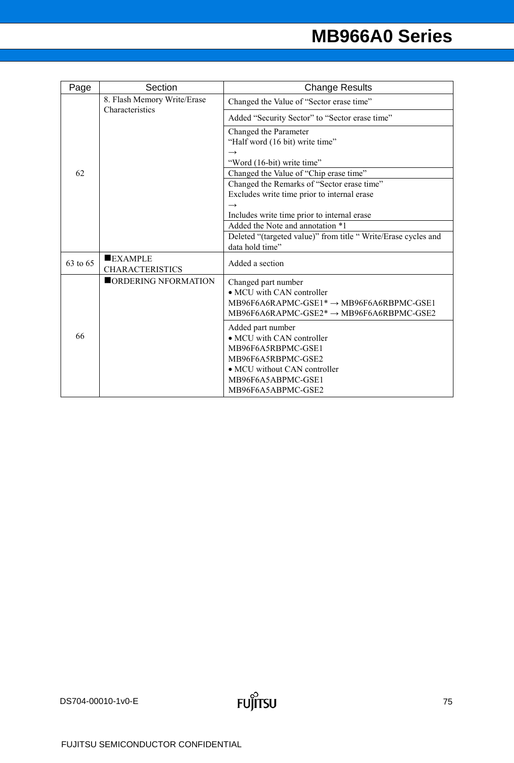# **MB966A0 Series**

| Page     | Section                                        | <b>Change Results</b>                                          |
|----------|------------------------------------------------|----------------------------------------------------------------|
| 62       | 8. Flash Memory Write/Erase<br>Characteristics | Changed the Value of "Sector erase time"                       |
|          |                                                | Added "Security Sector" to "Sector erase time"                 |
|          |                                                | Changed the Parameter                                          |
|          |                                                | "Half word (16 bit) write time"                                |
|          |                                                | $\rightarrow$                                                  |
|          |                                                | "Word (16-bit) write time"                                     |
|          |                                                | Changed the Value of "Chip erase time"                         |
|          |                                                | Changed the Remarks of "Sector erase time"                     |
|          |                                                | Excludes write time prior to internal erase                    |
|          |                                                | $\rightarrow$                                                  |
|          |                                                | Includes write time prior to internal erase                    |
|          |                                                | Added the Note and annotation *1                               |
|          |                                                | Deleted "(targeted value)" from title " Write/Erase cycles and |
|          |                                                | data hold time"                                                |
| 63 to 65 | $\blacksquare$ EXAMPLE                         | Added a section                                                |
|          | <b>CHARACTERISTICS</b>                         |                                                                |
| 66       | ORDERING NFORMATION                            | Changed part number                                            |
|          |                                                | • MCU with CAN controller                                      |
|          |                                                | MB96F6A6RAPMC-GSE1 <sup>*</sup> → MB96F6A6RBPMC-GSE1           |
|          |                                                | MB96F6A6RAPMC-GSE2 <sup>*</sup> → MB96F6A6RBPMC-GSE2           |
|          |                                                | Added part number                                              |
|          |                                                | • MCU with CAN controller                                      |
|          |                                                | MB96F6A5RBPMC-GSE1                                             |
|          |                                                | MB96F6A5RBPMC-GSE2                                             |
|          |                                                | • MCU without CAN controller                                   |
|          |                                                | MB96F6A5ABPMC-GSE1                                             |
|          |                                                | MB96F6A5ABPMC-GSE2                                             |